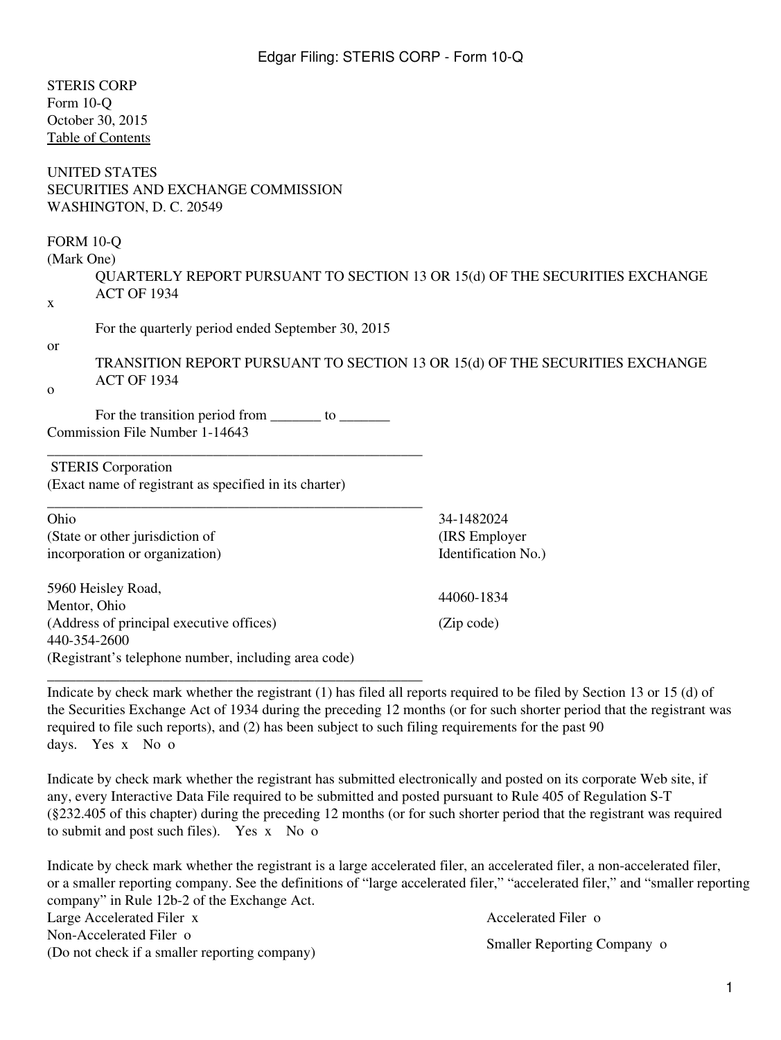| <b>STERIS CORP</b>                                                                                                      |                                                                              |
|-------------------------------------------------------------------------------------------------------------------------|------------------------------------------------------------------------------|
| Form 10-Q                                                                                                               |                                                                              |
| October 30, 2015                                                                                                        |                                                                              |
| <b>Table of Contents</b>                                                                                                |                                                                              |
| <b>UNITED STATES</b><br>SECURITIES AND EXCHANGE COMMISSION<br>WASHINGTON, D. C. 20549                                   |                                                                              |
| <b>FORM 10-Q</b>                                                                                                        |                                                                              |
| (Mark One)                                                                                                              |                                                                              |
|                                                                                                                         | QUARTERLY REPORT PURSUANT TO SECTION 13 OR 15(d) OF THE SECURITIES EXCHANGE  |
| <b>ACT OF 1934</b><br>X                                                                                                 |                                                                              |
|                                                                                                                         |                                                                              |
| For the quarterly period ended September 30, 2015                                                                       |                                                                              |
| <sub>or</sub>                                                                                                           | TRANSITION REPORT PURSUANT TO SECTION 13 OR 15(d) OF THE SECURITIES EXCHANGE |
| <b>ACT OF 1934</b>                                                                                                      |                                                                              |
| $\mathbf{O}$                                                                                                            |                                                                              |
| For the transition period from ________ to __________                                                                   |                                                                              |
| Commission File Number 1-14643                                                                                          |                                                                              |
|                                                                                                                         |                                                                              |
| <b>STERIS</b> Corporation                                                                                               |                                                                              |
| (Exact name of registrant as specified in its charter)                                                                  |                                                                              |
| Ohio                                                                                                                    | 34-1482024                                                                   |
| (State or other jurisdiction of                                                                                         | (IRS Employer                                                                |
| incorporation or organization)                                                                                          | Identification No.)                                                          |
| 5960 Heisley Road,                                                                                                      |                                                                              |
| Mentor, Ohio                                                                                                            | 44060-1834                                                                   |
| (Address of principal executive offices)                                                                                | (Zip code)                                                                   |
| 440-354-2600                                                                                                            |                                                                              |
| (Registrant's telephone number, including area code)                                                                    |                                                                              |
| Indicate by check mark whether the registrant (1) has filed all reports required to be filed by Section 13 or 15 (d) of |                                                                              |
| the Securities Exchange Act of 1934 during the preceding 12 months (or for such shorter period that the registrant was  |                                                                              |
| required to file such reports), and (2) has been subject to such filing requirements for the past 90                    |                                                                              |

days. Yes x No o

Indicate by check mark whether the registrant has submitted electronically and posted on its corporate Web site, if any, every Interactive Data File required to be submitted and posted pursuant to Rule 405 of Regulation S-T (§232.405 of this chapter) during the preceding 12 months (or for such shorter period that the registrant was required to submit and post such files). Yes x No o

Indicate by check mark whether the registrant is a large accelerated filer, an accelerated filer, a non-accelerated filer, or a smaller reporting company. See the definitions of "large accelerated filer," "accelerated filer," and "smaller reporting company" in Rule 12b-2 of the Exchange Act. Large Accelerated Filer x Accelerated Filer o Non-Accelerated Filer o (Do not check if a smaller reporting company) Smaller Reporting Company of Smaller Reporting Company of Smaller Reporting Company of Smaller Reporting Company of Smaller Reporting Company of Smaller Reporting Company of Sm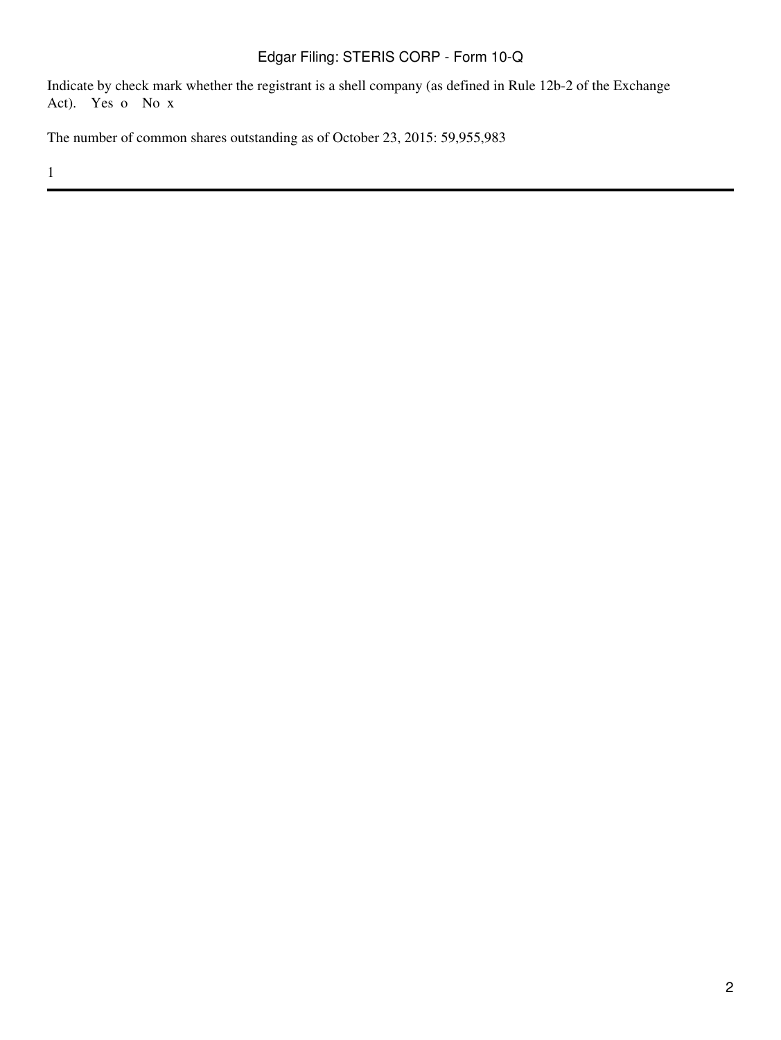Indicate by check mark whether the registrant is a shell company (as defined in Rule 12b-2 of the Exchange Act). Yes o No x

The number of common shares outstanding as of October 23, 2015: 59,955,983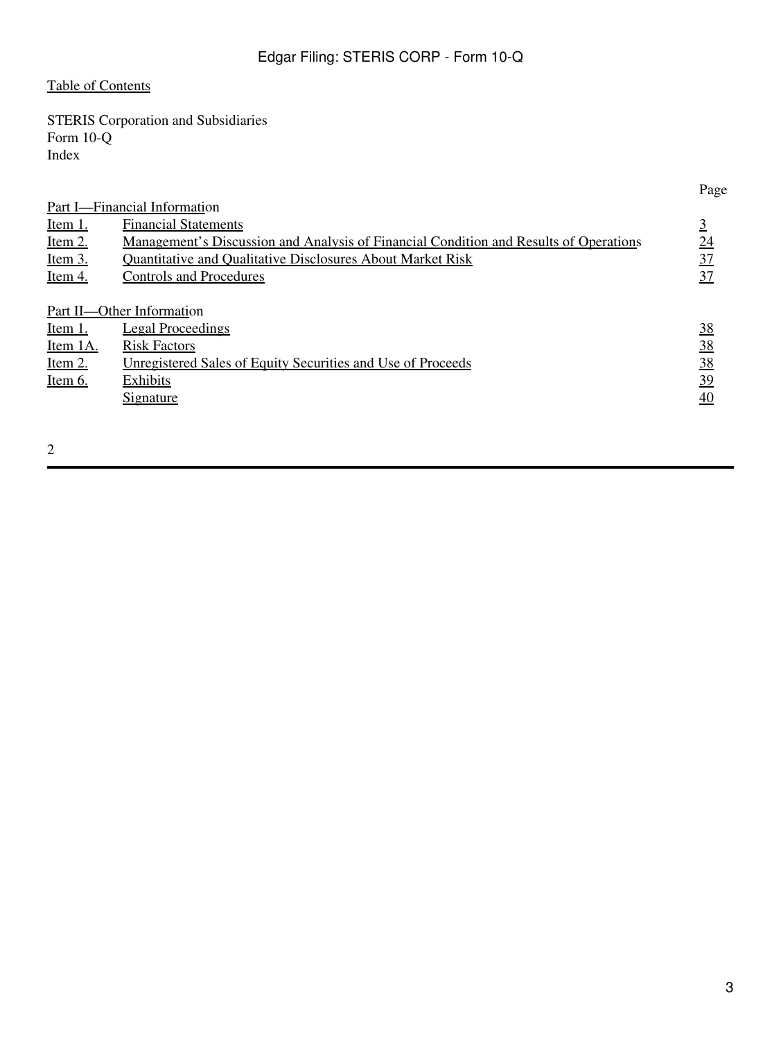# <span id="page-2-0"></span>[Table of Contents](#page-2-0)

STERIS Corporation and Subsidiaries Form 10-Q Index

|                                                                                              | Page      |
|----------------------------------------------------------------------------------------------|-----------|
| Part I-Financial Information                                                                 |           |
| <b>Financial Statements</b>                                                                  | 3         |
| <u>Management's Discussion and Analysis of Financial Condition and Results of Operations</u> | 24        |
| <b>Ouantitative and Oualitative Disclosures About Market Risk</b>                            | 37        |
| <b>Controls and Procedures</b>                                                               | 37        |
|                                                                                              |           |
| Part II—Other Information                                                                    |           |
| <b>Legal Proceedings</b>                                                                     | <u>38</u> |
| <b>Risk Factors</b>                                                                          | 38        |
| Unregistered Sales of Equity Securities and Use of Proceeds                                  | 38        |
| Exhibits                                                                                     | 39        |
| <u>Signature</u>                                                                             | 40        |
|                                                                                              |           |
|                                                                                              |           |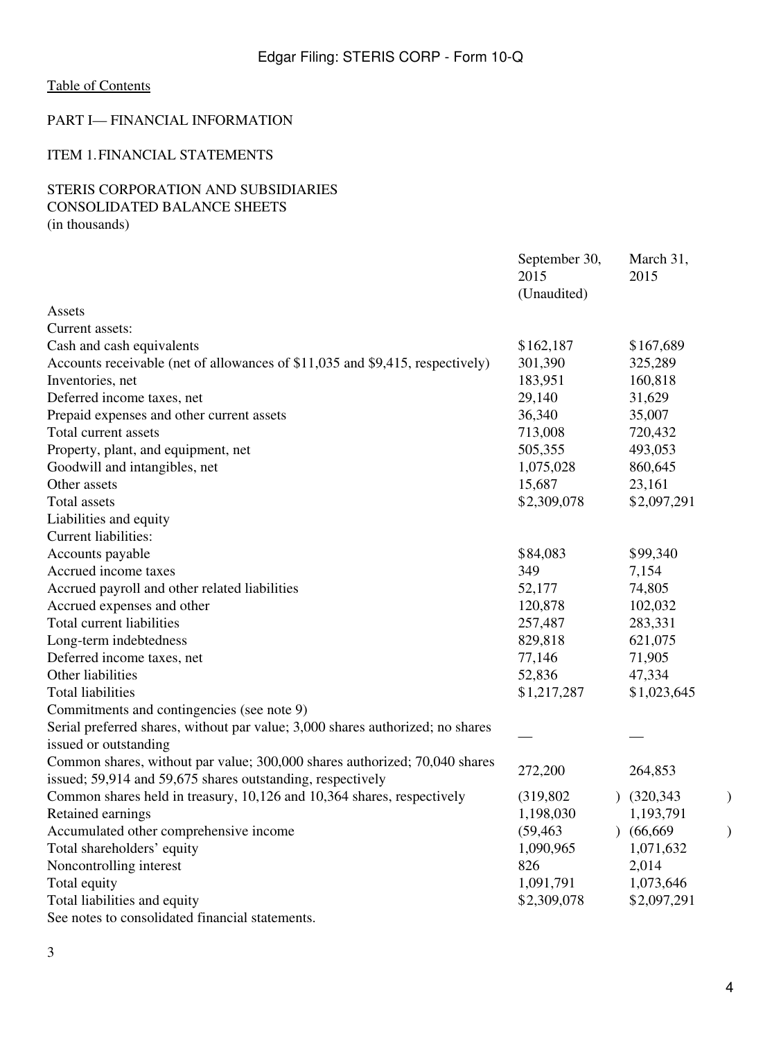### <span id="page-3-0"></span>PART I— FINANCIAL INFORMATION

### <span id="page-3-1"></span>ITEM 1.FINANCIAL STATEMENTS

# STERIS CORPORATION AND SUBSIDIARIES CONSOLIDATED BALANCE SHEETS

(in thousands)

|                                                                                | September 30,<br>2015<br>(Unaudited) | March 31,<br>2015 |   |
|--------------------------------------------------------------------------------|--------------------------------------|-------------------|---|
| Assets                                                                         |                                      |                   |   |
| Current assets:                                                                |                                      |                   |   |
| Cash and cash equivalents                                                      | \$162,187                            | \$167,689         |   |
| Accounts receivable (net of allowances of \$11,035 and \$9,415, respectively)  | 301,390                              | 325,289           |   |
| Inventories, net                                                               | 183,951                              | 160,818           |   |
| Deferred income taxes, net                                                     | 29,140                               | 31,629            |   |
| Prepaid expenses and other current assets                                      | 36,340                               | 35,007            |   |
| Total current assets                                                           | 713,008                              | 720,432           |   |
| Property, plant, and equipment, net                                            | 505,355                              | 493,053           |   |
| Goodwill and intangibles, net                                                  | 1,075,028                            | 860,645           |   |
| Other assets                                                                   | 15,687                               | 23,161            |   |
| <b>Total assets</b>                                                            | \$2,309,078                          | \$2,097,291       |   |
| Liabilities and equity                                                         |                                      |                   |   |
| Current liabilities:                                                           |                                      |                   |   |
| Accounts payable                                                               | \$84,083                             | \$99,340          |   |
| Accrued income taxes                                                           | 349                                  | 7,154             |   |
| Accrued payroll and other related liabilities                                  | 52,177                               | 74,805            |   |
| Accrued expenses and other                                                     | 120,878                              | 102,032           |   |
| Total current liabilities                                                      | 257,487                              | 283,331           |   |
| Long-term indebtedness                                                         | 829,818                              | 621,075           |   |
| Deferred income taxes, net                                                     | 77,146                               | 71,905            |   |
| Other liabilities                                                              | 52,836                               | 47,334            |   |
| <b>Total liabilities</b>                                                       | \$1,217,287                          | \$1,023,645       |   |
| Commitments and contingencies (see note 9)                                     |                                      |                   |   |
| Serial preferred shares, without par value; 3,000 shares authorized; no shares |                                      |                   |   |
| issued or outstanding                                                          |                                      |                   |   |
| Common shares, without par value; 300,000 shares authorized; 70,040 shares     | 272,200                              | 264,853           |   |
| issued; 59,914 and 59,675 shares outstanding, respectively                     |                                      |                   |   |
| Common shares held in treasury, 10,126 and 10,364 shares, respectively         | (319, 802)                           | (320, 343)        | ) |
| Retained earnings                                                              | 1,198,030                            | 1,193,791         |   |
| Accumulated other comprehensive income                                         | (59, 463)                            | (66, 669)         |   |
| Total shareholders' equity                                                     | 1,090,965                            | 1,071,632         |   |
| Noncontrolling interest                                                        | 826                                  | 2,014             |   |
| Total equity                                                                   | 1,091,791                            | 1,073,646         |   |
| Total liabilities and equity                                                   | \$2,309,078                          | \$2,097,291       |   |
| See notes to consolidated financial statements.                                |                                      |                   |   |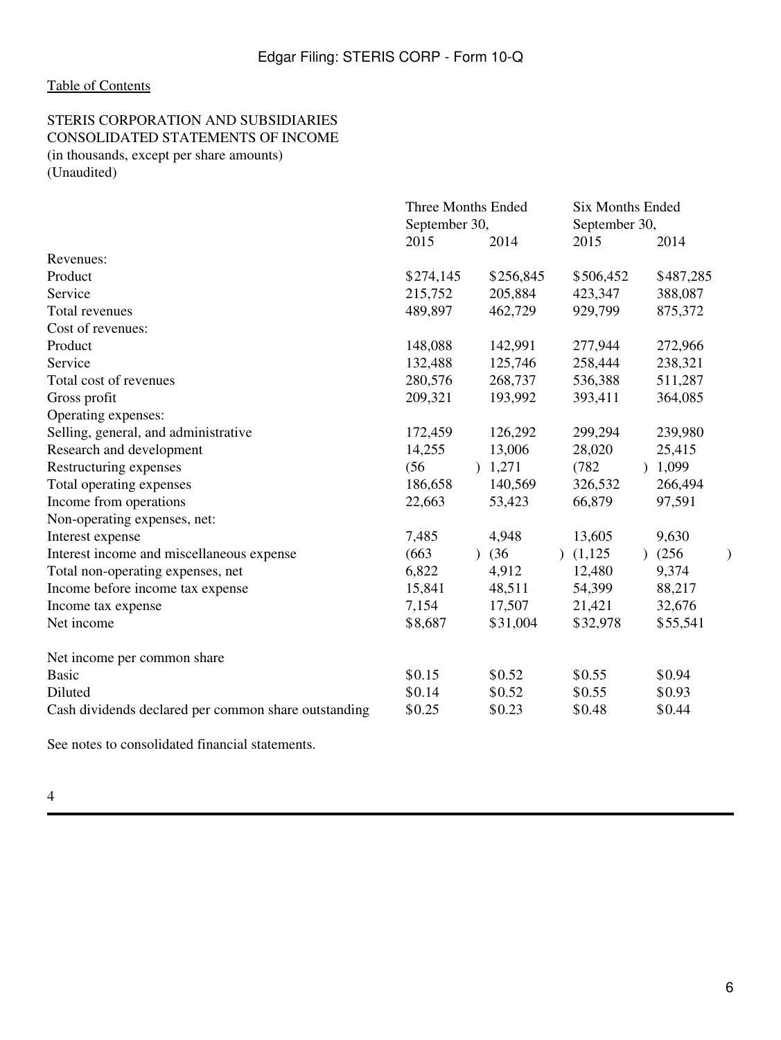#### STERIS CORPORATION AND SUBSIDIARIES CONSOLIDATED STATEMENTS OF INCOME (in thousands, except per share amounts) (Unaudited)

|                                                      | <b>Three Months Ended</b> |                       | <b>Six Months Ended</b>  |                    |  |  |  |
|------------------------------------------------------|---------------------------|-----------------------|--------------------------|--------------------|--|--|--|
|                                                      | September 30,             |                       | September 30,            |                    |  |  |  |
|                                                      | 2015                      | 2014                  | 2015                     | 2014               |  |  |  |
| Revenues:                                            |                           |                       |                          |                    |  |  |  |
| Product                                              | \$274,145                 | \$256,845             | \$506,452                | \$487,285          |  |  |  |
| Service                                              | 215,752                   | 205,884               | 423,347                  | 388,087            |  |  |  |
| Total revenues                                       | 489,897                   | 462,729               | 929,799                  | 875,372            |  |  |  |
| Cost of revenues:                                    |                           |                       |                          |                    |  |  |  |
| Product                                              | 148,088                   | 142,991               | 277,944                  | 272,966            |  |  |  |
| Service                                              | 132,488                   | 125,746               | 258,444                  | 238,321            |  |  |  |
| Total cost of revenues                               | 280,576                   | 268,737               | 536,388                  | 511,287            |  |  |  |
| Gross profit                                         | 209,321                   | 193,992               | 393,411                  | 364,085            |  |  |  |
| Operating expenses:                                  |                           |                       |                          |                    |  |  |  |
| Selling, general, and administrative                 | 172,459                   | 126,292               | 299,294                  | 239,980            |  |  |  |
| Research and development                             | 14,255                    | 13,006                | 28,020                   | 25,415             |  |  |  |
| Restructuring expenses                               | (56)                      | 1,271                 | (782)                    | 1,099<br>$\lambda$ |  |  |  |
| Total operating expenses                             | 186,658                   | 140,569               | 326,532                  | 266,494            |  |  |  |
| Income from operations                               | 22,663                    | 53,423                | 66,879                   | 97,591             |  |  |  |
| Non-operating expenses, net:                         |                           |                       |                          |                    |  |  |  |
| Interest expense                                     | 7,485                     | 4,948                 | 13,605                   | 9,630              |  |  |  |
| Interest income and miscellaneous expense            | (663)                     | (36)<br>$\mathcal{L}$ | (1,125)<br>$\mathcal{L}$ | (256)<br>$\lambda$ |  |  |  |
| Total non-operating expenses, net                    | 6,822                     | 4,912                 | 12,480                   | 9,374              |  |  |  |
| Income before income tax expense                     | 15,841                    | 48,511                | 54,399                   | 88,217             |  |  |  |
| Income tax expense                                   | 7,154                     | 17,507                | 21,421                   | 32,676             |  |  |  |
| Net income                                           | \$8,687                   | \$31,004              | \$32,978                 | \$55,541           |  |  |  |
| Net income per common share                          |                           |                       |                          |                    |  |  |  |
| <b>Basic</b>                                         | \$0.15                    | \$0.52                | \$0.55                   | \$0.94             |  |  |  |
| Diluted                                              | \$0.14                    | \$0.52                | \$0.55                   | \$0.93             |  |  |  |
| Cash dividends declared per common share outstanding | \$0.25                    | \$0.23                | \$0.48                   | \$0.44             |  |  |  |

See notes to consolidated financial statements.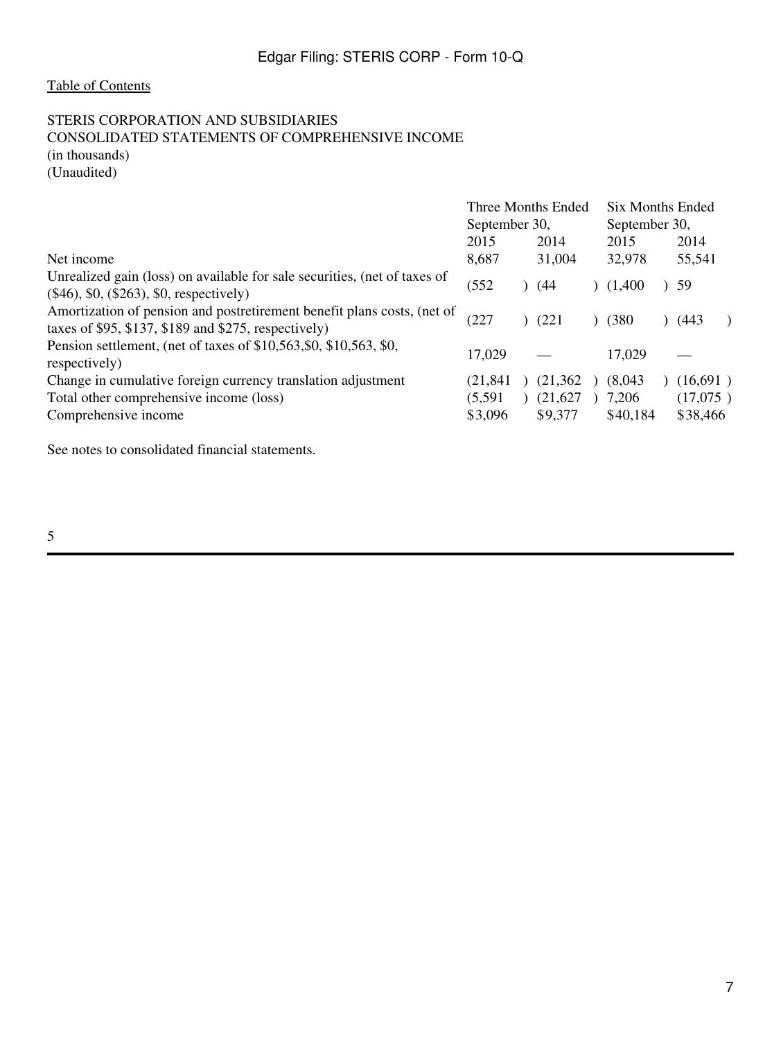# STERIS CORPORATION AND SUBSIDIARIES CONSOLIDATED STATEMENTS OF COMPREHENSIVE INCOME (in thousands)

(Unaudited)

|                                                                                                                                 | Three Months Ended<br>September 30, |  |          | Six Months Ended |  |          |  |
|---------------------------------------------------------------------------------------------------------------------------------|-------------------------------------|--|----------|------------------|--|----------|--|
|                                                                                                                                 |                                     |  |          | September 30,    |  |          |  |
|                                                                                                                                 | 2015                                |  | 2014     | 2015             |  | 2014     |  |
| Net income                                                                                                                      | 8,687                               |  | 31,004   | 32,978           |  | 55,541   |  |
| Unrealized gain (loss) on available for sale securities, (net of taxes of<br>$(\$46)$ , \$0, $(\$263)$ , \$0, respectively)     | (552)                               |  | (44)     | (1,400)          |  | 59       |  |
| Amortization of pension and postretirement benefit plans costs, (net of<br>taxes of \$95, \$137, \$189 and \$275, respectively) | (227                                |  | (221     | (380)            |  | (443     |  |
| Pension settlement, (net of taxes of \$10,563, \$0, \$10,563, \$0,<br>respectively)                                             | 17.029                              |  |          | 17,029           |  |          |  |
| Change in cumulative foreign currency translation adjustment                                                                    | (21.841                             |  | (21,362  | (8,043)          |  | (16,691) |  |
| Total other comprehensive income (loss)                                                                                         | (5,591)                             |  | (21,627) | 7,206            |  | (17,075) |  |
| Comprehensive income                                                                                                            | \$3,096                             |  | \$9,377  | \$40,184         |  | \$38,466 |  |

See notes to consolidated financial statements.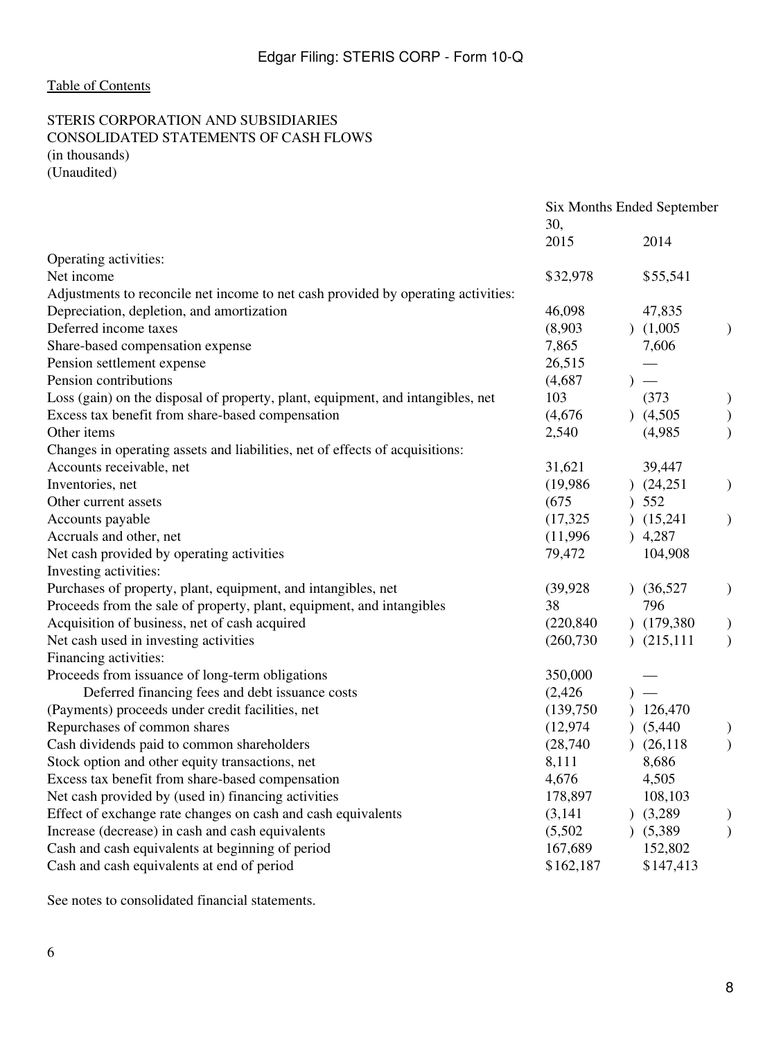#### STERIS CORPORATION AND SUBSIDIARIES CONSOLIDATED STATEMENTS OF CASH FLOWS (in thousands) (Unaudited)

|                                                                                   | Six Months Ended September |                               |               |
|-----------------------------------------------------------------------------------|----------------------------|-------------------------------|---------------|
|                                                                                   | 30,                        |                               |               |
|                                                                                   | 2015                       | 2014                          |               |
| Operating activities:                                                             |                            |                               |               |
| Net income                                                                        | \$32,978                   | \$55,541                      |               |
| Adjustments to reconcile net income to net cash provided by operating activities: |                            |                               |               |
| Depreciation, depletion, and amortization                                         | 46,098                     | 47,835                        |               |
| Deferred income taxes                                                             | (8,903)                    | (1,005)                       | )             |
| Share-based compensation expense                                                  | 7,865                      | 7,606                         |               |
| Pension settlement expense                                                        | 26,515                     | $\overbrace{\phantom{aaaaa}}$ |               |
| Pension contributions                                                             | (4,687)                    | $)$ —                         |               |
| Loss (gain) on the disposal of property, plant, equipment, and intangibles, net   | 103                        | (373)                         | $\mathcal{E}$ |
| Excess tax benefit from share-based compensation                                  | (4,676)                    | (4,505)                       | $\big)$       |
| Other items                                                                       | 2,540                      | (4,985)                       | $\mathcal{E}$ |
| Changes in operating assets and liabilities, net of effects of acquisitions:      |                            |                               |               |
| Accounts receivable, net                                                          | 31,621                     | 39,447                        |               |
| Inventories, net                                                                  | (19,986)                   | (24,251)                      | $\big)$       |
| Other current assets                                                              | (675)                      | ) 552                         |               |
| Accounts payable                                                                  | (17, 325)                  | (15,241)                      | $\mathcal{E}$ |
| Accruals and other, net                                                           | (11,996)                   | ) 4,287                       |               |
| Net cash provided by operating activities                                         | 79,472                     | 104,908                       |               |
| Investing activities:                                                             |                            |                               |               |
| Purchases of property, plant, equipment, and intangibles, net                     | (39, 928)                  | (36,527)                      | $\mathcal{E}$ |
| Proceeds from the sale of property, plant, equipment, and intangibles             | 38                         | 796                           |               |
| Acquisition of business, net of cash acquired                                     | (220, 840)                 | (179, 380)                    | $\big)$       |
| Net cash used in investing activities                                             | (260, 730)                 | (215, 111)                    | $\mathcal{E}$ |
| Financing activities:                                                             |                            |                               |               |
| Proceeds from issuance of long-term obligations                                   | 350,000                    |                               |               |
| Deferred financing fees and debt issuance costs                                   | (2, 426)                   | $)$ —                         |               |
| (Payments) proceeds under credit facilities, net                                  | (139,750)                  | 126,470                       |               |
| Repurchases of common shares                                                      | (12, 974)                  | (5,440)                       |               |
| Cash dividends paid to common shareholders                                        | (28,740)                   | (26, 118)                     | $\mathcal{E}$ |
| Stock option and other equity transactions, net                                   | 8,111                      | 8,686                         |               |
| Excess tax benefit from share-based compensation                                  | 4,676                      | 4,505                         |               |
| Net cash provided by (used in) financing activities                               | 178,897                    | 108,103                       |               |
| Effect of exchange rate changes on cash and cash equivalents                      | (3,141)                    | (3,289)                       | )             |
| Increase (decrease) in cash and cash equivalents                                  | (5,502)                    | (5,389)                       | $\mathcal{E}$ |
| Cash and cash equivalents at beginning of period                                  | 167,689                    | 152,802                       |               |
| Cash and cash equivalents at end of period                                        | \$162,187                  | \$147,413                     |               |
|                                                                                   |                            |                               |               |

See notes to consolidated financial statements.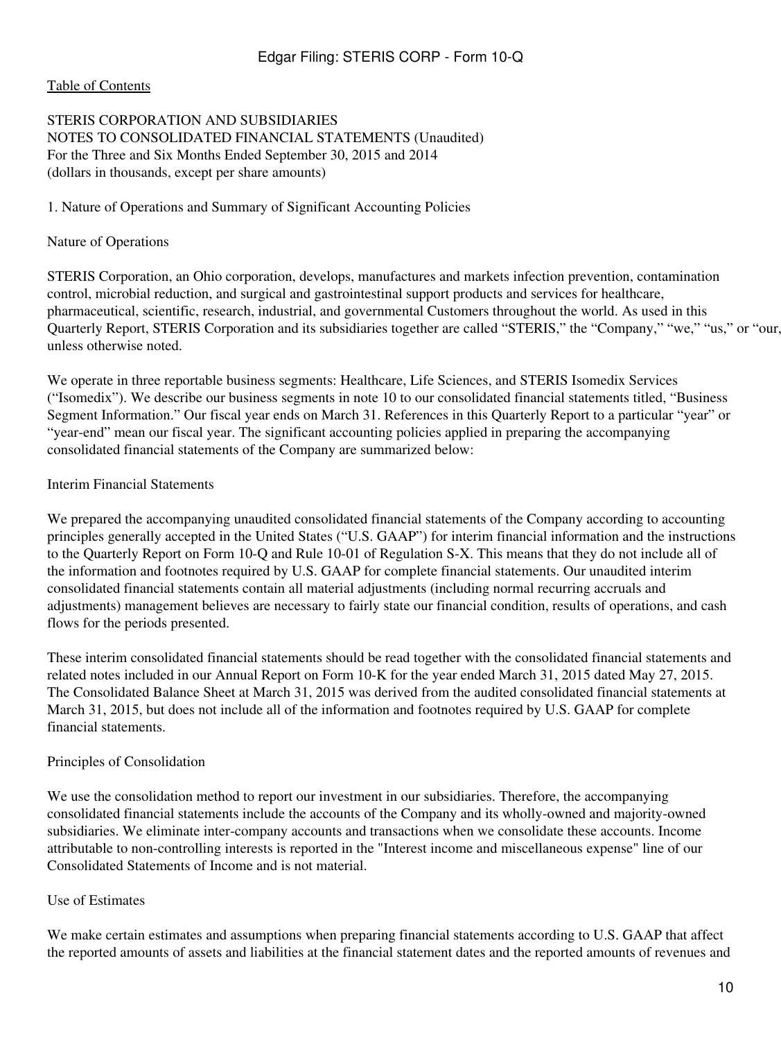#### [Table of Contents](#page-2-0)

#### STERIS CORPORATION AND SUBSIDIARIES NOTES TO CONSOLIDATED FINANCIAL STATEMENTS (Unaudited) For the Three and Six Months Ended September 30, 2015 and 2014 (dollars in thousands, except per share amounts)

#### 1. Nature of Operations and Summary of Significant Accounting Policies

#### Nature of Operations

STERIS Corporation, an Ohio corporation, develops, manufactures and markets infection prevention, contamination control, microbial reduction, and surgical and gastrointestinal support products and services for healthcare, pharmaceutical, scientific, research, industrial, and governmental Customers throughout the world. As used in this Quarterly Report, STERIS Corporation and its subsidiaries together are called "STERIS," the "Company," "we," "us," or "our," unless otherwise noted.

We operate in three reportable business segments: Healthcare, Life Sciences, and STERIS Isomedix Services ("Isomedix"). We describe our business segments in note 10 to our consolidated financial statements titled, "Business Segment Information." Our fiscal year ends on March 31. References in this Quarterly Report to a particular "year" or "year-end" mean our fiscal year. The significant accounting policies applied in preparing the accompanying consolidated financial statements of the Company are summarized below:

#### Interim Financial Statements

We prepared the accompanying unaudited consolidated financial statements of the Company according to accounting principles generally accepted in the United States ("U.S. GAAP") for interim financial information and the instructions to the Quarterly Report on Form 10-Q and Rule 10-01 of Regulation S-X. This means that they do not include all of the information and footnotes required by U.S. GAAP for complete financial statements. Our unaudited interim consolidated financial statements contain all material adjustments (including normal recurring accruals and adjustments) management believes are necessary to fairly state our financial condition, results of operations, and cash flows for the periods presented.

These interim consolidated financial statements should be read together with the consolidated financial statements and related notes included in our Annual Report on Form 10-K for the year ended March 31, 2015 dated May 27, 2015. The Consolidated Balance Sheet at March 31, 2015 was derived from the audited consolidated financial statements at March 31, 2015, but does not include all of the information and footnotes required by U.S. GAAP for complete financial statements.

#### Principles of Consolidation

We use the consolidation method to report our investment in our subsidiaries. Therefore, the accompanying consolidated financial statements include the accounts of the Company and its wholly-owned and majority-owned subsidiaries. We eliminate inter-company accounts and transactions when we consolidate these accounts. Income attributable to non-controlling interests is reported in the "Interest income and miscellaneous expense" line of our Consolidated Statements of Income and is not material.

#### Use of Estimates

We make certain estimates and assumptions when preparing financial statements according to U.S. GAAP that affect the reported amounts of assets and liabilities at the financial statement dates and the reported amounts of revenues and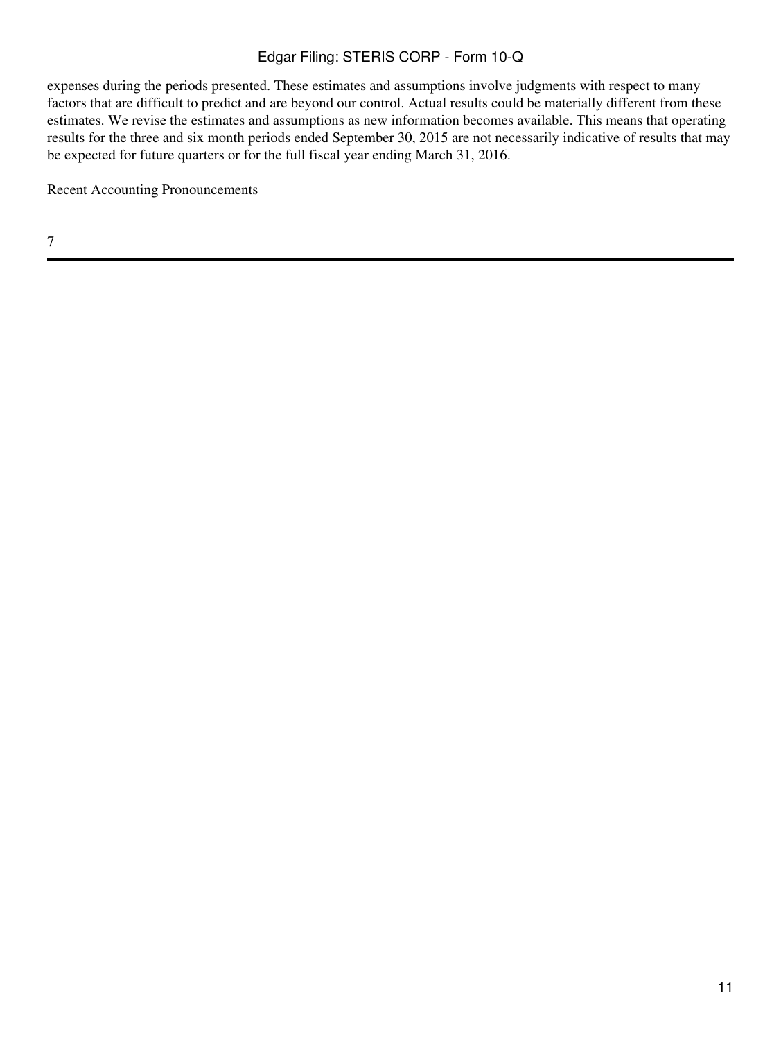expenses during the periods presented. These estimates and assumptions involve judgments with respect to many factors that are difficult to predict and are beyond our control. Actual results could be materially different from these estimates. We revise the estimates and assumptions as new information becomes available. This means that operating results for the three and six month periods ended September 30, 2015 are not necessarily indicative of results that may be expected for future quarters or for the full fiscal year ending March 31, 2016.

Recent Accounting Pronouncements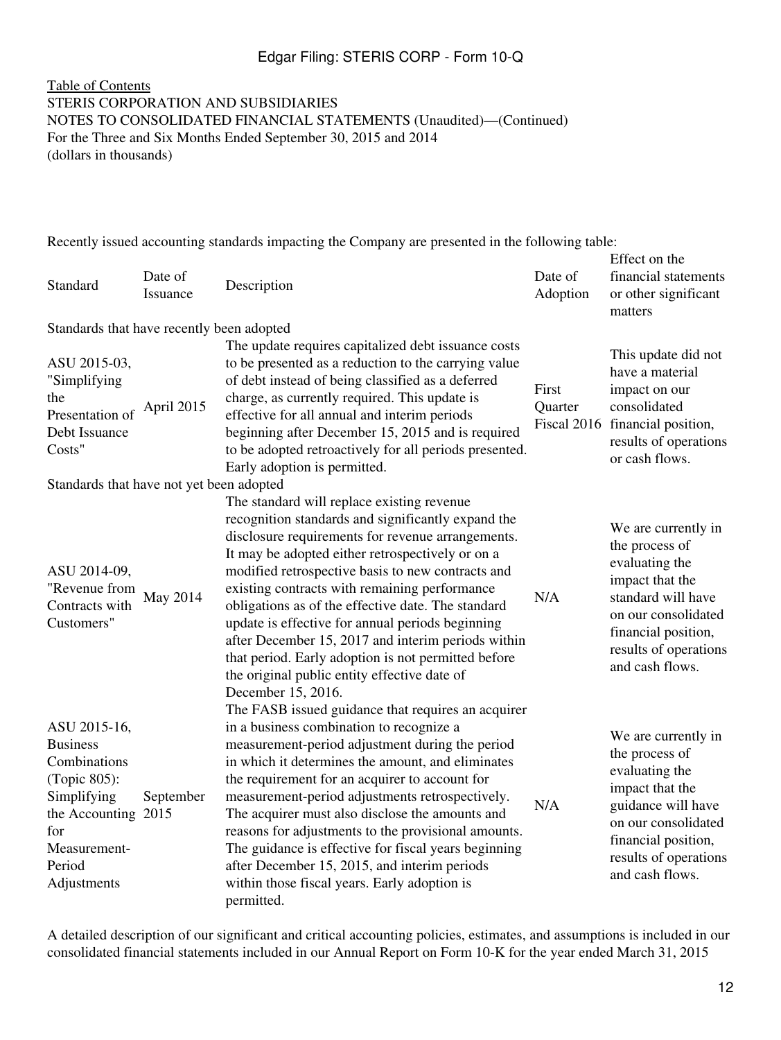#### [Table of Contents](#page-2-0) STERIS CORPORATION AND SUBSIDIARIES NOTES TO CONSOLIDATED FINANCIAL STATEMENTS (Unaudited)—(Continued) For the Three and Six Months Ended September 30, 2015 and 2014 (dollars in thousands)

Recently issued accounting standards impacting the Company are presented in the following table:

| Standard                                                                                                                                              | Date of<br>Issuance | Description                                                                                                                                                                                                                                                                                                                                                                                                                                                                                                                                                                                                  | Date of<br>Adoption | Effect on the<br>financial statements<br>or other significant<br>matters                                                                                                                   |
|-------------------------------------------------------------------------------------------------------------------------------------------------------|---------------------|--------------------------------------------------------------------------------------------------------------------------------------------------------------------------------------------------------------------------------------------------------------------------------------------------------------------------------------------------------------------------------------------------------------------------------------------------------------------------------------------------------------------------------------------------------------------------------------------------------------|---------------------|--------------------------------------------------------------------------------------------------------------------------------------------------------------------------------------------|
| Standards that have recently been adopted                                                                                                             |                     |                                                                                                                                                                                                                                                                                                                                                                                                                                                                                                                                                                                                              |                     |                                                                                                                                                                                            |
| ASU 2015-03,<br>"Simplifying<br>the<br>Presentation of<br>Debt Issuance<br>Costs"                                                                     | April 2015          | The update requires capitalized debt issuance costs<br>to be presented as a reduction to the carrying value<br>of debt instead of being classified as a deferred<br>charge, as currently required. This update is<br>effective for all annual and interim periods<br>beginning after December 15, 2015 and is required<br>to be adopted retroactively for all periods presented.<br>Early adoption is permitted.                                                                                                                                                                                             | First<br>Quarter    | This update did not<br>have a material<br>impact on our<br>consolidated<br>Fiscal 2016 financial position,<br>results of operations<br>or cash flows.                                      |
| Standards that have not yet been adopted                                                                                                              |                     |                                                                                                                                                                                                                                                                                                                                                                                                                                                                                                                                                                                                              |                     |                                                                                                                                                                                            |
| ASU 2014-09,<br>"Revenue from<br>Contracts with<br>Customers"                                                                                         | May 2014            | The standard will replace existing revenue<br>recognition standards and significantly expand the<br>disclosure requirements for revenue arrangements.<br>It may be adopted either retrospectively or on a<br>modified retrospective basis to new contracts and<br>existing contracts with remaining performance<br>obligations as of the effective date. The standard<br>update is effective for annual periods beginning<br>after December 15, 2017 and interim periods within<br>that period. Early adoption is not permitted before<br>the original public entity effective date of<br>December 15, 2016. | N/A                 | We are currently in<br>the process of<br>evaluating the<br>impact that the<br>standard will have<br>on our consolidated<br>financial position,<br>results of operations<br>and cash flows. |
| ASU 2015-16,<br><b>Business</b><br>Combinations<br>(Topic 805):<br>Simplifying<br>the Accounting 2015<br>for<br>Measurement-<br>Period<br>Adjustments | September           | The FASB issued guidance that requires an acquirer<br>in a business combination to recognize a<br>measurement-period adjustment during the period<br>in which it determines the amount, and eliminates<br>the requirement for an acquirer to account for<br>measurement-period adjustments retrospectively.<br>The acquirer must also disclose the amounts and<br>reasons for adjustments to the provisional amounts.<br>The guidance is effective for fiscal years beginning<br>after December 15, 2015, and interim periods<br>within those fiscal years. Early adoption is<br>permitted.                  | N/A                 | We are currently in<br>the process of<br>evaluating the<br>impact that the<br>guidance will have<br>on our consolidated<br>financial position,<br>results of operations<br>and cash flows. |

A detailed description of our significant and critical accounting policies, estimates, and assumptions is included in our consolidated financial statements included in our Annual Report on Form 10-K for the year ended March 31, 2015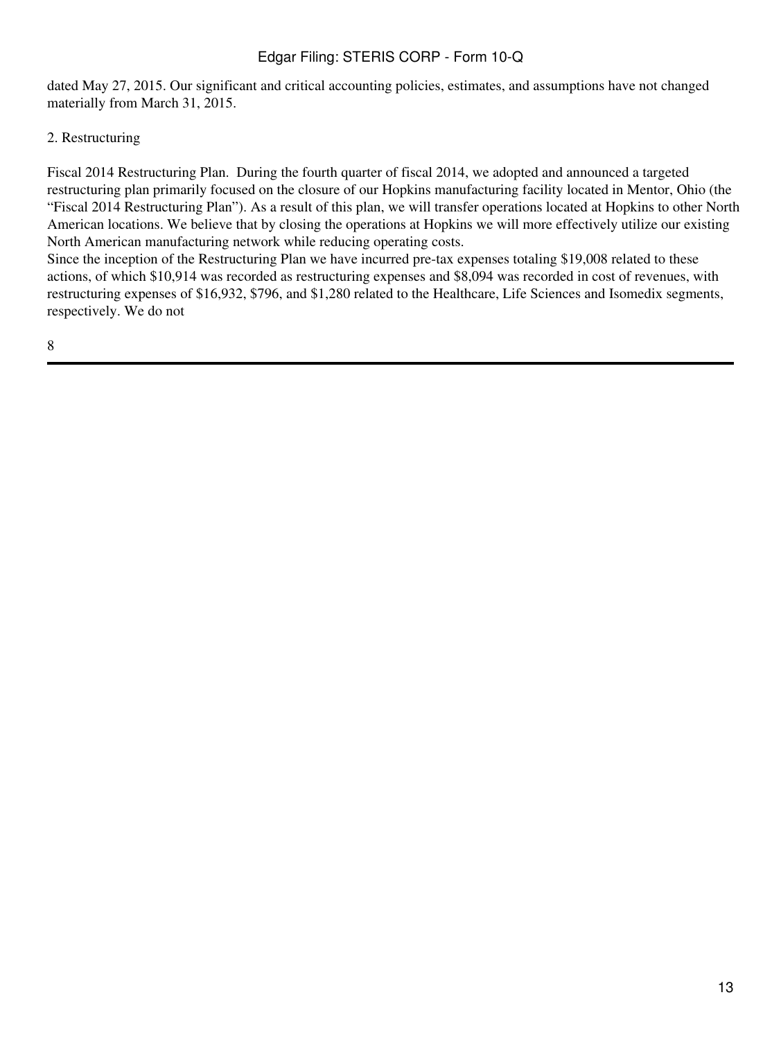dated May 27, 2015. Our significant and critical accounting policies, estimates, and assumptions have not changed materially from March 31, 2015.

### 2. Restructuring

Fiscal 2014 Restructuring Plan. During the fourth quarter of fiscal 2014, we adopted and announced a targeted restructuring plan primarily focused on the closure of our Hopkins manufacturing facility located in Mentor, Ohio (the "Fiscal 2014 Restructuring Plan"). As a result of this plan, we will transfer operations located at Hopkins to other North American locations. We believe that by closing the operations at Hopkins we will more effectively utilize our existing North American manufacturing network while reducing operating costs.

Since the inception of the Restructuring Plan we have incurred pre-tax expenses totaling \$19,008 related to these actions, of which \$10,914 was recorded as restructuring expenses and \$8,094 was recorded in cost of revenues, with restructuring expenses of \$16,932, \$796, and \$1,280 related to the Healthcare, Life Sciences and Isomedix segments, respectively. We do not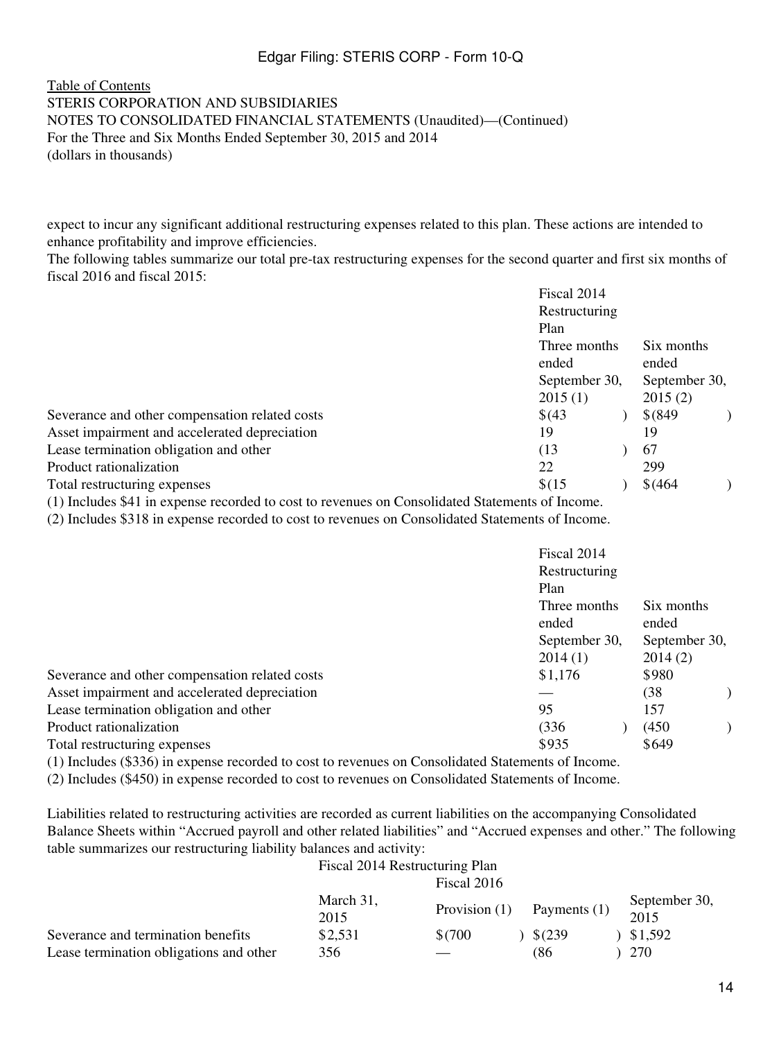#### [Table of Contents](#page-2-0) STERIS CORPORATION AND SUBSIDIARIES NOTES TO CONSOLIDATED FINANCIAL STATEMENTS (Unaudited)—(Continued) For the Three and Six Months Ended September 30, 2015 and 2014 (dollars in thousands)

expect to incur any significant additional restructuring expenses related to this plan. These actions are intended to enhance profitability and improve efficiencies.

The following tables summarize our total pre-tax restructuring expenses for the second quarter and first six months of fiscal 2016 and fiscal 2015:

| Fiscal 2014    |  |                                |            |  |  |
|----------------|--|--------------------------------|------------|--|--|
|                |  |                                |            |  |  |
| Plan           |  |                                |            |  |  |
| Three months   |  |                                |            |  |  |
| ended<br>ended |  |                                |            |  |  |
|                |  | September 30,                  |            |  |  |
| 2015(1)        |  | 2015(2)                        |            |  |  |
| \$(43)         |  | $$^{(849)}$                    |            |  |  |
| 19             |  | 19                             |            |  |  |
| (13)           |  | 67                             |            |  |  |
| 22             |  | 299                            |            |  |  |
| \$(15)         |  | \$ (464)                       |            |  |  |
|                |  | Restructuring<br>September 30, | Six months |  |  |

(1) Includes \$41 in expense recorded to cost to revenues on Consolidated Statements of Income.

(2) Includes \$318 in expense recorded to cost to revenues on Consolidated Statements of Income.

|                                                | Fiscal 2014<br>Restructuring<br>Plan |                     |  |
|------------------------------------------------|--------------------------------------|---------------------|--|
|                                                | Three months<br>ended                | Six months<br>ended |  |
|                                                | September 30,                        | September 30,       |  |
|                                                | 2014(1)                              | 2014(2)             |  |
| Severance and other compensation related costs | \$1,176                              | \$980               |  |
| Asset impairment and accelerated depreciation  |                                      | (38)                |  |
| Lease termination obligation and other         | 95                                   | 157                 |  |
| Product rationalization                        | (336                                 | (450)               |  |
| Total restructuring expenses                   | \$935                                | \$649               |  |
| (1)<br>$\sim$ $\sim$<br>1.1.1.1.01.1           |                                      |                     |  |

(1) Includes (\$336) in expense recorded to cost to revenues on Consolidated Statements of Income.

(2) Includes (\$450) in expense recorded to cost to revenues on Consolidated Statements of Income.

Liabilities related to restructuring activities are recorded as current liabilities on the accompanying Consolidated Balance Sheets within "Accrued payroll and other related liabilities" and "Accrued expenses and other." The following table summarizes our restructuring liability balances and activity:

|                                         | Fiscal 2014 Restructuring Plan |                 |              |                       |
|-----------------------------------------|--------------------------------|-----------------|--------------|-----------------------|
|                                         |                                | Fiscal 2016     |              |                       |
|                                         | March 31,<br>2015              | Provision $(1)$ | Payments (1) | September 30,<br>2015 |
| Severance and termination benefits      | \$2,531                        | \$(700          | $$^{(239)}$  | \$1,592               |
| Lease termination obligations and other | 356                            |                 | (86          | 270                   |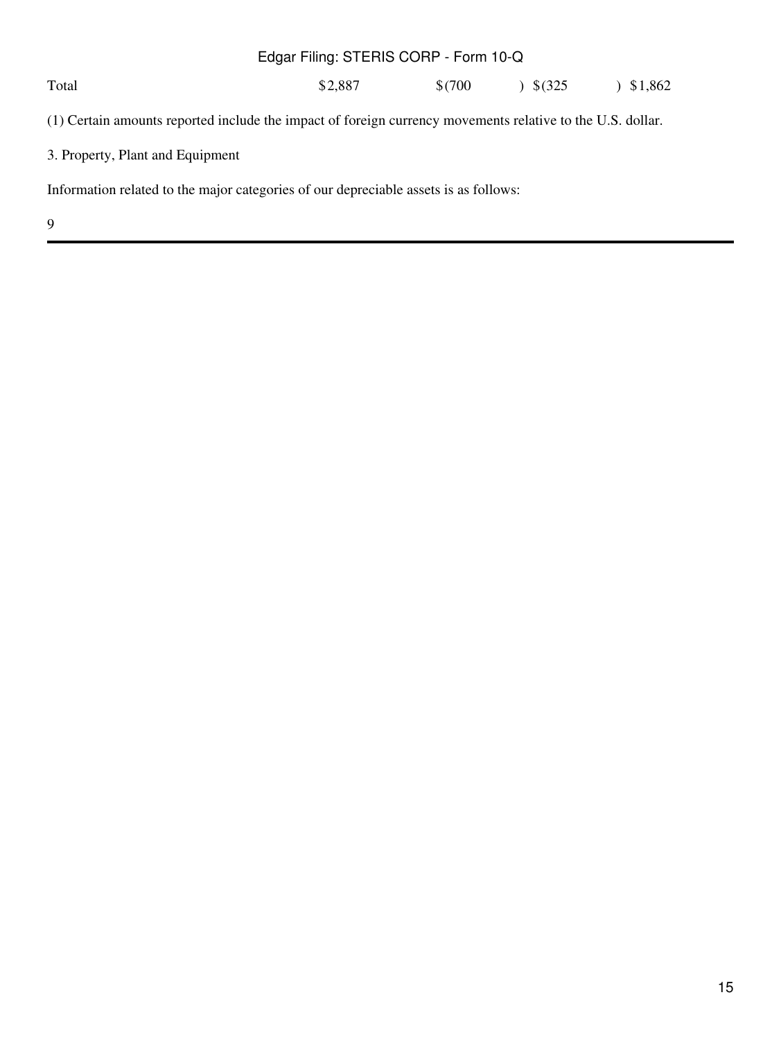Total  $$2,887$   $$(700)$   $$(325)$   $$1,862$ Edgar Filing: STERIS CORP - Form 10-Q

(1) Certain amounts reported include the impact of foreign currency movements relative to the U.S. dollar.

3. Property, Plant and Equipment

Information related to the major categories of our depreciable assets is as follows: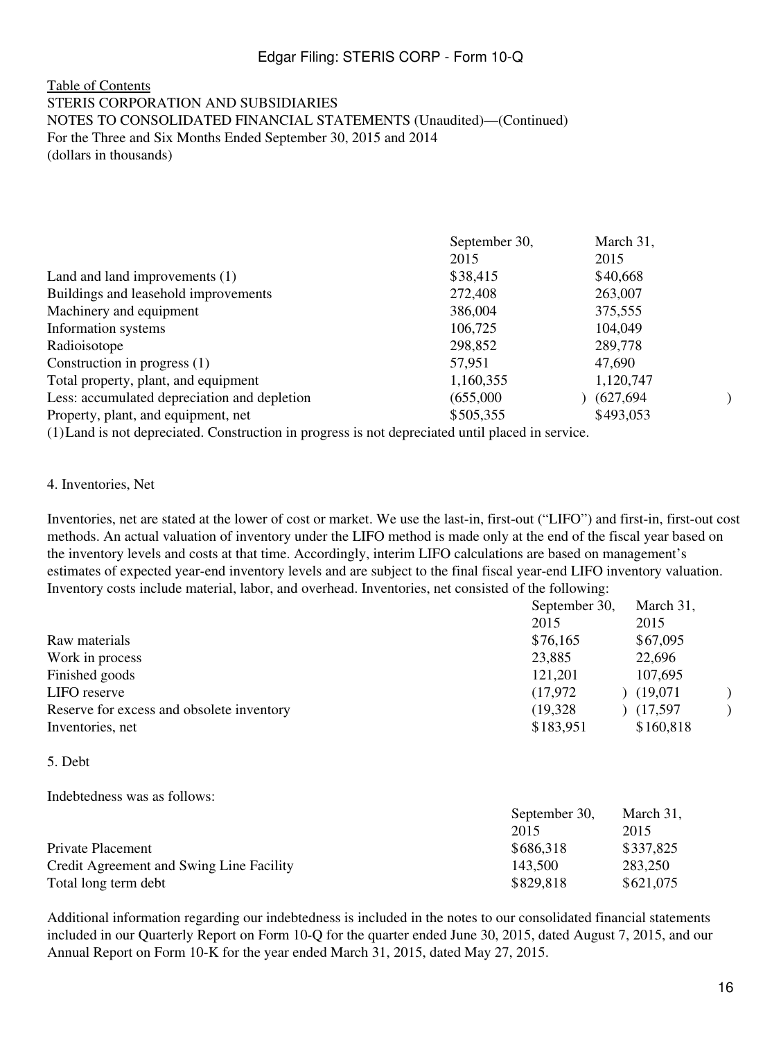#### [Table of Contents](#page-2-0) STERIS CORPORATION AND SUBSIDIARIES NOTES TO CONSOLIDATED FINANCIAL STATEMENTS (Unaudited)—(Continued) For the Three and Six Months Ended September 30, 2015 and 2014 (dollars in thousands)

|                                              | September 30, | March 31,  |  |
|----------------------------------------------|---------------|------------|--|
|                                              | 2015          | 2015       |  |
| Land and land improvements (1)               | \$38,415      | \$40,668   |  |
| Buildings and leasehold improvements         | 272,408       | 263,007    |  |
| Machinery and equipment                      | 386,004       | 375,555    |  |
| Information systems                          | 106,725       | 104,049    |  |
| Radioisotope                                 | 298,852       | 289,778    |  |
| Construction in progress $(1)$               | 57,951        | 47,690     |  |
| Total property, plant, and equipment         | 1,160,355     | 1,120,747  |  |
| Less: accumulated depreciation and depletion | (655,000)     | (627, 694) |  |
| Property, plant, and equipment, net          | \$505,355     | \$493,053  |  |
|                                              |               |            |  |

(1)Land is not depreciated. Construction in progress is not depreciated until placed in service.

#### 4. Inventories, Net

Inventories, net are stated at the lower of cost or market. We use the last-in, first-out ("LIFO") and first-in, first-out cost methods. An actual valuation of inventory under the LIFO method is made only at the end of the fiscal year based on the inventory levels and costs at that time. Accordingly, interim LIFO calculations are based on management's estimates of expected year-end inventory levels and are subject to the final fiscal year-end LIFO inventory valuation. Inventory costs include material, labor, and overhead. Inventories, net consisted of the following:

|                                           | September 30, |           |  |
|-------------------------------------------|---------------|-----------|--|
|                                           | 2015          | 2015      |  |
| Raw materials                             | \$76,165      | \$67,095  |  |
| Work in process                           | 23,885        | 22,696    |  |
| Finished goods                            | 121,201       | 107,695   |  |
| LIFO reserve                              | (17, 972)     | (19,071)  |  |
| Reserve for excess and obsolete inventory | (19, 328)     | (17,597)  |  |
| Inventories, net                          | \$183,951     | \$160,818 |  |

#### 5. Debt

Indebtedness was as follows:

|                                          | September 30, |           |
|------------------------------------------|---------------|-----------|
|                                          | 2015          | 2015      |
| Private Placement                        | \$686,318     | \$337,825 |
| Credit Agreement and Swing Line Facility | 143.500       | 283,250   |
| Total long term debt                     | \$829,818     | \$621,075 |

Additional information regarding our indebtedness is included in the notes to our consolidated financial statements included in our Quarterly Report on Form 10-Q for the quarter ended June 30, 2015, dated August 7, 2015, and our Annual Report on Form 10-K for the year ended March 31, 2015, dated May 27, 2015.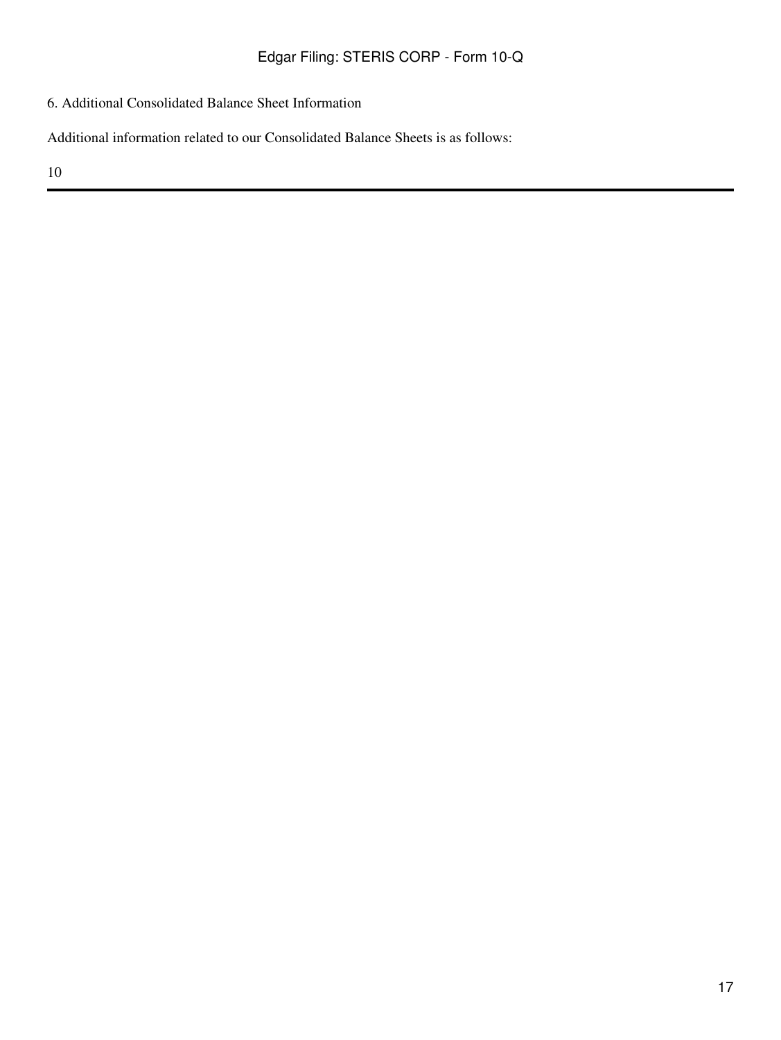6. Additional Consolidated Balance Sheet Information

Additional information related to our Consolidated Balance Sheets is as follows: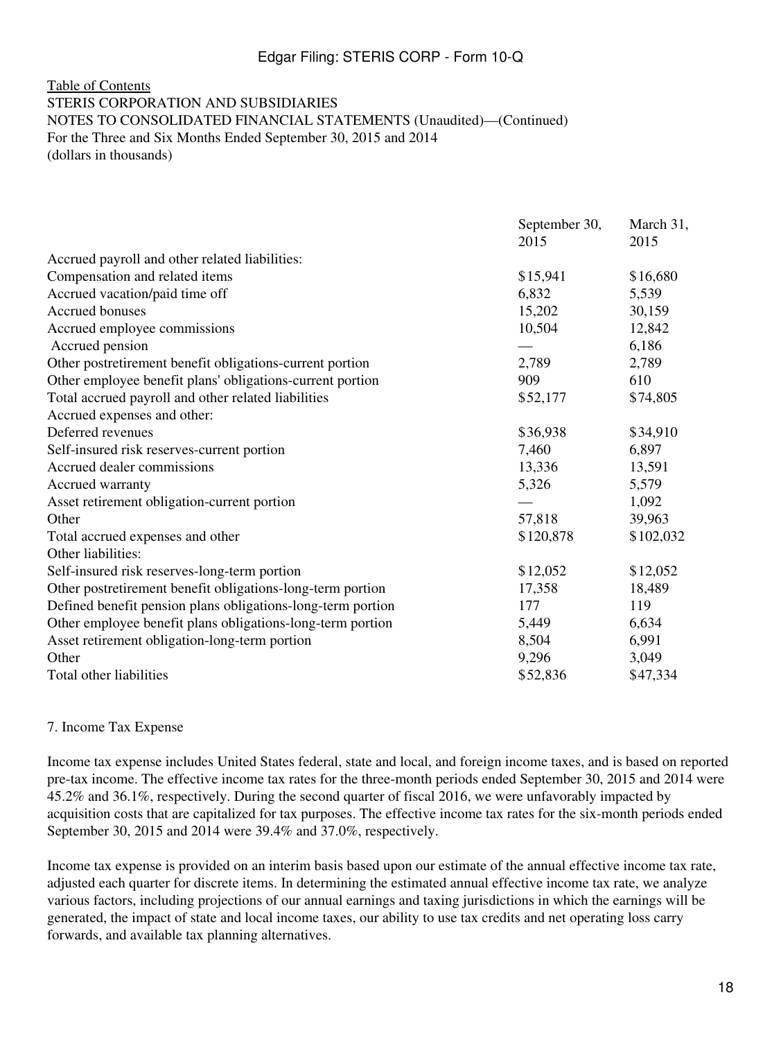#### [Table of Contents](#page-2-0) STERIS CORPORATION AND SUBSIDIARIES NOTES TO CONSOLIDATED FINANCIAL STATEMENTS (Unaudited)—(Continued) For the Three and Six Months Ended September 30, 2015 and 2014 (dollars in thousands)

|                                                             | September 30, | March 31, |
|-------------------------------------------------------------|---------------|-----------|
|                                                             | 2015          | 2015      |
| Accrued payroll and other related liabilities:              |               |           |
| Compensation and related items                              | \$15,941      | \$16,680  |
| Accrued vacation/paid time off                              | 6,832         | 5,539     |
| Accrued bonuses                                             | 15,202        | 30,159    |
| Accrued employee commissions                                | 10,504        | 12,842    |
| Accrued pension                                             |               | 6,186     |
| Other postretirement benefit obligations-current portion    | 2,789         | 2,789     |
| Other employee benefit plans' obligations-current portion   | 909           | 610       |
| Total accrued payroll and other related liabilities         | \$52,177      | \$74,805  |
| Accrued expenses and other:                                 |               |           |
| Deferred revenues                                           | \$36,938      | \$34,910  |
| Self-insured risk reserves-current portion                  | 7,460         | 6,897     |
| Accrued dealer commissions                                  | 13,336        | 13,591    |
| Accrued warranty                                            | 5,326         | 5,579     |
| Asset retirement obligation-current portion                 |               | 1,092     |
| Other                                                       | 57,818        | 39,963    |
| Total accrued expenses and other                            | \$120,878     | \$102,032 |
| Other liabilities:                                          |               |           |
| Self-insured risk reserves-long-term portion                | \$12,052      | \$12,052  |
| Other postretirement benefit obligations-long-term portion  | 17,358        | 18,489    |
| Defined benefit pension plans obligations-long-term portion | 177           | 119       |
| Other employee benefit plans obligations-long-term portion  | 5,449         | 6,634     |
| Asset retirement obligation-long-term portion               | 8,504         | 6,991     |
| Other                                                       | 9,296         | 3,049     |
| Total other liabilities                                     | \$52,836      | \$47,334  |

#### 7. Income Tax Expense

Income tax expense includes United States federal, state and local, and foreign income taxes, and is based on reported pre-tax income. The effective income tax rates for the three-month periods ended September 30, 2015 and 2014 were 45.2% and 36.1%, respectively. During the second quarter of fiscal 2016, we were unfavorably impacted by acquisition costs that are capitalized for tax purposes. The effective income tax rates for the six-month periods ended September 30, 2015 and 2014 were 39.4% and 37.0%, respectively.

Income tax expense is provided on an interim basis based upon our estimate of the annual effective income tax rate, adjusted each quarter for discrete items. In determining the estimated annual effective income tax rate, we analyze various factors, including projections of our annual earnings and taxing jurisdictions in which the earnings will be generated, the impact of state and local income taxes, our ability to use tax credits and net operating loss carry forwards, and available tax planning alternatives.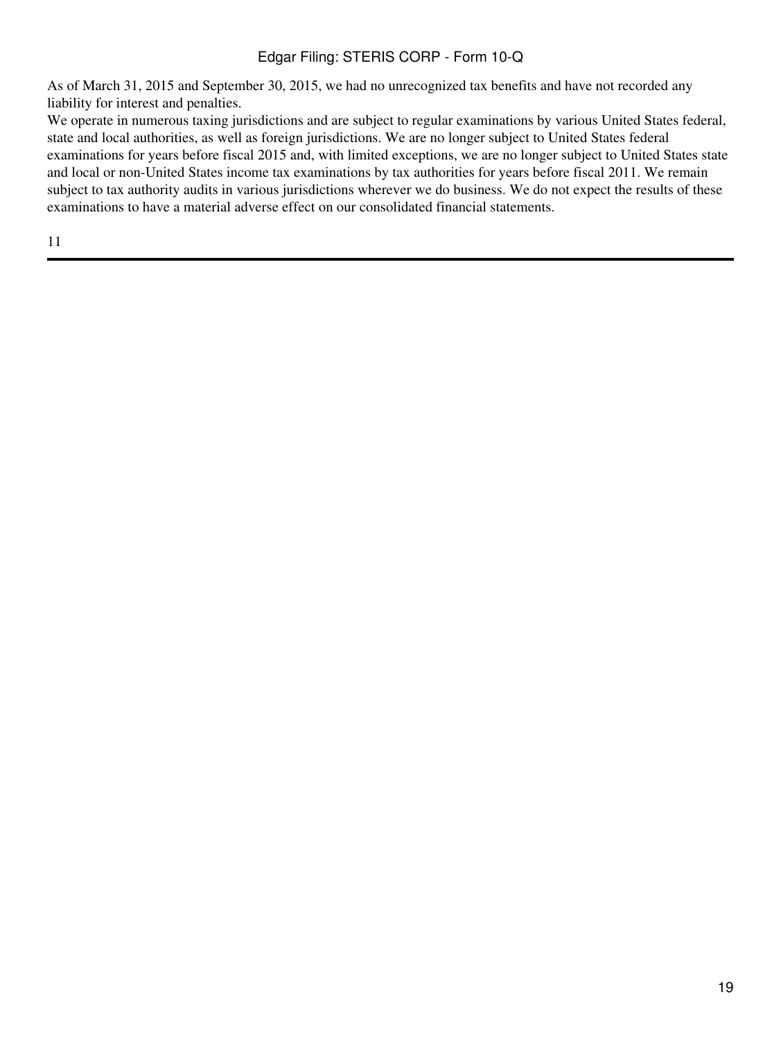As of March 31, 2015 and September 30, 2015, we had no unrecognized tax benefits and have not recorded any liability for interest and penalties.

We operate in numerous taxing jurisdictions and are subject to regular examinations by various United States federal, state and local authorities, as well as foreign jurisdictions. We are no longer subject to United States federal examinations for years before fiscal 2015 and, with limited exceptions, we are no longer subject to United States state and local or non-United States income tax examinations by tax authorities for years before fiscal 2011. We remain subject to tax authority audits in various jurisdictions wherever we do business. We do not expect the results of these examinations to have a material adverse effect on our consolidated financial statements.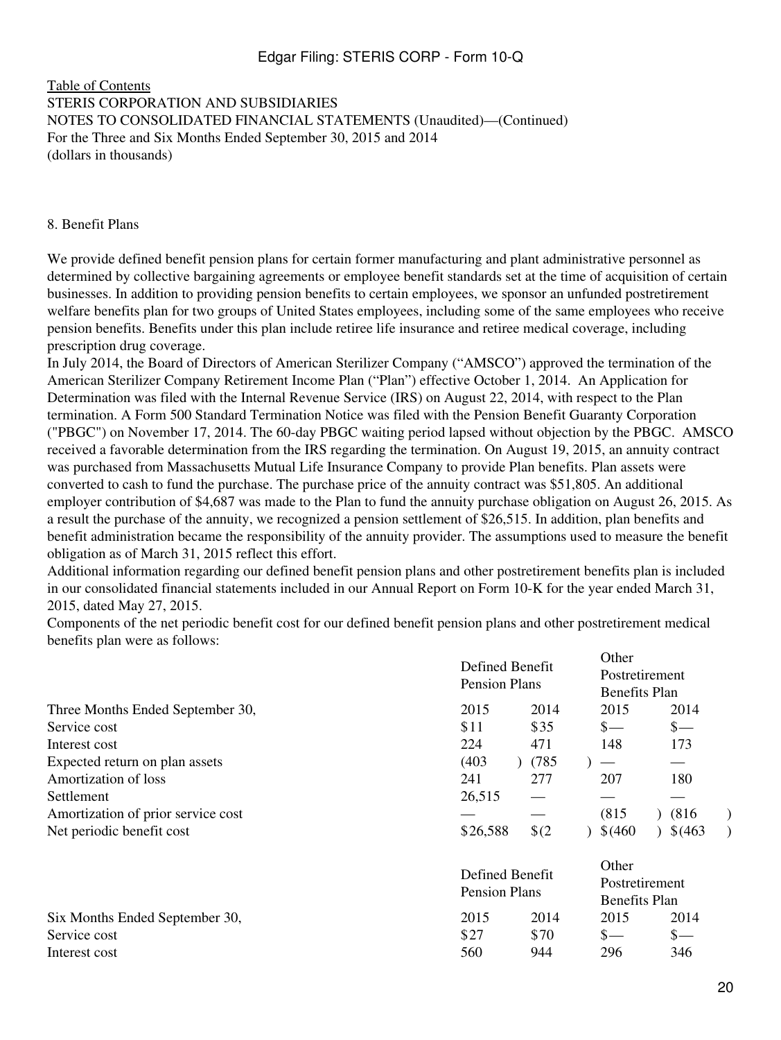#### [Table of Contents](#page-2-0) STERIS CORPORATION AND SUBSIDIARIES NOTES TO CONSOLIDATED FINANCIAL STATEMENTS (Unaudited)—(Continued) For the Three and Six Months Ended September 30, 2015 and 2014 (dollars in thousands)

#### 8. Benefit Plans

We provide defined benefit pension plans for certain former manufacturing and plant administrative personnel as determined by collective bargaining agreements or employee benefit standards set at the time of acquisition of certain businesses. In addition to providing pension benefits to certain employees, we sponsor an unfunded postretirement welfare benefits plan for two groups of United States employees, including some of the same employees who receive pension benefits. Benefits under this plan include retiree life insurance and retiree medical coverage, including prescription drug coverage.

In July 2014, the Board of Directors of American Sterilizer Company ("AMSCO") approved the termination of the American Sterilizer Company Retirement Income Plan ("Plan") effective October 1, 2014. An Application for Determination was filed with the Internal Revenue Service (IRS) on August 22, 2014, with respect to the Plan termination. A Form 500 Standard Termination Notice was filed with the Pension Benefit Guaranty Corporation ("PBGC") on November 17, 2014. The 60-day PBGC waiting period lapsed without objection by the PBGC. AMSCO received a favorable determination from the IRS regarding the termination. On August 19, 2015, an annuity contract was purchased from Massachusetts Mutual Life Insurance Company to provide Plan benefits. Plan assets were converted to cash to fund the purchase. The purchase price of the annuity contract was \$51,805. An additional employer contribution of \$4,687 was made to the Plan to fund the annuity purchase obligation on August 26, 2015. As a result the purchase of the annuity, we recognized a pension settlement of \$26,515. In addition, plan benefits and benefit administration became the responsibility of the annuity provider. The assumptions used to measure the benefit obligation as of March 31, 2015 reflect this effort.

Additional information regarding our defined benefit pension plans and other postretirement benefits plan is included in our consolidated financial statements included in our Annual Report on Form 10-K for the year ended March 31, 2015, dated May 27, 2015.

Components of the net periodic benefit cost for our defined benefit pension plans and other postretirement medical benefits plan were as follows:

|                                    | Defined Benefit<br><b>Pension Plans</b> |               | Uther<br>Postretirement<br>Benefits Plan        |                 |  |  |
|------------------------------------|-----------------------------------------|---------------|-------------------------------------------------|-----------------|--|--|
| Three Months Ended September 30,   | 2015                                    | 2014          | 2015                                            | 2014            |  |  |
| Service cost                       | \$11                                    | \$35          | $s-$                                            | $\frac{\S}{\S}$ |  |  |
| Interest cost                      | 224                                     | 471           | 148                                             | 173             |  |  |
| Expected return on plan assets     | (403)                                   | (785)         | $\overline{\phantom{m}}$                        |                 |  |  |
| Amortization of loss               | 241                                     | 277           | 207                                             | 180             |  |  |
| Settlement                         | 26,515                                  |               |                                                 |                 |  |  |
| Amortization of prior service cost |                                         |               | (815)                                           | (816)           |  |  |
| Net periodic benefit cost          | \$26,588                                | $\frac{1}{2}$ | \$ (460)                                        | 3(463)          |  |  |
|                                    | Defined Benefit<br>Pension Plans        |               | Other<br>Postretirement<br><b>Benefits Plan</b> |                 |  |  |
| Six Months Ended September 30,     | 2015                                    | 2014          | 2015                                            | 2014            |  |  |
| Service cost                       | \$27                                    | \$70          | $S-$                                            | $\mathbf{s}$ —  |  |  |
| Interest cost                      | 560                                     | 944           | 296                                             | 346             |  |  |

 $\sim$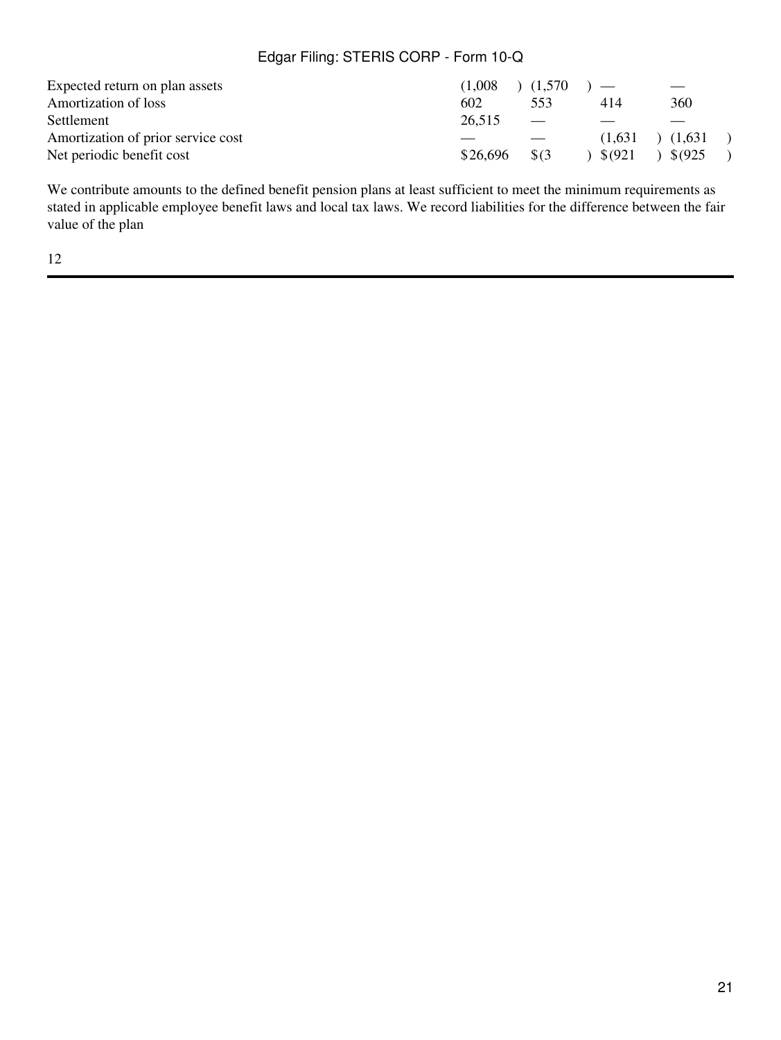| Expected return on plan assets     | $(1,008)$ $(1,570)$ $-$ |                          |         |                  |
|------------------------------------|-------------------------|--------------------------|---------|------------------|
| Amortization of loss               | 602                     | 553                      | 414     | 360              |
| Settlement                         | 26,515                  | $\overline{\phantom{0}}$ |         |                  |
| Amortization of prior service cost |                         |                          | (1.631) | (1.631)          |
| Net periodic benefit cost          | \$26.696                | - SG3                    | \$6921  | $\binom{8}{925}$ |

We contribute amounts to the defined benefit pension plans at least sufficient to meet the minimum requirements as stated in applicable employee benefit laws and local tax laws. We record liabilities for the difference between the fair value of the plan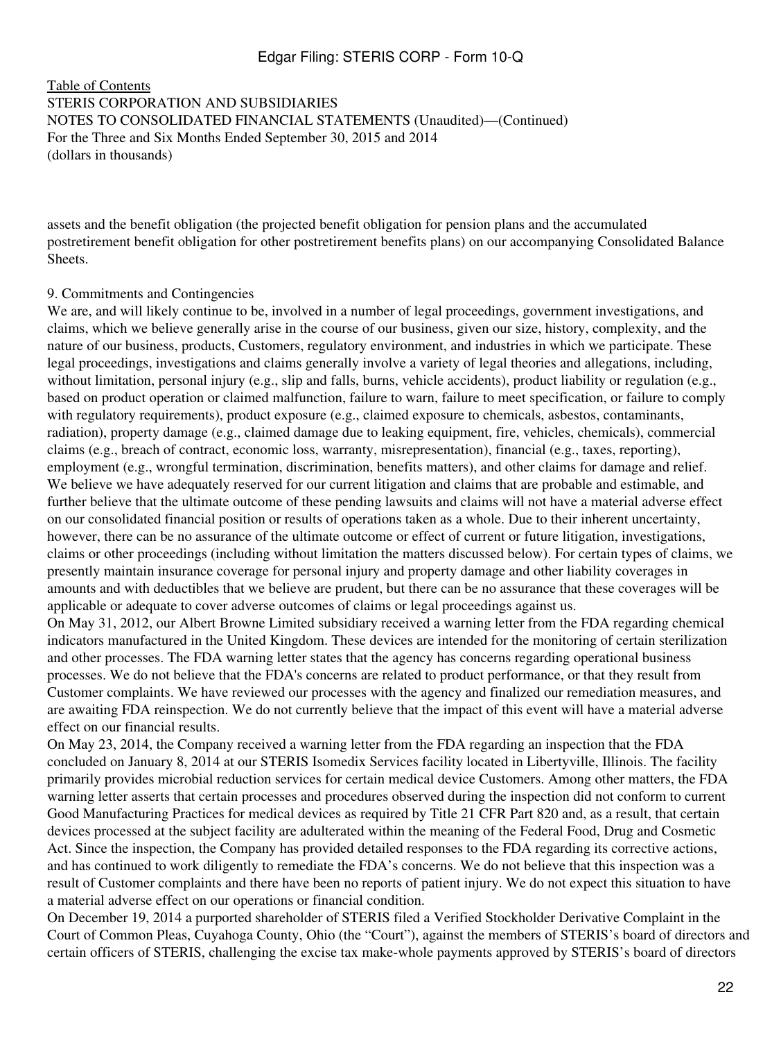[Table of Contents](#page-2-0) STERIS CORPORATION AND SUBSIDIARIES NOTES TO CONSOLIDATED FINANCIAL STATEMENTS (Unaudited)—(Continued) For the Three and Six Months Ended September 30, 2015 and 2014 (dollars in thousands)

assets and the benefit obligation (the projected benefit obligation for pension plans and the accumulated postretirement benefit obligation for other postretirement benefits plans) on our accompanying Consolidated Balance Sheets.

#### 9. Commitments and Contingencies

We are, and will likely continue to be, involved in a number of legal proceedings, government investigations, and claims, which we believe generally arise in the course of our business, given our size, history, complexity, and the nature of our business, products, Customers, regulatory environment, and industries in which we participate. These legal proceedings, investigations and claims generally involve a variety of legal theories and allegations, including, without limitation, personal injury (e.g., slip and falls, burns, vehicle accidents), product liability or regulation (e.g., based on product operation or claimed malfunction, failure to warn, failure to meet specification, or failure to comply with regulatory requirements), product exposure (e.g., claimed exposure to chemicals, asbestos, contaminants, radiation), property damage (e.g., claimed damage due to leaking equipment, fire, vehicles, chemicals), commercial claims (e.g., breach of contract, economic loss, warranty, misrepresentation), financial (e.g., taxes, reporting), employment (e.g., wrongful termination, discrimination, benefits matters), and other claims for damage and relief. We believe we have adequately reserved for our current litigation and claims that are probable and estimable, and further believe that the ultimate outcome of these pending lawsuits and claims will not have a material adverse effect on our consolidated financial position or results of operations taken as a whole. Due to their inherent uncertainty, however, there can be no assurance of the ultimate outcome or effect of current or future litigation, investigations, claims or other proceedings (including without limitation the matters discussed below). For certain types of claims, we presently maintain insurance coverage for personal injury and property damage and other liability coverages in amounts and with deductibles that we believe are prudent, but there can be no assurance that these coverages will be applicable or adequate to cover adverse outcomes of claims or legal proceedings against us.

On May 31, 2012, our Albert Browne Limited subsidiary received a warning letter from the FDA regarding chemical indicators manufactured in the United Kingdom. These devices are intended for the monitoring of certain sterilization and other processes. The FDA warning letter states that the agency has concerns regarding operational business processes. We do not believe that the FDA's concerns are related to product performance, or that they result from Customer complaints. We have reviewed our processes with the agency and finalized our remediation measures, and are awaiting FDA reinspection. We do not currently believe that the impact of this event will have a material adverse effect on our financial results.

On May 23, 2014, the Company received a warning letter from the FDA regarding an inspection that the FDA concluded on January 8, 2014 at our STERIS Isomedix Services facility located in Libertyville, Illinois. The facility primarily provides microbial reduction services for certain medical device Customers. Among other matters, the FDA warning letter asserts that certain processes and procedures observed during the inspection did not conform to current Good Manufacturing Practices for medical devices as required by Title 21 CFR Part 820 and, as a result, that certain devices processed at the subject facility are adulterated within the meaning of the Federal Food, Drug and Cosmetic Act. Since the inspection, the Company has provided detailed responses to the FDA regarding its corrective actions, and has continued to work diligently to remediate the FDA's concerns. We do not believe that this inspection was a result of Customer complaints and there have been no reports of patient injury. We do not expect this situation to have a material adverse effect on our operations or financial condition.

On December 19, 2014 a purported shareholder of STERIS filed a Verified Stockholder Derivative Complaint in the Court of Common Pleas, Cuyahoga County, Ohio (the "Court"), against the members of STERIS's board of directors and certain officers of STERIS, challenging the excise tax make-whole payments approved by STERIS's board of directors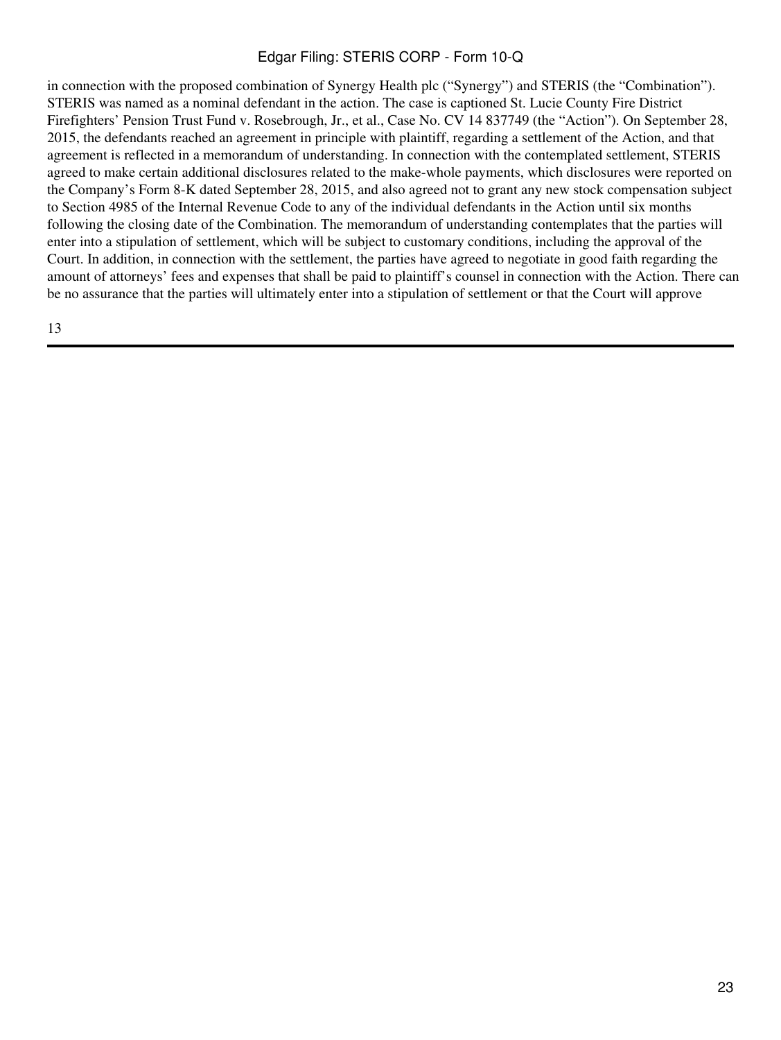in connection with the proposed combination of Synergy Health plc ("Synergy") and STERIS (the "Combination"). STERIS was named as a nominal defendant in the action. The case is captioned St. Lucie County Fire District Firefighters' Pension Trust Fund v. Rosebrough, Jr., et al., Case No. CV 14 837749 (the "Action"). On September 28, 2015, the defendants reached an agreement in principle with plaintiff, regarding a settlement of the Action, and that agreement is reflected in a memorandum of understanding. In connection with the contemplated settlement, STERIS agreed to make certain additional disclosures related to the make-whole payments, which disclosures were reported on the Company's Form 8-K dated September 28, 2015, and also agreed not to grant any new stock compensation subject to Section 4985 of the Internal Revenue Code to any of the individual defendants in the Action until six months following the closing date of the Combination. The memorandum of understanding contemplates that the parties will enter into a stipulation of settlement, which will be subject to customary conditions, including the approval of the Court. In addition, in connection with the settlement, the parties have agreed to negotiate in good faith regarding the amount of attorneys' fees and expenses that shall be paid to plaintiff's counsel in connection with the Action. There can be no assurance that the parties will ultimately enter into a stipulation of settlement or that the Court will approve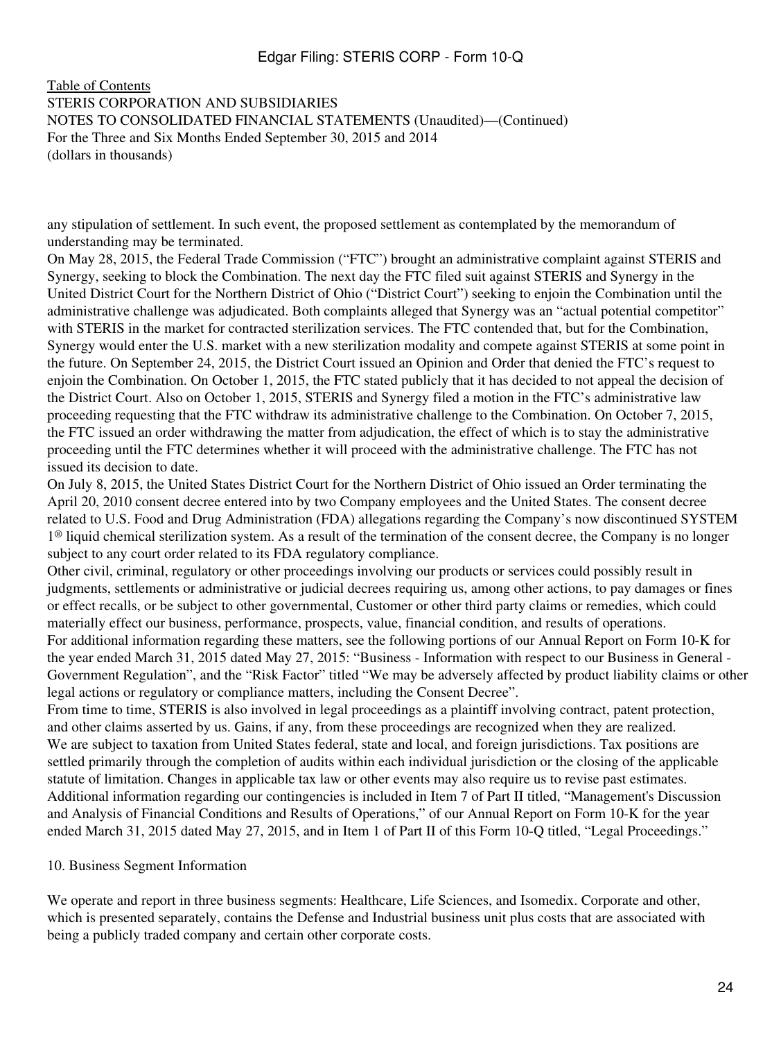[Table of Contents](#page-2-0) STERIS CORPORATION AND SUBSIDIARIES NOTES TO CONSOLIDATED FINANCIAL STATEMENTS (Unaudited)—(Continued) For the Three and Six Months Ended September 30, 2015 and 2014 (dollars in thousands)

any stipulation of settlement. In such event, the proposed settlement as contemplated by the memorandum of understanding may be terminated.

On May 28, 2015, the Federal Trade Commission ("FTC") brought an administrative complaint against STERIS and Synergy, seeking to block the Combination. The next day the FTC filed suit against STERIS and Synergy in the United District Court for the Northern District of Ohio ("District Court") seeking to enjoin the Combination until the administrative challenge was adjudicated. Both complaints alleged that Synergy was an "actual potential competitor" with STERIS in the market for contracted sterilization services. The FTC contended that, but for the Combination, Synergy would enter the U.S. market with a new sterilization modality and compete against STERIS at some point in the future. On September 24, 2015, the District Court issued an Opinion and Order that denied the FTC's request to enjoin the Combination. On October 1, 2015, the FTC stated publicly that it has decided to not appeal the decision of the District Court. Also on October 1, 2015, STERIS and Synergy filed a motion in the FTC's administrative law proceeding requesting that the FTC withdraw its administrative challenge to the Combination. On October 7, 2015, the FTC issued an order withdrawing the matter from adjudication, the effect of which is to stay the administrative proceeding until the FTC determines whether it will proceed with the administrative challenge. The FTC has not issued its decision to date.

On July 8, 2015, the United States District Court for the Northern District of Ohio issued an Order terminating the April 20, 2010 consent decree entered into by two Company employees and the United States. The consent decree related to U.S. Food and Drug Administration (FDA) allegations regarding the Company's now discontinued SYSTEM  $1^\circledR$  liquid chemical sterilization system. As a result of the termination of the consent decree, the Company is no longer subject to any court order related to its FDA regulatory compliance.

Other civil, criminal, regulatory or other proceedings involving our products or services could possibly result in judgments, settlements or administrative or judicial decrees requiring us, among other actions, to pay damages or fines or effect recalls, or be subject to other governmental, Customer or other third party claims or remedies, which could materially effect our business, performance, prospects, value, financial condition, and results of operations. For additional information regarding these matters, see the following portions of our Annual Report on Form 10-K for the year ended March 31, 2015 dated May 27, 2015: "Business - Information with respect to our Business in General - Government Regulation", and the "Risk Factor" titled "We may be adversely affected by product liability claims or other legal actions or regulatory or compliance matters, including the Consent Decree".

From time to time, STERIS is also involved in legal proceedings as a plaintiff involving contract, patent protection, and other claims asserted by us. Gains, if any, from these proceedings are recognized when they are realized. We are subject to taxation from United States federal, state and local, and foreign jurisdictions. Tax positions are settled primarily through the completion of audits within each individual jurisdiction or the closing of the applicable statute of limitation. Changes in applicable tax law or other events may also require us to revise past estimates. Additional information regarding our contingencies is included in Item 7 of Part II titled, "Management's Discussion and Analysis of Financial Conditions and Results of Operations," of our Annual Report on Form 10-K for the year ended March 31, 2015 dated May 27, 2015, and in Item 1 of Part II of this Form 10-Q titled, "Legal Proceedings."

#### 10. Business Segment Information

We operate and report in three business segments: Healthcare, Life Sciences, and Isomedix. Corporate and other, which is presented separately, contains the Defense and Industrial business unit plus costs that are associated with being a publicly traded company and certain other corporate costs.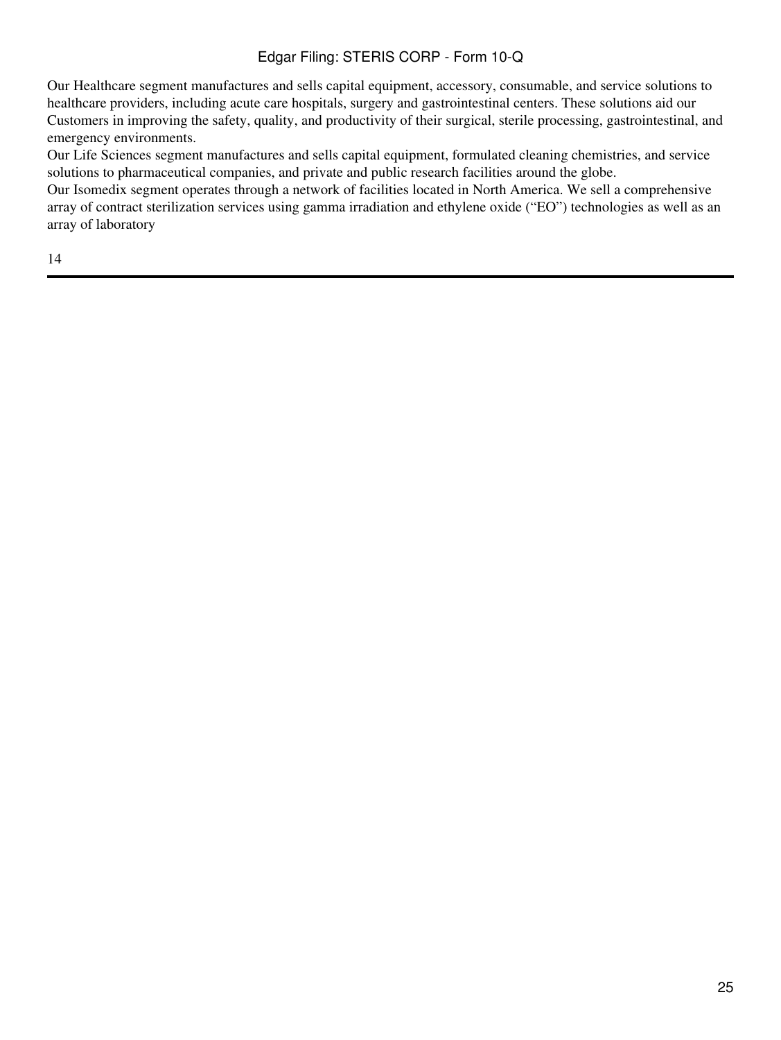Our Healthcare segment manufactures and sells capital equipment, accessory, consumable, and service solutions to healthcare providers, including acute care hospitals, surgery and gastrointestinal centers. These solutions aid our Customers in improving the safety, quality, and productivity of their surgical, sterile processing, gastrointestinal, and emergency environments.

Our Life Sciences segment manufactures and sells capital equipment, formulated cleaning chemistries, and service solutions to pharmaceutical companies, and private and public research facilities around the globe.

Our Isomedix segment operates through a network of facilities located in North America. We sell a comprehensive array of contract sterilization services using gamma irradiation and ethylene oxide ("EO") technologies as well as an array of laboratory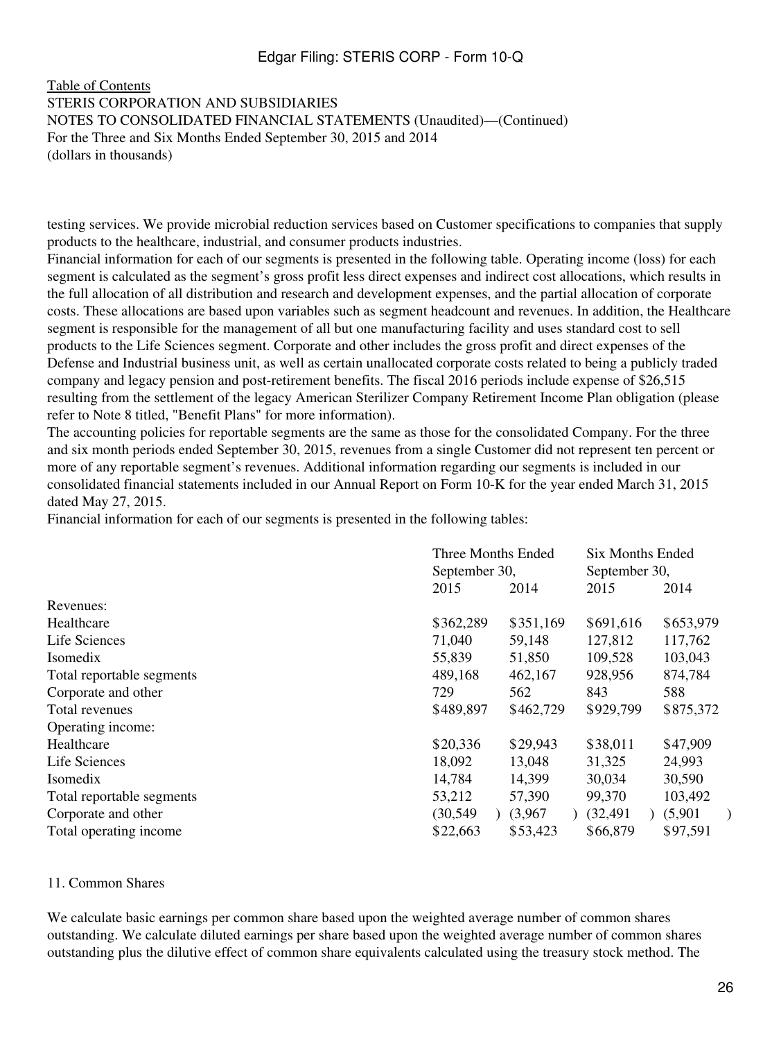#### [Table of Contents](#page-2-0) STERIS CORPORATION AND SUBSIDIARIES NOTES TO CONSOLIDATED FINANCIAL STATEMENTS (Unaudited)—(Continued) For the Three and Six Months Ended September 30, 2015 and 2014 (dollars in thousands)

testing services. We provide microbial reduction services based on Customer specifications to companies that supply products to the healthcare, industrial, and consumer products industries.

Financial information for each of our segments is presented in the following table. Operating income (loss) for each segment is calculated as the segment's gross profit less direct expenses and indirect cost allocations, which results in the full allocation of all distribution and research and development expenses, and the partial allocation of corporate costs. These allocations are based upon variables such as segment headcount and revenues. In addition, the Healthcare segment is responsible for the management of all but one manufacturing facility and uses standard cost to sell products to the Life Sciences segment. Corporate and other includes the gross profit and direct expenses of the Defense and Industrial business unit, as well as certain unallocated corporate costs related to being a publicly traded company and legacy pension and post-retirement benefits. The fiscal 2016 periods include expense of \$26,515 resulting from the settlement of the legacy American Sterilizer Company Retirement Income Plan obligation (please refer to Note 8 titled, "Benefit Plans" for more information).

The accounting policies for reportable segments are the same as those for the consolidated Company. For the three and six month periods ended September 30, 2015, revenues from a single Customer did not represent ten percent or more of any reportable segment's revenues. Additional information regarding our segments is included in our consolidated financial statements included in our Annual Report on Form 10-K for the year ended March 31, 2015 dated May 27, 2015.

Financial information for each of our segments is presented in the following tables:

|                           | Three Months Ended<br>September 30, |           | Six Months Ended<br>September 30, |           |
|---------------------------|-------------------------------------|-----------|-----------------------------------|-----------|
|                           |                                     |           |                                   |           |
|                           | 2015                                | 2014      | 2015                              | 2014      |
| Revenues:                 |                                     |           |                                   |           |
| Healthcare                | \$362,289                           | \$351,169 | \$691,616                         | \$653,979 |
| Life Sciences             | 71,040                              | 59,148    | 127,812                           | 117,762   |
| Isomedix                  | 55,839                              | 51,850    | 109,528                           | 103,043   |
| Total reportable segments | 489,168                             | 462,167   | 928,956                           | 874,784   |
| Corporate and other       | 729                                 | 562       | 843                               | 588       |
| Total revenues            | \$489,897                           | \$462,729 | \$929,799                         | \$875,372 |
| Operating income:         |                                     |           |                                   |           |
| Healthcare                | \$20,336                            | \$29,943  | \$38,011                          | \$47,909  |
| Life Sciences             | 18,092                              | 13,048    | 31,325                            | 24,993    |
| Isomedix                  | 14,784                              | 14,399    | 30,034                            | 30,590    |
| Total reportable segments | 53,212                              | 57,390    | 99,370                            | 103,492   |
| Corporate and other       | (30, 549)                           | (3,967)   | (32, 491)                         | (5,901)   |
| Total operating income    | \$22,663                            | \$53,423  | \$66,879                          | \$97,591  |

#### 11. Common Shares

We calculate basic earnings per common share based upon the weighted average number of common shares outstanding. We calculate diluted earnings per share based upon the weighted average number of common shares outstanding plus the dilutive effect of common share equivalents calculated using the treasury stock method. The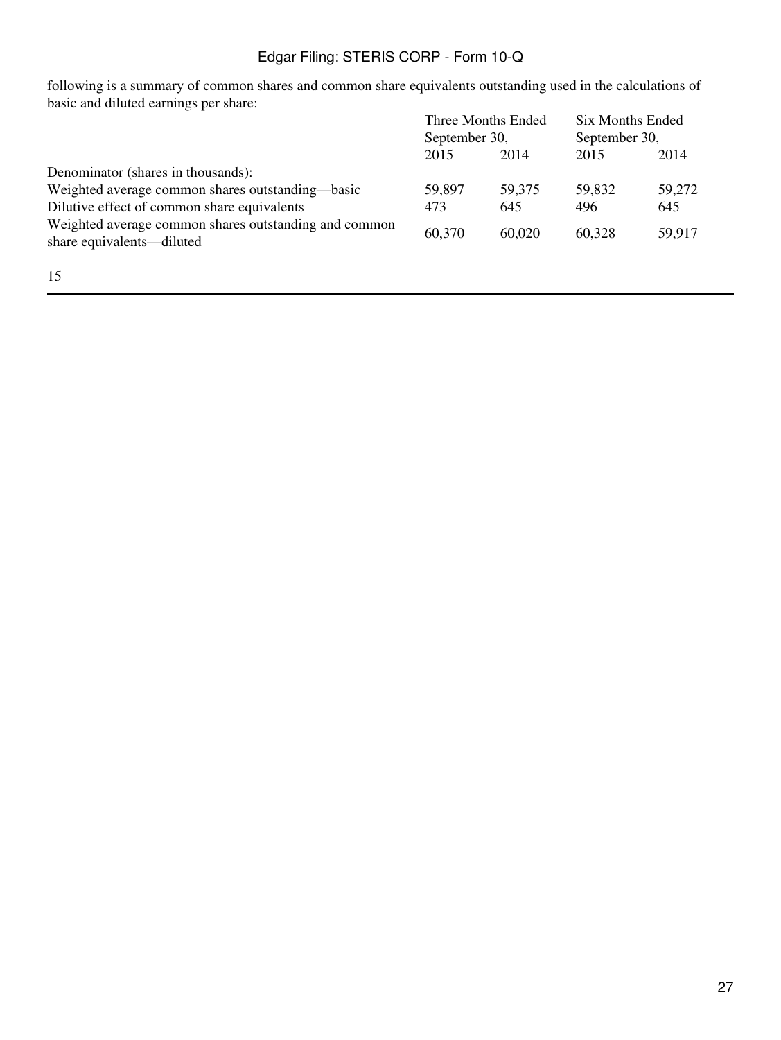following is a summary of common shares and common share equivalents outstanding used in the calculations of basic and diluted earnings per share:

|                                                                                    | Three Months Ended<br>September 30, |        |        | <b>Six Months Ended</b><br>September 30, |  |
|------------------------------------------------------------------------------------|-------------------------------------|--------|--------|------------------------------------------|--|
|                                                                                    |                                     |        |        |                                          |  |
|                                                                                    | 2015                                | 2014   | 2015   | 2014                                     |  |
| Denominator (shares in thousands):                                                 |                                     |        |        |                                          |  |
| Weighted average common shares outstanding—basic                                   | 59,897                              | 59,375 | 59,832 | 59,272                                   |  |
| Dilutive effect of common share equivalents                                        | 473                                 | 645    | 496    | 645                                      |  |
| Weighted average common shares outstanding and common<br>share equivalents—diluted | 60,370                              | 60,020 | 60,328 | 59,917                                   |  |
|                                                                                    |                                     |        |        |                                          |  |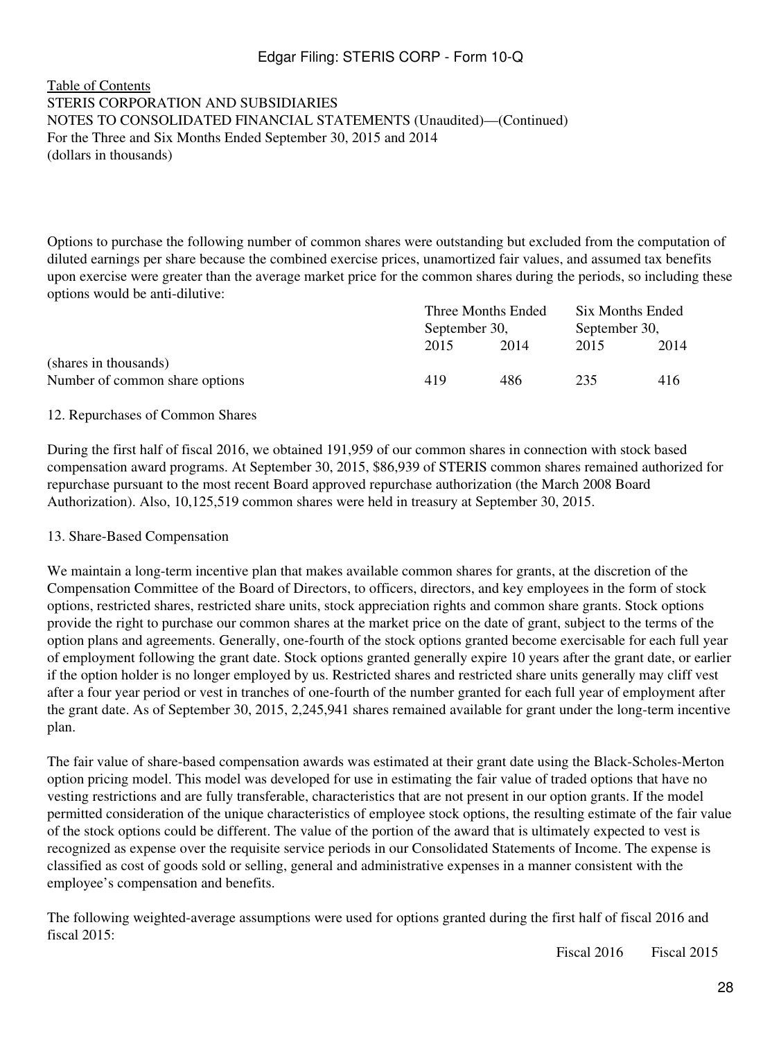#### [Table of Contents](#page-2-0) STERIS CORPORATION AND SUBSIDIARIES NOTES TO CONSOLIDATED FINANCIAL STATEMENTS (Unaudited)—(Continued) For the Three and Six Months Ended September 30, 2015 and 2014 (dollars in thousands)

Options to purchase the following number of common shares were outstanding but excluded from the computation of diluted earnings per share because the combined exercise prices, unamortized fair values, and assumed tax benefits upon exercise were greater than the average market price for the common shares during the periods, so including these options would be anti-dilutive:

|                                | Three Months Ended<br>September 30, |      | Six Months Ended<br>September 30, |      |
|--------------------------------|-------------------------------------|------|-----------------------------------|------|
|                                |                                     |      |                                   |      |
|                                | 2015                                | 2014 | 2015                              | 2014 |
| (shares in thousands)          |                                     |      |                                   |      |
| Number of common share options | 419                                 | 486  | 235                               | 416  |

#### 12. Repurchases of Common Shares

During the first half of fiscal 2016, we obtained 191,959 of our common shares in connection with stock based compensation award programs. At September 30, 2015, \$86,939 of STERIS common shares remained authorized for repurchase pursuant to the most recent Board approved repurchase authorization (the March 2008 Board Authorization). Also, 10,125,519 common shares were held in treasury at September 30, 2015.

#### 13. Share-Based Compensation

We maintain a long-term incentive plan that makes available common shares for grants, at the discretion of the Compensation Committee of the Board of Directors, to officers, directors, and key employees in the form of stock options, restricted shares, restricted share units, stock appreciation rights and common share grants. Stock options provide the right to purchase our common shares at the market price on the date of grant, subject to the terms of the option plans and agreements. Generally, one-fourth of the stock options granted become exercisable for each full year of employment following the grant date. Stock options granted generally expire 10 years after the grant date, or earlier if the option holder is no longer employed by us. Restricted shares and restricted share units generally may cliff vest after a four year period or vest in tranches of one-fourth of the number granted for each full year of employment after the grant date. As of September 30, 2015, 2,245,941 shares remained available for grant under the long-term incentive plan.

The fair value of share-based compensation awards was estimated at their grant date using the Black-Scholes-Merton option pricing model. This model was developed for use in estimating the fair value of traded options that have no vesting restrictions and are fully transferable, characteristics that are not present in our option grants. If the model permitted consideration of the unique characteristics of employee stock options, the resulting estimate of the fair value of the stock options could be different. The value of the portion of the award that is ultimately expected to vest is recognized as expense over the requisite service periods in our Consolidated Statements of Income. The expense is classified as cost of goods sold or selling, general and administrative expenses in a manner consistent with the employee's compensation and benefits.

The following weighted-average assumptions were used for options granted during the first half of fiscal 2016 and fiscal 2015:

Fiscal 2016 Fiscal 2015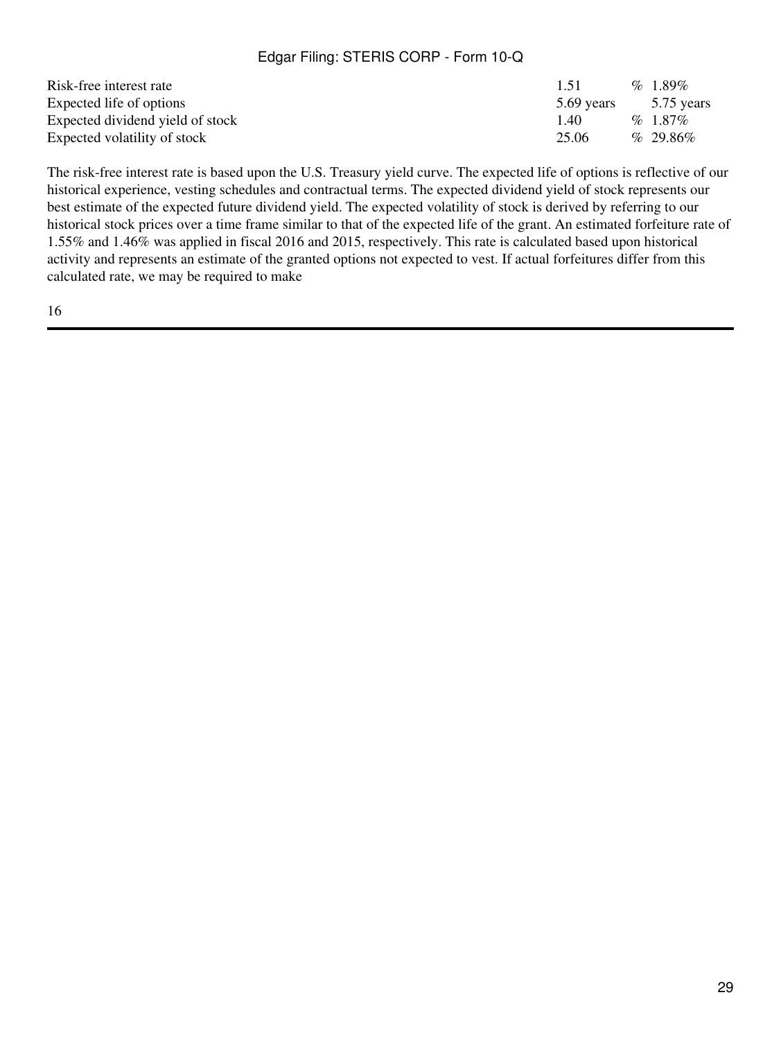| Risk-free interest rate          | 1.51       | %1.89%      |
|----------------------------------|------------|-------------|
| Expected life of options         | 5.69 years | 5.75 years  |
| Expected dividend yield of stock | 140        | $%1.87\%$   |
| Expected volatility of stock     | 25.06      | $% 29.86\%$ |

The risk-free interest rate is based upon the U.S. Treasury yield curve. The expected life of options is reflective of our historical experience, vesting schedules and contractual terms. The expected dividend yield of stock represents our best estimate of the expected future dividend yield. The expected volatility of stock is derived by referring to our historical stock prices over a time frame similar to that of the expected life of the grant. An estimated forfeiture rate of 1.55% and 1.46% was applied in fiscal 2016 and 2015, respectively. This rate is calculated based upon historical activity and represents an estimate of the granted options not expected to vest. If actual forfeitures differ from this calculated rate, we may be required to make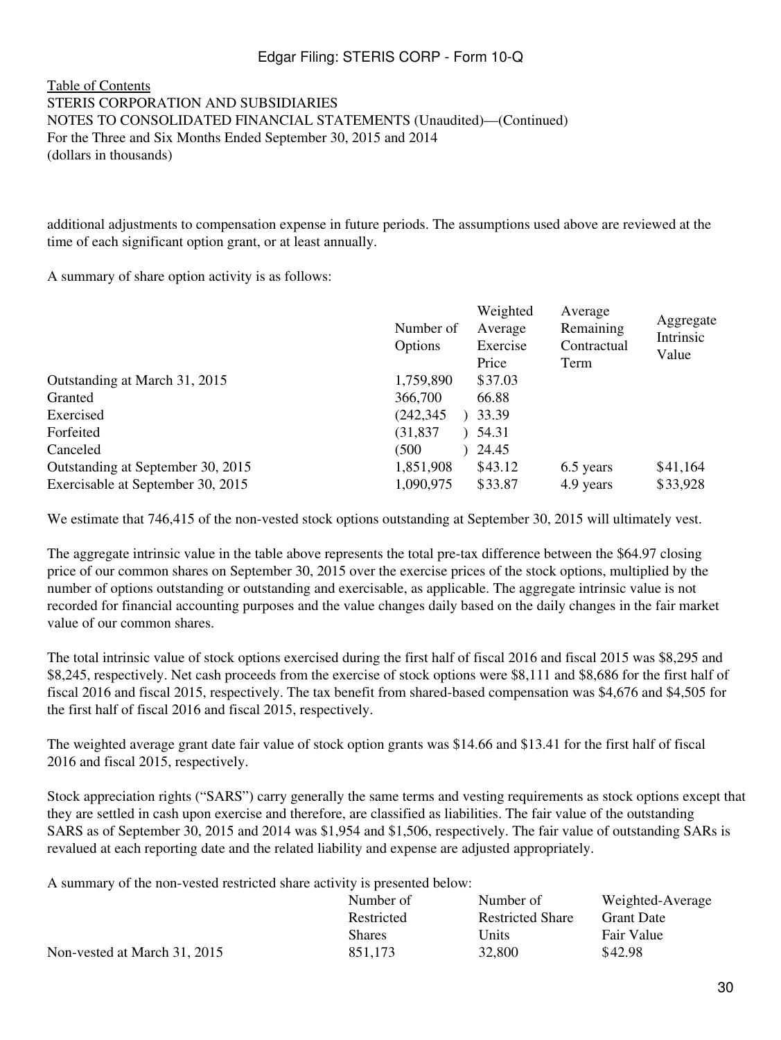#### [Table of Contents](#page-2-0) STERIS CORPORATION AND SUBSIDIARIES NOTES TO CONSOLIDATED FINANCIAL STATEMENTS (Unaudited)—(Continued) For the Three and Six Months Ended September 30, 2015 and 2014 (dollars in thousands)

additional adjustments to compensation expense in future periods. The assumptions used above are reviewed at the time of each significant option grant, or at least annually.

A summary of share option activity is as follows:

|                                   | Number of<br>Options | Weighted<br>Average<br>Exercise<br>Price | Average<br>Remaining<br>Contractual<br>Term | Aggregate<br>Intrinsic<br>Value |
|-----------------------------------|----------------------|------------------------------------------|---------------------------------------------|---------------------------------|
| Outstanding at March 31, 2015     | 1,759,890            | \$37.03                                  |                                             |                                 |
| Granted                           | 366,700              | 66.88                                    |                                             |                                 |
| Exercised                         | (242, 345)           | 33.39                                    |                                             |                                 |
| Forfeited                         | (31, 837)            | 54.31                                    |                                             |                                 |
| Canceled                          | (500                 | 24.45                                    |                                             |                                 |
| Outstanding at September 30, 2015 | 1,851,908            | \$43.12                                  | 6.5 years                                   | \$41,164                        |
| Exercisable at September 30, 2015 | 1,090,975            | \$33.87                                  | 4.9 years                                   | \$33,928                        |

We estimate that 746,415 of the non-vested stock options outstanding at September 30, 2015 will ultimately vest.

The aggregate intrinsic value in the table above represents the total pre-tax difference between the \$64.97 closing price of our common shares on September 30, 2015 over the exercise prices of the stock options, multiplied by the number of options outstanding or outstanding and exercisable, as applicable. The aggregate intrinsic value is not recorded for financial accounting purposes and the value changes daily based on the daily changes in the fair market value of our common shares.

The total intrinsic value of stock options exercised during the first half of fiscal 2016 and fiscal 2015 was \$8,295 and \$8,245, respectively. Net cash proceeds from the exercise of stock options were \$8,111 and \$8,686 for the first half of fiscal 2016 and fiscal 2015, respectively. The tax benefit from shared-based compensation was \$4,676 and \$4,505 for the first half of fiscal 2016 and fiscal 2015, respectively.

The weighted average grant date fair value of stock option grants was \$14.66 and \$13.41 for the first half of fiscal 2016 and fiscal 2015, respectively.

Stock appreciation rights ("SARS") carry generally the same terms and vesting requirements as stock options except that they are settled in cash upon exercise and therefore, are classified as liabilities. The fair value of the outstanding SARS as of September 30, 2015 and 2014 was \$1,954 and \$1,506, respectively. The fair value of outstanding SARs is revalued at each reporting date and the related liability and expense are adjusted appropriately.

A summary of the non-vested restricted share activity is presented below:

|                              | Number of     | Number of               | Weighted-Average  |
|------------------------------|---------------|-------------------------|-------------------|
|                              | Restricted    | <b>Restricted Share</b> | <b>Grant Date</b> |
|                              | <b>Shares</b> | Units                   | Fair Value        |
| Non-vested at March 31, 2015 | 851.173       | 32,800                  | \$42.98           |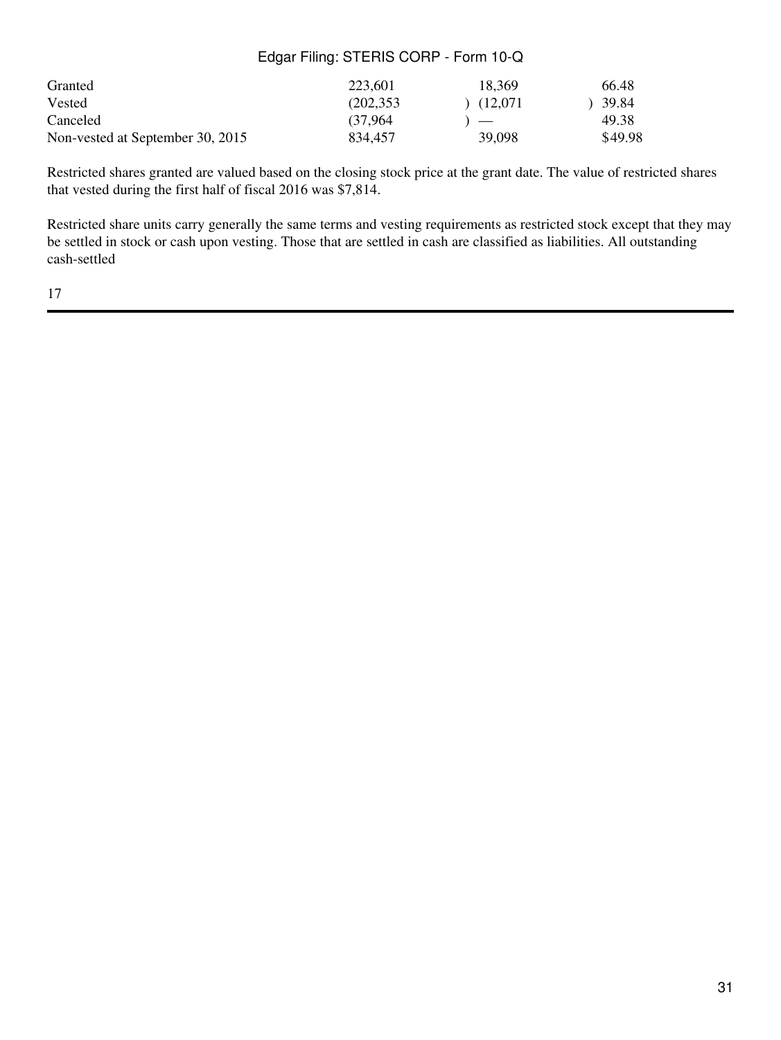| Granted                          | 223,601   | 18.369        | 66.48   |
|----------------------------------|-----------|---------------|---------|
| Vested                           | (202.353) | (12.071)      | 39.84   |
| Canceled                         | (37.964)  | $\rightarrow$ | 49.38   |
| Non-vested at September 30, 2015 | 834.457   | 39,098        | \$49.98 |

Restricted shares granted are valued based on the closing stock price at the grant date. The value of restricted shares that vested during the first half of fiscal 2016 was \$7,814.

Restricted share units carry generally the same terms and vesting requirements as restricted stock except that they may be settled in stock or cash upon vesting. Those that are settled in cash are classified as liabilities. All outstanding cash-settled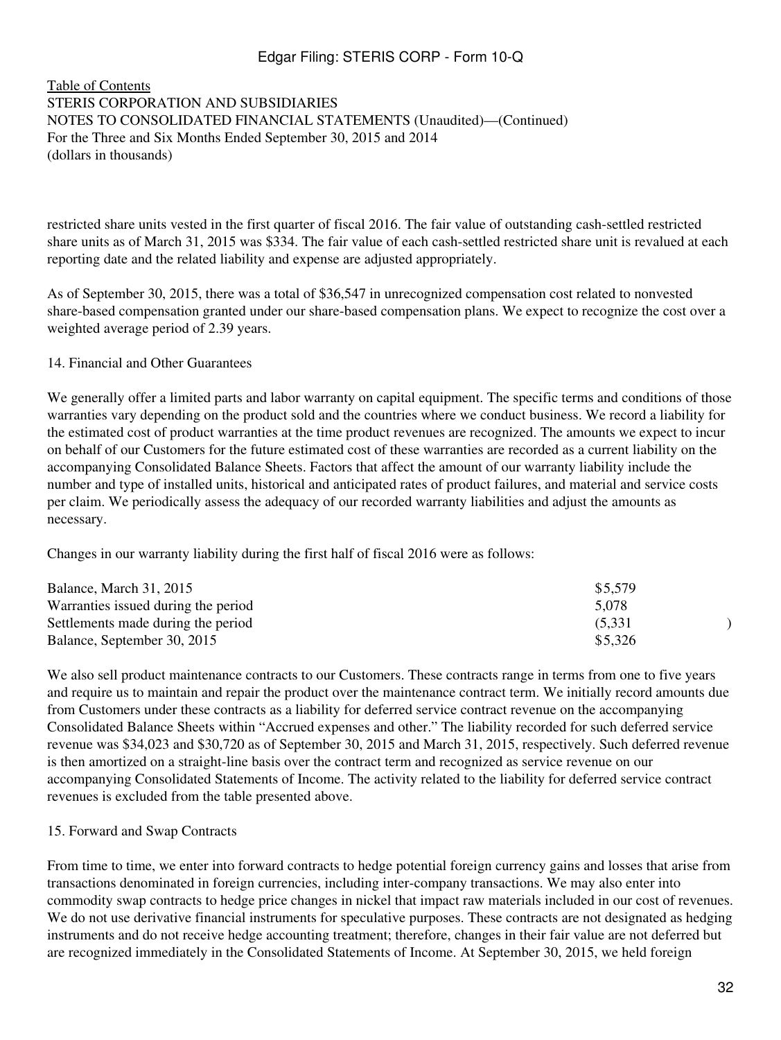#### [Table of Contents](#page-2-0) STERIS CORPORATION AND SUBSIDIARIES NOTES TO CONSOLIDATED FINANCIAL STATEMENTS (Unaudited)—(Continued) For the Three and Six Months Ended September 30, 2015 and 2014 (dollars in thousands)

restricted share units vested in the first quarter of fiscal 2016. The fair value of outstanding cash-settled restricted share units as of March 31, 2015 was \$334. The fair value of each cash-settled restricted share unit is revalued at each reporting date and the related liability and expense are adjusted appropriately.

As of September 30, 2015, there was a total of \$36,547 in unrecognized compensation cost related to nonvested share-based compensation granted under our share-based compensation plans. We expect to recognize the cost over a weighted average period of 2.39 years.

#### 14. Financial and Other Guarantees

We generally offer a limited parts and labor warranty on capital equipment. The specific terms and conditions of those warranties vary depending on the product sold and the countries where we conduct business. We record a liability for the estimated cost of product warranties at the time product revenues are recognized. The amounts we expect to incur on behalf of our Customers for the future estimated cost of these warranties are recorded as a current liability on the accompanying Consolidated Balance Sheets. Factors that affect the amount of our warranty liability include the number and type of installed units, historical and anticipated rates of product failures, and material and service costs per claim. We periodically assess the adequacy of our recorded warranty liabilities and adjust the amounts as necessary.

Changes in our warranty liability during the first half of fiscal 2016 were as follows:

| Balance, March 31, 2015             | \$5,579 |  |
|-------------------------------------|---------|--|
| Warranties issued during the period | 5,078   |  |
| Settlements made during the period  | (5.331) |  |
| Balance, September 30, 2015         | \$5,326 |  |

We also sell product maintenance contracts to our Customers. These contracts range in terms from one to five years and require us to maintain and repair the product over the maintenance contract term. We initially record amounts due from Customers under these contracts as a liability for deferred service contract revenue on the accompanying Consolidated Balance Sheets within "Accrued expenses and other." The liability recorded for such deferred service revenue was \$34,023 and \$30,720 as of September 30, 2015 and March 31, 2015, respectively. Such deferred revenue is then amortized on a straight-line basis over the contract term and recognized as service revenue on our accompanying Consolidated Statements of Income. The activity related to the liability for deferred service contract revenues is excluded from the table presented above.

#### 15. Forward and Swap Contracts

From time to time, we enter into forward contracts to hedge potential foreign currency gains and losses that arise from transactions denominated in foreign currencies, including inter-company transactions. We may also enter into commodity swap contracts to hedge price changes in nickel that impact raw materials included in our cost of revenues. We do not use derivative financial instruments for speculative purposes. These contracts are not designated as hedging instruments and do not receive hedge accounting treatment; therefore, changes in their fair value are not deferred but are recognized immediately in the Consolidated Statements of Income. At September 30, 2015, we held foreign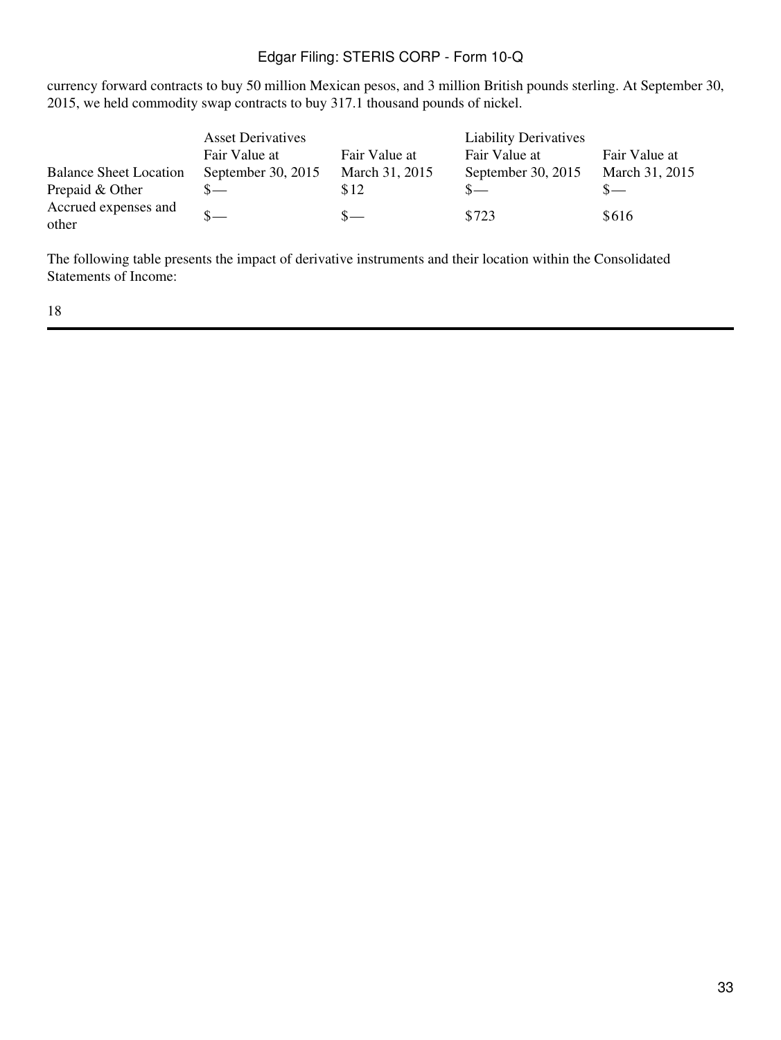currency forward contracts to buy 50 million Mexican pesos, and 3 million British pounds sterling. At September 30, 2015, we held commodity swap contracts to buy 317.1 thousand pounds of nickel.

|                               | <b>Asset Derivatives</b> |                | <b>Liability Derivatives</b> |                |
|-------------------------------|--------------------------|----------------|------------------------------|----------------|
|                               | Fair Value at            | Fair Value at  | Fair Value at                | Fair Value at  |
| <b>Balance Sheet Location</b> | September 30, 2015       | March 31, 2015 | September 30, 2015           | March 31, 2015 |
| Prepaid & Other               |                          | \$12           | $S-$                         | $S-$           |
| Accrued expenses and<br>other |                          | $S-$           | \$723                        | \$616          |

The following table presents the impact of derivative instruments and their location within the Consolidated Statements of Income: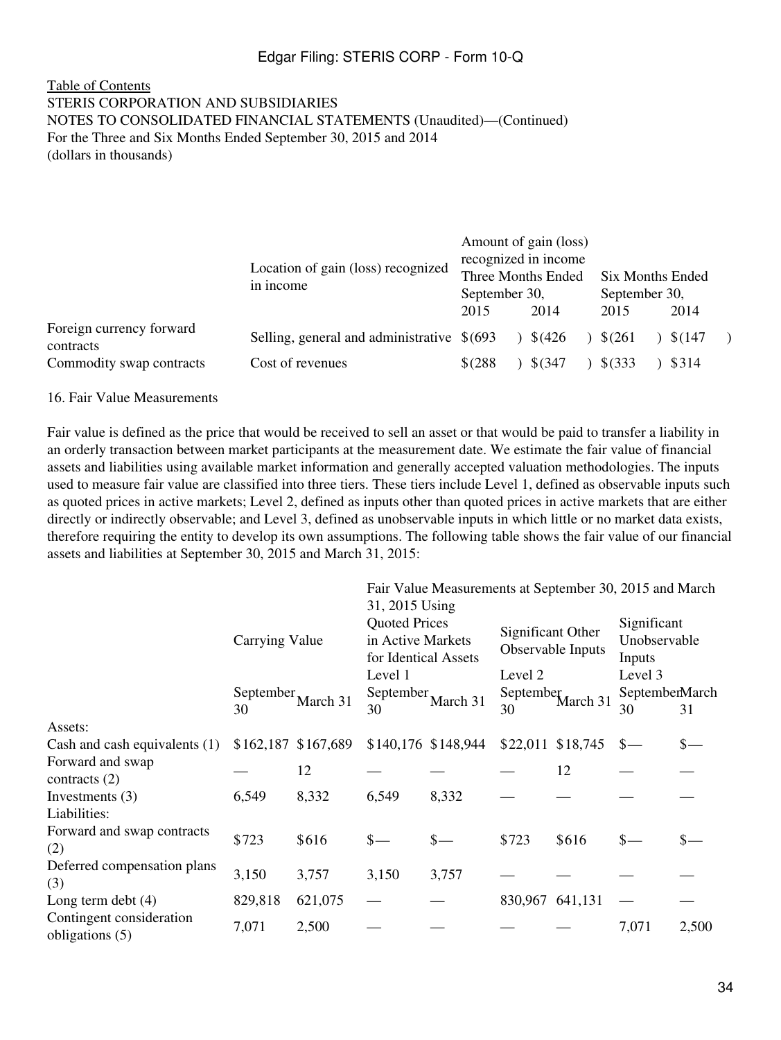#### [Table of Contents](#page-2-0) STERIS CORPORATION AND SUBSIDIARIES NOTES TO CONSOLIDATED FINANCIAL STATEMENTS (Unaudited)—(Continued) For the Three and Six Months Ended September 30, 2015 and 2014 (dollars in thousands)

|                                       | Location of gain (loss) recognized<br>in income | September 30,<br>2015 | Amount of gain (loss)<br>recognized in income<br>Three Months Ended<br>2014 | 2015        | Six Months Ended<br>September 30,<br>2014 |  |  |
|---------------------------------------|-------------------------------------------------|-----------------------|-----------------------------------------------------------------------------|-------------|-------------------------------------------|--|--|
| Foreign currency forward<br>contracts | Selling, general and administrative $\$(693)$   |                       | \$(426)                                                                     | $$^{(261)}$ | \$(147                                    |  |  |
| Commodity swap contracts              | Cost of revenues                                | $$^{(288)}$           | $$^{(347)}$                                                                 | $$^{(333)}$ | \$314                                     |  |  |

16. Fair Value Measurements

Fair value is defined as the price that would be received to sell an asset or that would be paid to transfer a liability in an orderly transaction between market participants at the measurement date. We estimate the fair value of financial assets and liabilities using available market information and generally accepted valuation methodologies. The inputs used to measure fair value are classified into three tiers. These tiers include Level 1, defined as observable inputs such as quoted prices in active markets; Level 2, defined as inputs other than quoted prices in active markets that are either directly or indirectly observable; and Level 3, defined as unobservable inputs in which little or no market data exists, therefore requiring the entity to develop its own assumptions. The following table shows the fair value of our financial assets and liabilities at September 30, 2015 and March 31, 2015:

|                                             |                  |                     | Fair Value Measurements at September 30, 2015 and March<br>31, 2015 Using    |                       |                                                   |                       |                                                  |       |  |
|---------------------------------------------|------------------|---------------------|------------------------------------------------------------------------------|-----------------------|---------------------------------------------------|-----------------------|--------------------------------------------------|-------|--|
|                                             | Carrying Value   |                     | <b>Quoted Prices</b><br>in Active Markets<br>for Identical Assets<br>Level 1 |                       | Significant Other<br>Observable Inputs<br>Level 2 |                       | Significant<br>Unobservable<br>Inputs<br>Level 3 |       |  |
|                                             |                  |                     |                                                                              |                       |                                                   |                       |                                                  |       |  |
|                                             | September,<br>30 | March 31            | 30                                                                           | September<br>March 31 |                                                   | September<br>March 31 | SeptemberMarch<br>30                             | 31    |  |
| Assets:                                     |                  |                     |                                                                              |                       |                                                   |                       |                                                  |       |  |
| Cash and cash equivalents $(1)$             |                  | \$162,187 \$167,689 |                                                                              | \$140,176 \$148,944   |                                                   | \$22,011 \$18,745     | $\frac{\ }{\ }$                                  |       |  |
| Forward and swap<br>contracts $(2)$         |                  | 12                  |                                                                              |                       |                                                   | 12                    |                                                  |       |  |
| Investments $(3)$                           | 6,549            | 8,332               | 6,549                                                                        | 8,332                 |                                                   |                       |                                                  |       |  |
| Liabilities:                                |                  |                     |                                                                              |                       |                                                   |                       |                                                  |       |  |
| Forward and swap contracts<br>(2)           | \$723            | \$616               | $\frac{\ }{s-}$                                                              | $\frac{\ }{s-}$       | \$723                                             | \$616                 | $\frac{\ }{s-}$                                  |       |  |
| Deferred compensation plans<br>(3)          | 3,150            | 3,757               | 3,150                                                                        | 3,757                 |                                                   |                       |                                                  |       |  |
| Long term debt $(4)$                        | 829,818          | 621,075             |                                                                              |                       |                                                   | 830,967 641,131       |                                                  |       |  |
| Contingent consideration<br>obligations (5) | 7,071            | 2,500               |                                                                              |                       |                                                   |                       | 7,071                                            | 2,500 |  |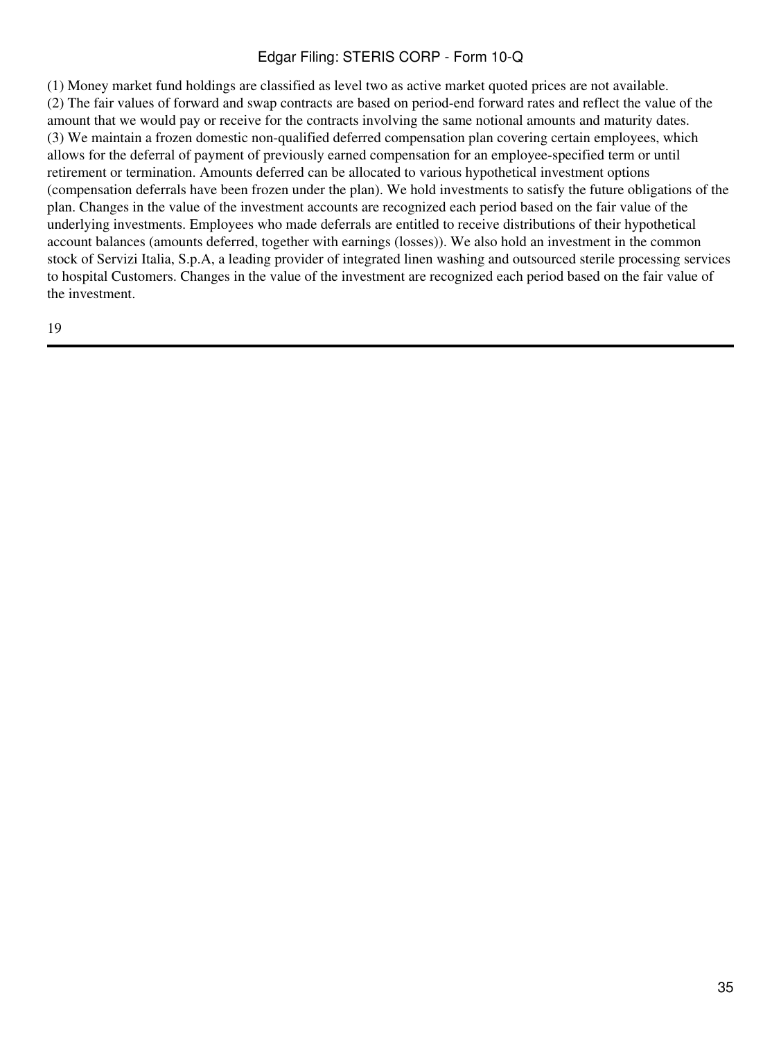(1) Money market fund holdings are classified as level two as active market quoted prices are not available. (2) The fair values of forward and swap contracts are based on period-end forward rates and reflect the value of the amount that we would pay or receive for the contracts involving the same notional amounts and maturity dates. (3) We maintain a frozen domestic non-qualified deferred compensation plan covering certain employees, which allows for the deferral of payment of previously earned compensation for an employee-specified term or until retirement or termination. Amounts deferred can be allocated to various hypothetical investment options (compensation deferrals have been frozen under the plan). We hold investments to satisfy the future obligations of the plan. Changes in the value of the investment accounts are recognized each period based on the fair value of the underlying investments. Employees who made deferrals are entitled to receive distributions of their hypothetical account balances (amounts deferred, together with earnings (losses)). We also hold an investment in the common stock of Servizi Italia, S.p.A, a leading provider of integrated linen washing and outsourced sterile processing services to hospital Customers. Changes in the value of the investment are recognized each period based on the fair value of the investment.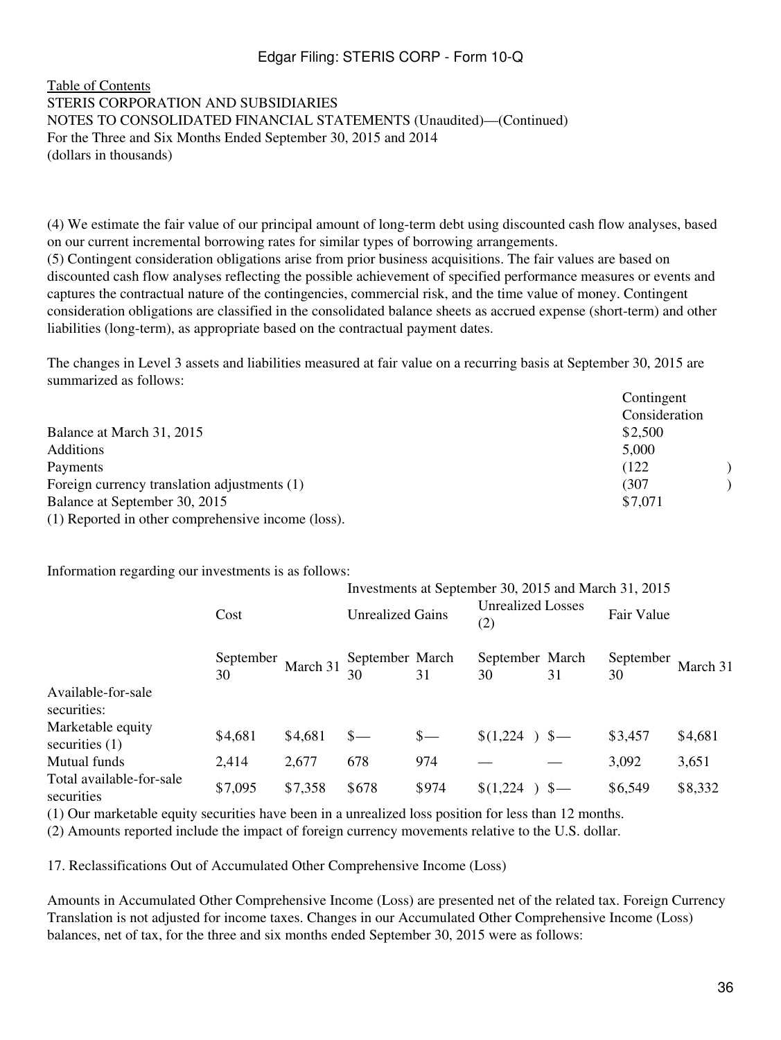#### [Table of Contents](#page-2-0) STERIS CORPORATION AND SUBSIDIARIES NOTES TO CONSOLIDATED FINANCIAL STATEMENTS (Unaudited)—(Continued) For the Three and Six Months Ended September 30, 2015 and 2014 (dollars in thousands)

(4) We estimate the fair value of our principal amount of long-term debt using discounted cash flow analyses, based on our current incremental borrowing rates for similar types of borrowing arrangements. (5) Contingent consideration obligations arise from prior business acquisitions. The fair values are based on discounted cash flow analyses reflecting the possible achievement of specified performance measures or events and captures the contractual nature of the contingencies, commercial risk, and the time value of money. Contingent consideration obligations are classified in the consolidated balance sheets as accrued expense (short-term) and other liabilities (long-term), as appropriate based on the contractual payment dates.

The changes in Level 3 assets and liabilities measured at fair value on a recurring basis at September 30, 2015 are summarized as follows:

|                                                    | Contingent    |
|----------------------------------------------------|---------------|
|                                                    | Consideration |
| Balance at March 31, 2015                          | \$2,500       |
| <b>Additions</b>                                   | 5,000         |
| Payments                                           | (122)         |
| Foreign currency translation adjustments (1)       | (307          |
| Balance at September 30, 2015                      | \$7,071       |
| (1) Reported in other comprehensive income (loss). |               |

Information regarding our investments is as follows:

|                                        |                 |          | Investments at September 30, 2015 and March 31, 2015 |                         |                       |                                 |                 |            |  |
|----------------------------------------|-----------------|----------|------------------------------------------------------|-------------------------|-----------------------|---------------------------------|-----------------|------------|--|
|                                        | Cost            |          |                                                      | <b>Unrealized Gains</b> |                       | <b>Unrealized Losses</b><br>(2) |                 | Fair Value |  |
|                                        | September<br>30 | March 31 | September March<br>30                                | 31                      | September March<br>30 | 31                              | September<br>30 | March 31   |  |
| Available-for-sale<br>securities:      |                 |          |                                                      |                         |                       |                                 |                 |            |  |
| Marketable equity<br>securities $(1)$  | \$4,681         | \$4,681  | $\frac{1}{2}$                                        | $S-$                    | \$(1,224)             | $S-$                            | \$3,457         | \$4,681    |  |
| Mutual funds                           | 2,414           | 2,677    | 678                                                  | 974                     |                       |                                 | 3,092           | 3,651      |  |
| Total available-for-sale<br>securities | \$7,095         | \$7,358  | \$678                                                | \$974                   | \$(1,224)             |                                 | \$6,549         | \$8,332    |  |

(1) Our marketable equity securities have been in a unrealized loss position for less than 12 months.

(2) Amounts reported include the impact of foreign currency movements relative to the U.S. dollar.

17. Reclassifications Out of Accumulated Other Comprehensive Income (Loss)

Amounts in Accumulated Other Comprehensive Income (Loss) are presented net of the related tax. Foreign Currency Translation is not adjusted for income taxes. Changes in our Accumulated Other Comprehensive Income (Loss) balances, net of tax, for the three and six months ended September 30, 2015 were as follows: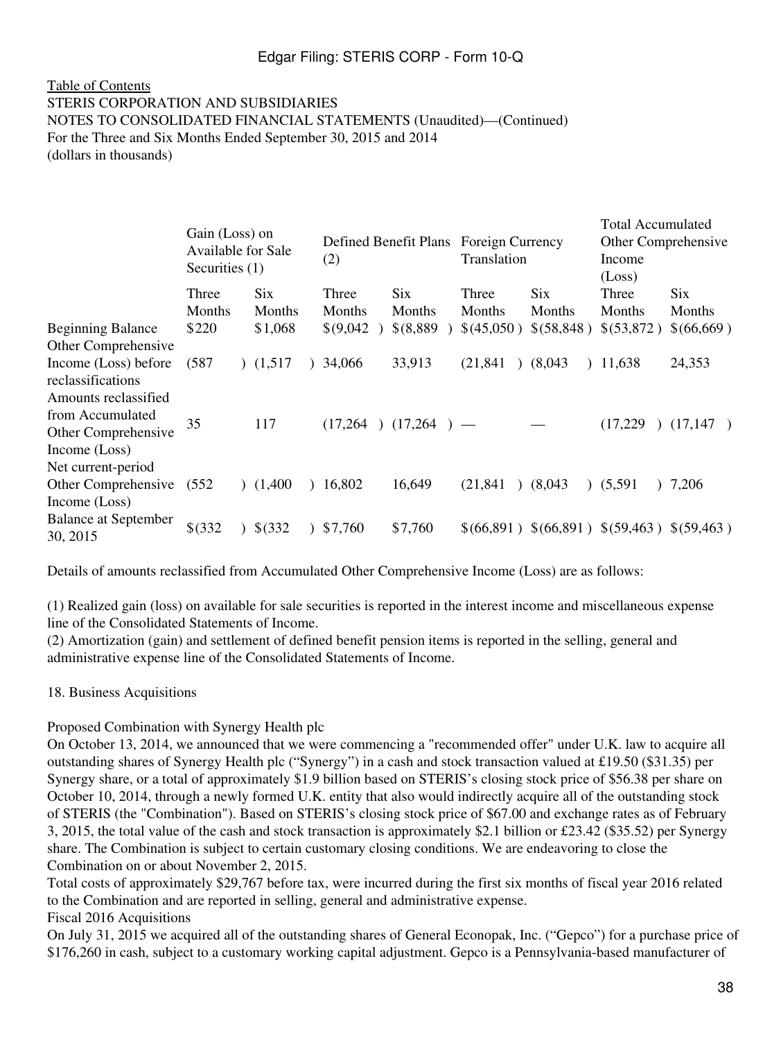#### [Table of Contents](#page-2-0) STERIS CORPORATION AND SUBSIDIARIES NOTES TO CONSOLIDATED FINANCIAL STATEMENTS (Unaudited)—(Continued) For the Three and Six Months Ended September 30, 2015 and 2014 (dollars in thousands)

|                                                                   | Gain (Loss) on<br>Available for Sale<br>Securities (1) |               | (2)                    |                      | Defined Benefit Plans Foreign Currency<br>Translation |                         | <b>Total Accumulated</b><br>Other Comprehensive<br>Income<br>(Loss) |               |
|-------------------------------------------------------------------|--------------------------------------------------------|---------------|------------------------|----------------------|-------------------------------------------------------|-------------------------|---------------------------------------------------------------------|---------------|
|                                                                   | Three<br>Months                                        | Six<br>Months | Three<br><b>Months</b> | <b>Six</b><br>Months | Three<br>Months                                       | Six<br>Months           | Three<br>Months                                                     | Six<br>Months |
| <b>Beginning Balance</b><br>Other Comprehensive                   | \$220                                                  | \$1,068       | \$(9,042)              | $$^{(8,889)}$        | \$(45,050)                                            | \$(58,848)              | \$(53,872)                                                          | \$(66,669)    |
| Income (Loss) before<br>reclassifications<br>Amounts reclassified | (587)                                                  | (1,517)       | 34,066                 | 33,913               | (21, 841)                                             | (8,043)                 | 11,638                                                              | 24,353        |
| from Accumulated<br>Other Comprehensive<br>Income (Loss)          | 35                                                     | 117           | (17,264)               | $(17,264)$ —         |                                                       |                         | (17,229)                                                            | (17,147)      |
| Net current-period<br>Other Comprehensive<br>Income (Loss)        | (552)                                                  | (1,400)       | 16,802                 | 16,649               | (21, 841)                                             | (8,043)<br>$\mathbf{r}$ | (5,591)                                                             | 7,206         |
| <b>Balance at September</b><br>30, 2015                           | \$(332)                                                | \$(332)       | \$7,760                | \$7,760              |                                                       |                         | $$(66,891) $(66,891) $(59,463) $(59,463)$                           |               |

Details of amounts reclassified from Accumulated Other Comprehensive Income (Loss) are as follows:

(1) Realized gain (loss) on available for sale securities is reported in the interest income and miscellaneous expense line of the Consolidated Statements of Income.

(2) Amortization (gain) and settlement of defined benefit pension items is reported in the selling, general and administrative expense line of the Consolidated Statements of Income.

#### 18. Business Acquisitions

Proposed Combination with Synergy Health plc

On October 13, 2014, we announced that we were commencing a "recommended offer" under U.K. law to acquire all outstanding shares of Synergy Health plc ("Synergy") in a cash and stock transaction valued at £19.50 (\$31.35) per Synergy share, or a total of approximately \$1.9 billion based on STERIS's closing stock price of \$56.38 per share on October 10, 2014, through a newly formed U.K. entity that also would indirectly acquire all of the outstanding stock of STERIS (the "Combination"). Based on STERIS's closing stock price of \$67.00 and exchange rates as of February 3, 2015, the total value of the cash and stock transaction is approximately \$2.1 billion or £23.42 (\$35.52) per Synergy share. The Combination is subject to certain customary closing conditions. We are endeavoring to close the Combination on or about November 2, 2015.

Total costs of approximately \$29,767 before tax, were incurred during the first six months of fiscal year 2016 related to the Combination and are reported in selling, general and administrative expense.

Fiscal 2016 Acquisitions

On July 31, 2015 we acquired all of the outstanding shares of General Econopak, Inc. ("Gepco") for a purchase price of \$176,260 in cash, subject to a customary working capital adjustment. Gepco is a Pennsylvania-based manufacturer of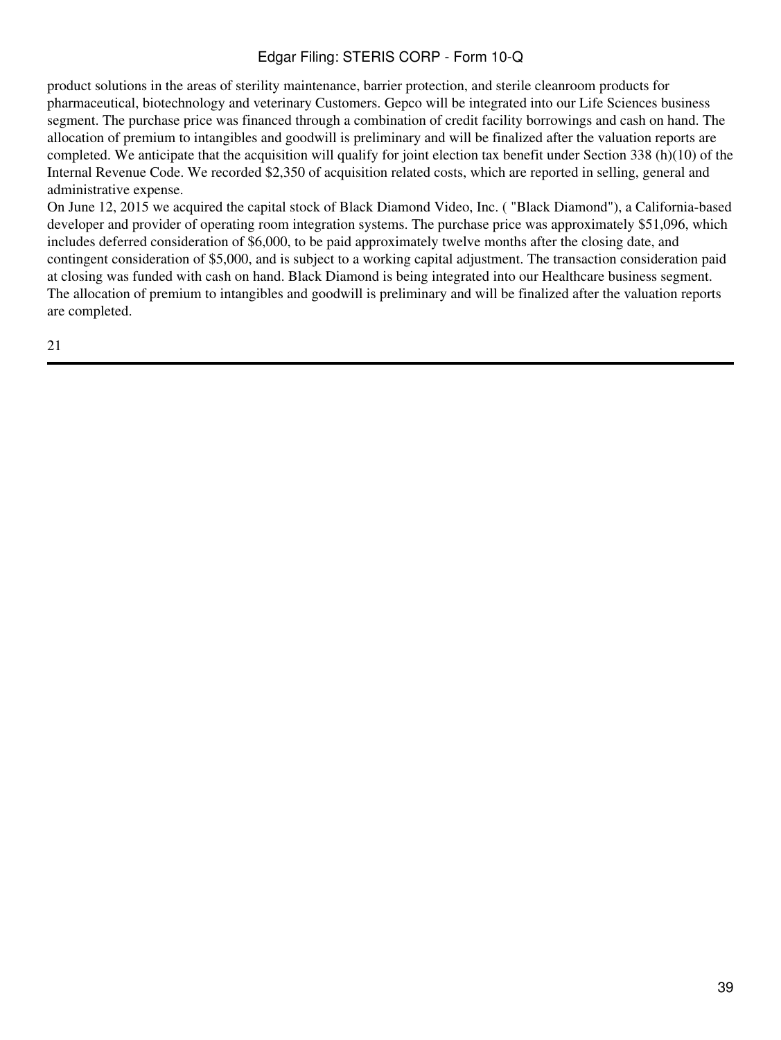product solutions in the areas of sterility maintenance, barrier protection, and sterile cleanroom products for pharmaceutical, biotechnology and veterinary Customers. Gepco will be integrated into our Life Sciences business segment. The purchase price was financed through a combination of credit facility borrowings and cash on hand. The allocation of premium to intangibles and goodwill is preliminary and will be finalized after the valuation reports are completed. We anticipate that the acquisition will qualify for joint election tax benefit under Section 338 (h)(10) of the Internal Revenue Code. We recorded \$2,350 of acquisition related costs, which are reported in selling, general and administrative expense.

On June 12, 2015 we acquired the capital stock of Black Diamond Video, Inc. ( "Black Diamond"), a California-based developer and provider of operating room integration systems. The purchase price was approximately \$51,096, which includes deferred consideration of \$6,000, to be paid approximately twelve months after the closing date, and contingent consideration of \$5,000, and is subject to a working capital adjustment. The transaction consideration paid at closing was funded with cash on hand. Black Diamond is being integrated into our Healthcare business segment. The allocation of premium to intangibles and goodwill is preliminary and will be finalized after the valuation reports are completed.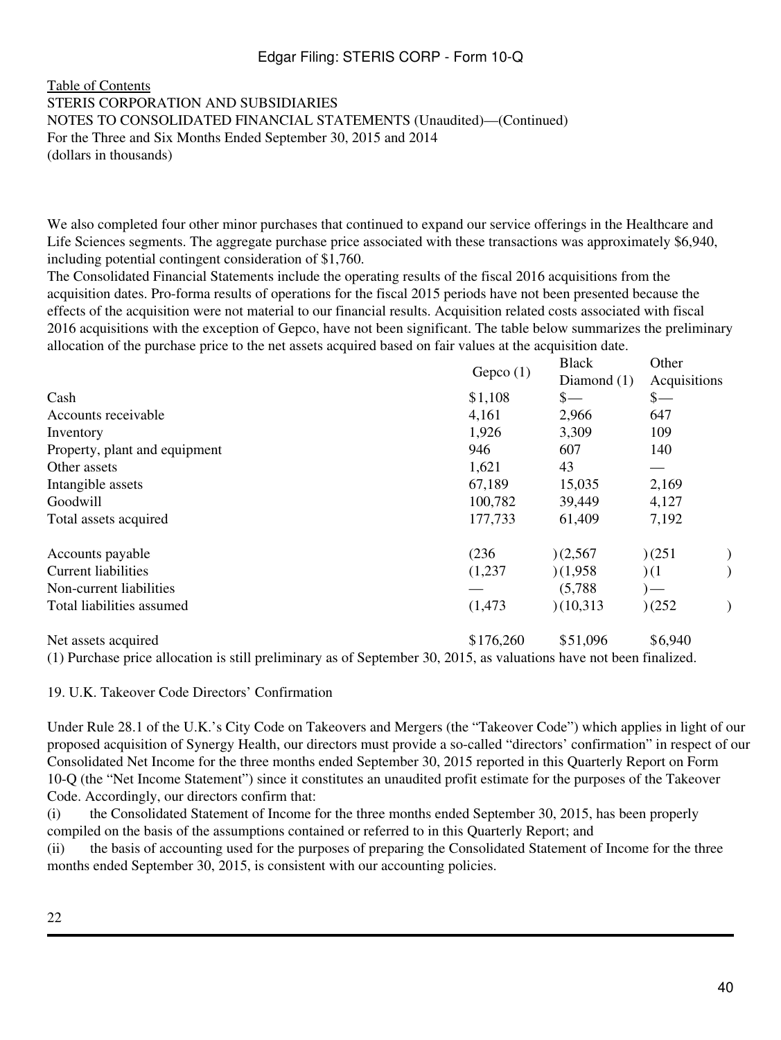[Table of Contents](#page-2-0) STERIS CORPORATION AND SUBSIDIARIES NOTES TO CONSOLIDATED FINANCIAL STATEMENTS (Unaudited)—(Continued) For the Three and Six Months Ended September 30, 2015 and 2014 (dollars in thousands)

We also completed four other minor purchases that continued to expand our service offerings in the Healthcare and Life Sciences segments. The aggregate purchase price associated with these transactions was approximately \$6,940, including potential contingent consideration of \$1,760.

The Consolidated Financial Statements include the operating results of the fiscal 2016 acquisitions from the acquisition dates. Pro-forma results of operations for the fiscal 2015 periods have not been presented because the effects of the acquisition were not material to our financial results. Acquisition related costs associated with fiscal 2016 acquisitions with the exception of Gepco, have not been significant. The table below summarizes the preliminary allocation of the purchase price to the net assets acquired based on fair values at the acquisition date.

|           | Diamond $(1)$   |              |                                                  |
|-----------|-----------------|--------------|--------------------------------------------------|
| \$1,108   | $\frac{\S}{\S}$ | $s-$         |                                                  |
| 4,161     | 2,966           | 647          |                                                  |
| 1,926     | 3,309           | 109          |                                                  |
| 946       | 607             | 140          |                                                  |
| 1,621     | 43              |              |                                                  |
| 67,189    | 15,035          | 2,169        |                                                  |
| 100,782   | 39,449          | 4,127        |                                                  |
| 177,733   | 61,409          | 7,192        |                                                  |
| (236)     | )(2,567)        |              |                                                  |
| (1,237)   | )(1,958)        |              |                                                  |
|           | (5,788)         | $)$ —        |                                                  |
| (1, 473)  | (10,313)        |              |                                                  |
| \$176,260 | \$51,096        | \$6,940      |                                                  |
|           | Gepco $(1)$     | <b>Black</b> | Other<br>Acquisitions<br>)(251)<br>(1)<br>)(252) |

(1) Purchase price allocation is still preliminary as of September 30, 2015, as valuations have not been finalized.

19. U.K. Takeover Code Directors' Confirmation

Under Rule 28.1 of the U.K.'s City Code on Takeovers and Mergers (the "Takeover Code") which applies in light of our proposed acquisition of Synergy Health, our directors must provide a so-called "directors' confirmation" in respect of our Consolidated Net Income for the three months ended September 30, 2015 reported in this Quarterly Report on Form 10-Q (the "Net Income Statement") since it constitutes an unaudited profit estimate for the purposes of the Takeover Code. Accordingly, our directors confirm that:

(i) the Consolidated Statement of Income for the three months ended September 30, 2015, has been properly compiled on the basis of the assumptions contained or referred to in this Quarterly Report; and

(ii) the basis of accounting used for the purposes of preparing the Consolidated Statement of Income for the three months ended September 30, 2015, is consistent with our accounting policies.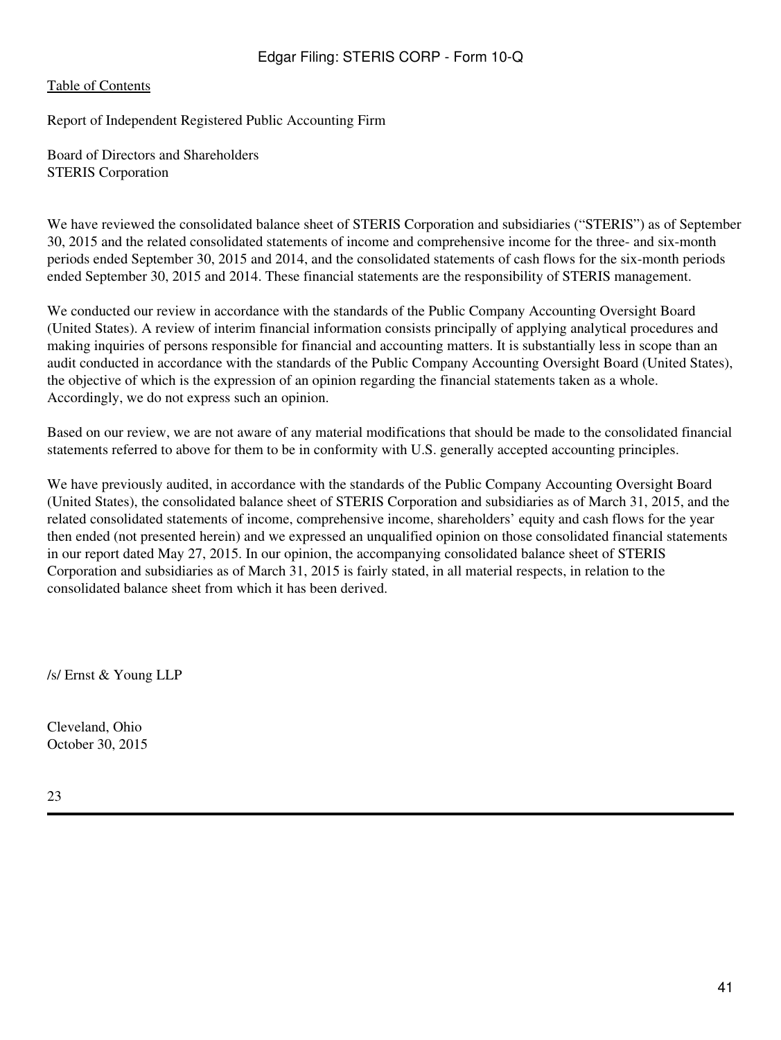#### [Table of Contents](#page-2-0)

Report of Independent Registered Public Accounting Firm

Board of Directors and Shareholders STERIS Corporation

We have reviewed the consolidated balance sheet of STERIS Corporation and subsidiaries ("STERIS") as of September 30, 2015 and the related consolidated statements of income and comprehensive income for the three- and six-month periods ended September 30, 2015 and 2014, and the consolidated statements of cash flows for the six-month periods ended September 30, 2015 and 2014. These financial statements are the responsibility of STERIS management.

We conducted our review in accordance with the standards of the Public Company Accounting Oversight Board (United States). A review of interim financial information consists principally of applying analytical procedures and making inquiries of persons responsible for financial and accounting matters. It is substantially less in scope than an audit conducted in accordance with the standards of the Public Company Accounting Oversight Board (United States), the objective of which is the expression of an opinion regarding the financial statements taken as a whole. Accordingly, we do not express such an opinion.

Based on our review, we are not aware of any material modifications that should be made to the consolidated financial statements referred to above for them to be in conformity with U.S. generally accepted accounting principles.

We have previously audited, in accordance with the standards of the Public Company Accounting Oversight Board (United States), the consolidated balance sheet of STERIS Corporation and subsidiaries as of March 31, 2015, and the related consolidated statements of income, comprehensive income, shareholders' equity and cash flows for the year then ended (not presented herein) and we expressed an unqualified opinion on those consolidated financial statements in our report dated May 27, 2015. In our opinion, the accompanying consolidated balance sheet of STERIS Corporation and subsidiaries as of March 31, 2015 is fairly stated, in all material respects, in relation to the consolidated balance sheet from which it has been derived.

/s/ Ernst & Young LLP

Cleveland, Ohio October 30, 2015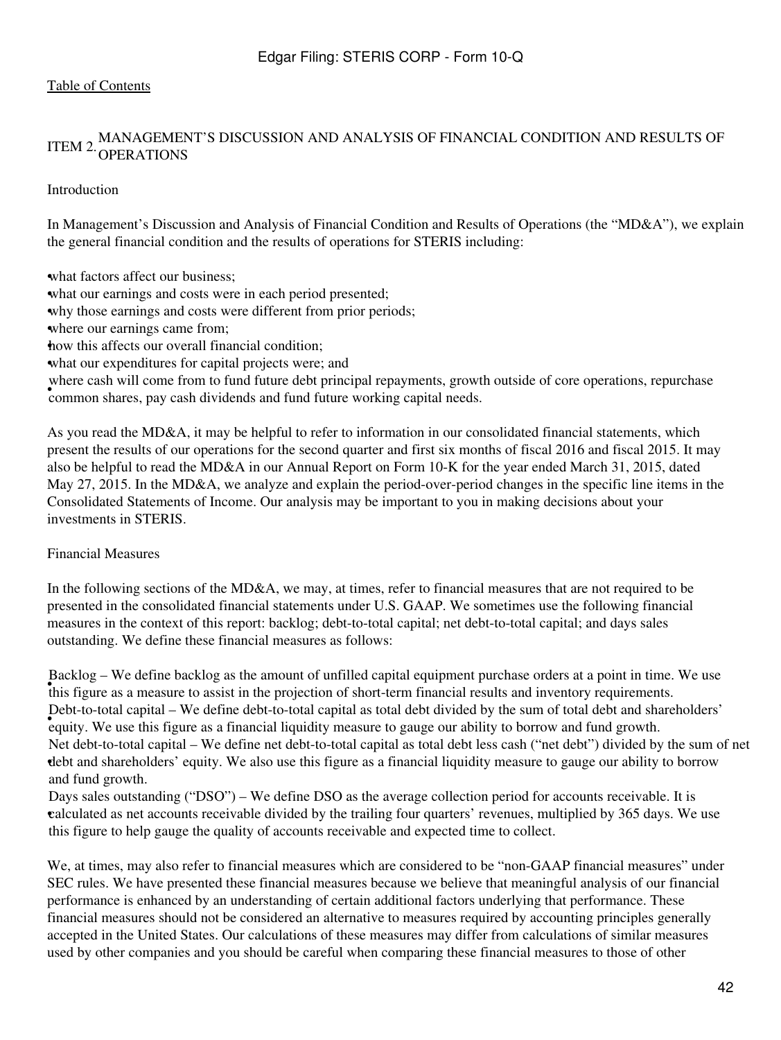# ITEM 2. <sup>MANAGEMENT'S DISCUSSION AND ANALYSIS OF FINANCIAL CONDITION AND RESULTS OF</sup>

#### Introduction

In Management's Discussion and Analysis of Financial Condition and Results of Operations (the "MD&A"), we explain the general financial condition and the results of operations for STERIS including:

what factors affect our business;

what our earnings and costs were in each period presented;

•why those earnings and costs were different from prior periods;

where our earnings came from;

how this affects our overall financial condition;

what our expenditures for capital projects were; and

where eash will come from to faile faithe deel principal repayments, growtommon shares, pay cash dividends and fund future working capital needs. where cash will come from to fund future debt principal repayments, growth outside of core operations, repurchase

As you read the MD&A, it may be helpful to refer to information in our consolidated financial statements, which present the results of our operations for the second quarter and first six months of fiscal 2016 and fiscal 2015. It may also be helpful to read the MD&A in our Annual Report on Form 10-K for the year ended March 31, 2015, dated May 27, 2015. In the MD&A, we analyze and explain the period-over-period changes in the specific line items in the Consolidated Statements of Income. Our analysis may be important to you in making decisions about your investments in STERIS.

#### Financial Measures

In the following sections of the MD&A, we may, at times, refer to financial measures that are not required to be presented in the consolidated financial statements under U.S. GAAP. We sometimes use the following financial measures in the context of this report: backlog; debt-to-total capital; net debt-to-total capital; and days sales outstanding. We define these financial measures as follows:

• this figure as a measure to assist in the projection of short-term financial results and inventory requirements. Backlog – We define backlog as the amount of unfilled capital equipment purchase orders at a point in time. We use • equity. We use this figure as a financial liquidity measure to gauge our ability to borrow and fund growth. Debt-to-total capital – We define debt-to-total capital as total debt divided by the sum of total debt and shareholders' • debt and shareholders' equity. We also use this figure as a financial liquidity measure to gauge our ability to borrow Net debt-to-total capital – We define net debt-to-total capital as total debt less cash ("net debt") divided by the sum of net and fund growth.

• calculated as net accounts receivable divided by the trailing four quarters' revenues, multiplied by 365 days. We use Days sales outstanding ("DSO") – We define DSO as the average collection period for accounts receivable. It is this figure to help gauge the quality of accounts receivable and expected time to collect.

We, at times, may also refer to financial measures which are considered to be "non-GAAP financial measures" under SEC rules. We have presented these financial measures because we believe that meaningful analysis of our financial performance is enhanced by an understanding of certain additional factors underlying that performance. These financial measures should not be considered an alternative to measures required by accounting principles generally accepted in the United States. Our calculations of these measures may differ from calculations of similar measures used by other companies and you should be careful when comparing these financial measures to those of other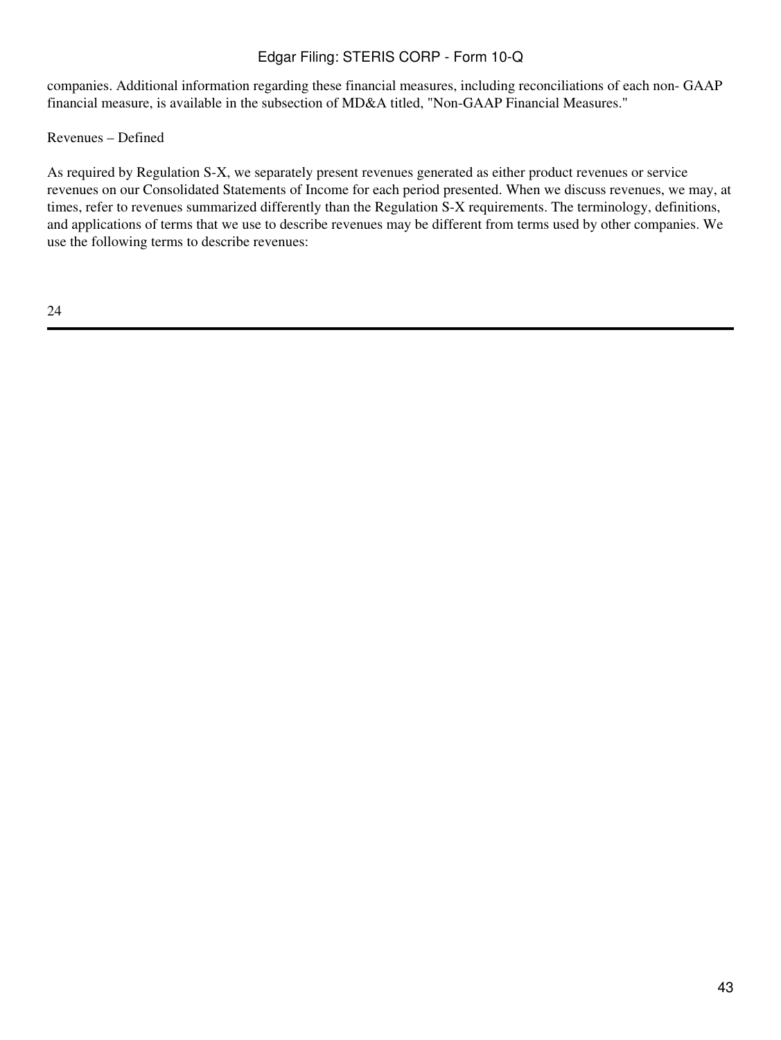companies. Additional information regarding these financial measures, including reconciliations of each non- GAAP financial measure, is available in the subsection of MD&A titled, "Non-GAAP Financial Measures."

Revenues – Defined

As required by Regulation S-X, we separately present revenues generated as either product revenues or service revenues on our Consolidated Statements of Income for each period presented. When we discuss revenues, we may, at times, refer to revenues summarized differently than the Regulation S-X requirements. The terminology, definitions, and applications of terms that we use to describe revenues may be different from terms used by other companies. We use the following terms to describe revenues: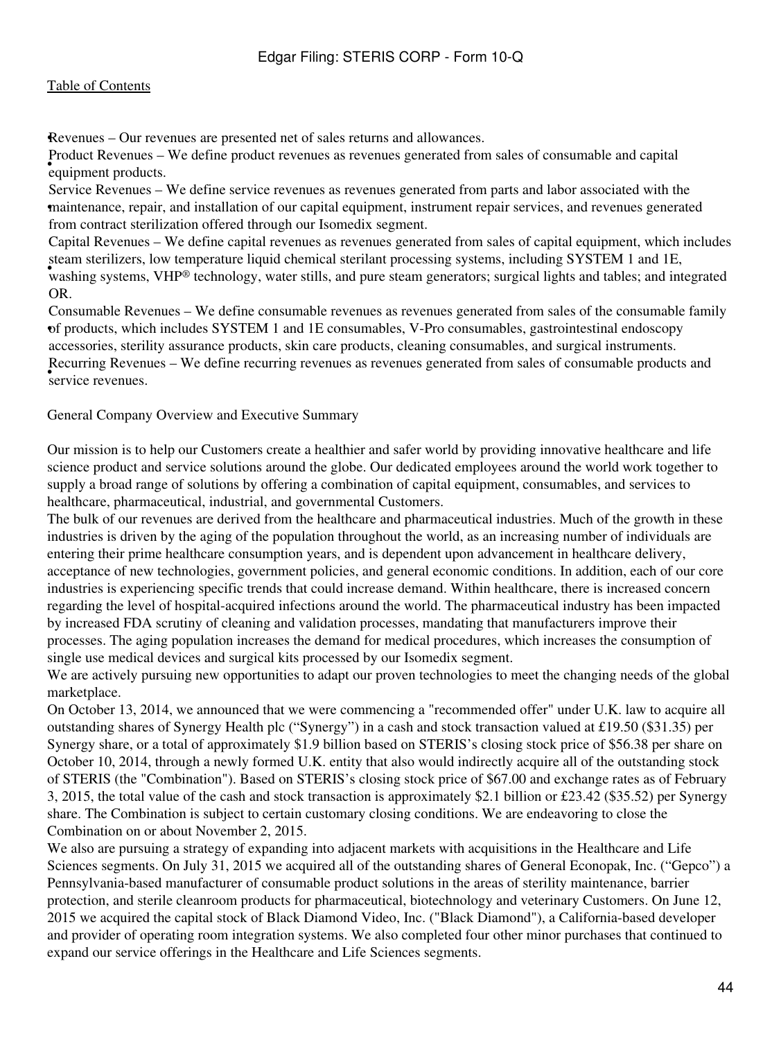•Revenues – Our revenues are presented net of sales returns and allowances.

• equipment products. Product Revenues – We define product revenues as revenues generated from sales of consumable and capital

• maintenance, repair, and installation of our capital equipment, instrument repair services, and revenues generated Service Revenues – We define service revenues as revenues generated from parts and labor associated with the from contract sterilization offered through our Isomedix segment.

washing systems, VHP® technology, water stills, and pure steam generators; surgical lights and tables; and integrated washing systems, VHP® technology, water stills, and pure steam generators; surgical lights and tables; a Capital Revenues – We define capital revenues as revenues generated from sales of capital equipment, which includes steam sterilizers, low temperature liquid chemical sterilant processing systems, including SYSTEM 1 and 1E, OR.

• of products, which includes SYSTEM 1 and 1E consumables, V-Pro consumables, gastrointestinal endoscopy Consumable Revenues – We define consumable revenues as revenues generated from sales of the consumable family accessories, sterility assurance products, skin care products, cleaning consumables, and surgical instruments. • service revenues. Recurring Revenues – We define recurring revenues as revenues generated from sales of consumable products and

General Company Overview and Executive Summary

Our mission is to help our Customers create a healthier and safer world by providing innovative healthcare and life science product and service solutions around the globe. Our dedicated employees around the world work together to supply a broad range of solutions by offering a combination of capital equipment, consumables, and services to healthcare, pharmaceutical, industrial, and governmental Customers.

The bulk of our revenues are derived from the healthcare and pharmaceutical industries. Much of the growth in these industries is driven by the aging of the population throughout the world, as an increasing number of individuals are entering their prime healthcare consumption years, and is dependent upon advancement in healthcare delivery, acceptance of new technologies, government policies, and general economic conditions. In addition, each of our core industries is experiencing specific trends that could increase demand. Within healthcare, there is increased concern regarding the level of hospital-acquired infections around the world. The pharmaceutical industry has been impacted by increased FDA scrutiny of cleaning and validation processes, mandating that manufacturers improve their processes. The aging population increases the demand for medical procedures, which increases the consumption of single use medical devices and surgical kits processed by our Isomedix segment.

We are actively pursuing new opportunities to adapt our proven technologies to meet the changing needs of the global marketplace.

On October 13, 2014, we announced that we were commencing a "recommended offer" under U.K. law to acquire all outstanding shares of Synergy Health plc ("Synergy") in a cash and stock transaction valued at £19.50 (\$31.35) per Synergy share, or a total of approximately \$1.9 billion based on STERIS's closing stock price of \$56.38 per share on October 10, 2014, through a newly formed U.K. entity that also would indirectly acquire all of the outstanding stock of STERIS (the "Combination"). Based on STERIS's closing stock price of \$67.00 and exchange rates as of February 3, 2015, the total value of the cash and stock transaction is approximately \$2.1 billion or £23.42 (\$35.52) per Synergy share. The Combination is subject to certain customary closing conditions. We are endeavoring to close the Combination on or about November 2, 2015.

We also are pursuing a strategy of expanding into adjacent markets with acquisitions in the Healthcare and Life Sciences segments. On July 31, 2015 we acquired all of the outstanding shares of General Econopak, Inc. ("Gepco") a Pennsylvania-based manufacturer of consumable product solutions in the areas of sterility maintenance, barrier protection, and sterile cleanroom products for pharmaceutical, biotechnology and veterinary Customers. On June 12, 2015 we acquired the capital stock of Black Diamond Video, Inc. ("Black Diamond"), a California-based developer and provider of operating room integration systems. We also completed four other minor purchases that continued to expand our service offerings in the Healthcare and Life Sciences segments.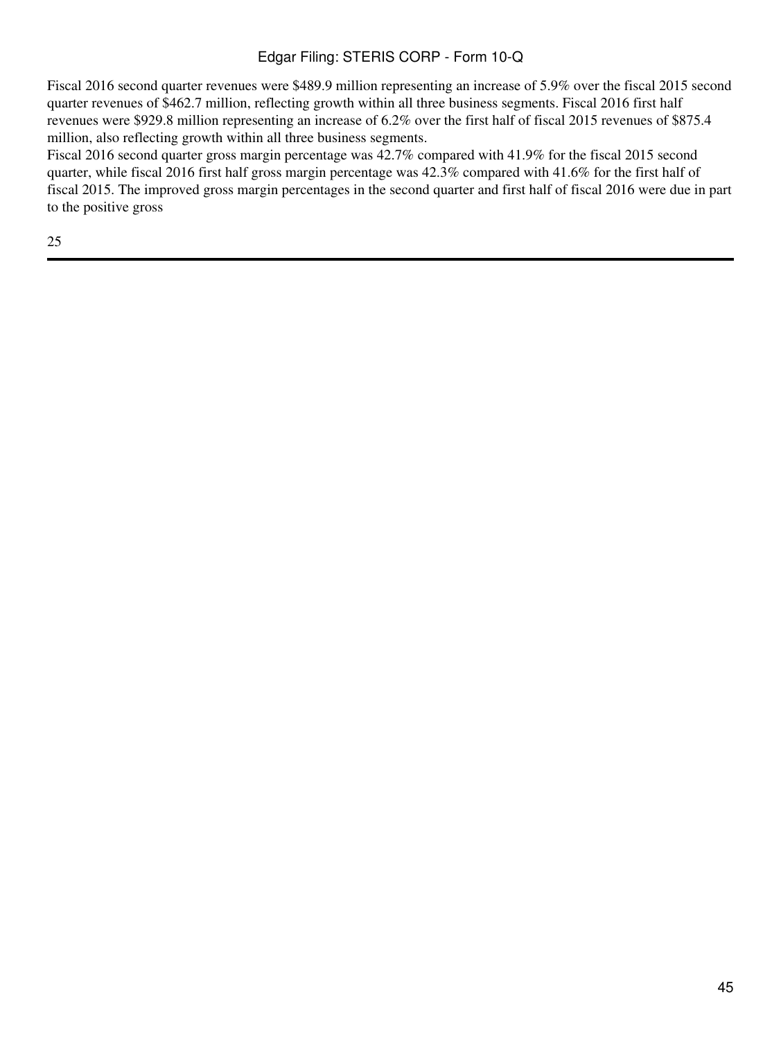Fiscal 2016 second quarter revenues were \$489.9 million representing an increase of 5.9% over the fiscal 2015 second quarter revenues of \$462.7 million, reflecting growth within all three business segments. Fiscal 2016 first half revenues were \$929.8 million representing an increase of 6.2% over the first half of fiscal 2015 revenues of \$875.4 million, also reflecting growth within all three business segments.

Fiscal 2016 second quarter gross margin percentage was 42.7% compared with 41.9% for the fiscal 2015 second quarter, while fiscal 2016 first half gross margin percentage was 42.3% compared with 41.6% for the first half of fiscal 2015. The improved gross margin percentages in the second quarter and first half of fiscal 2016 were due in part to the positive gross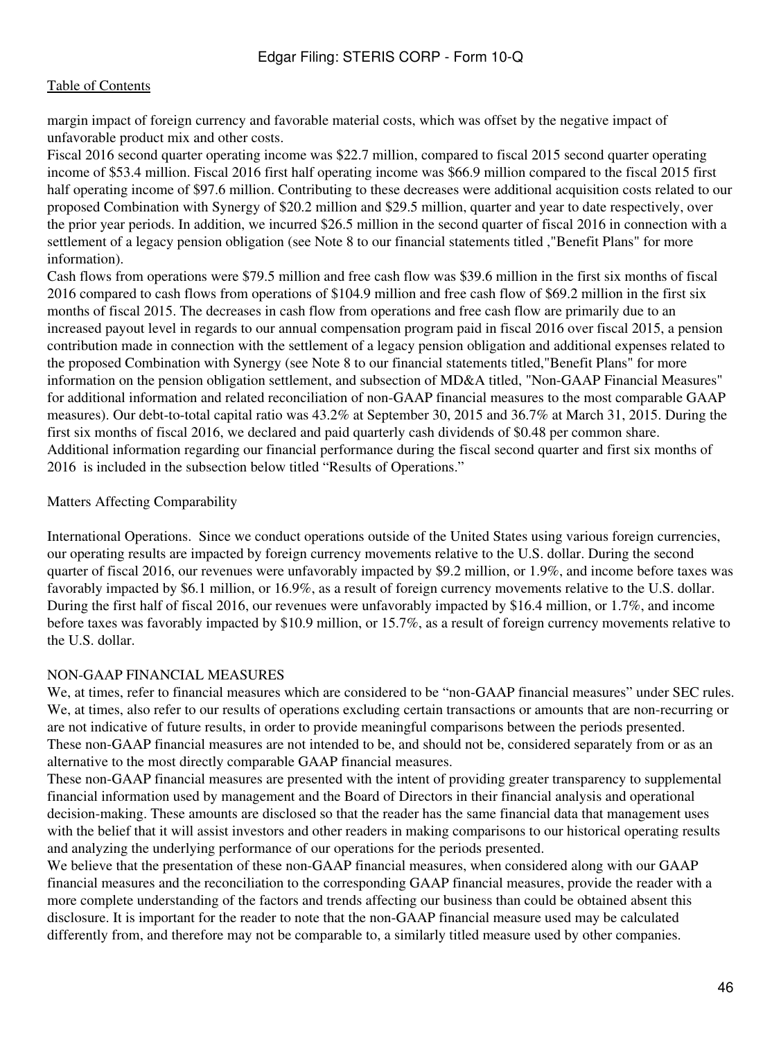margin impact of foreign currency and favorable material costs, which was offset by the negative impact of unfavorable product mix and other costs.

Fiscal 2016 second quarter operating income was \$22.7 million, compared to fiscal 2015 second quarter operating income of \$53.4 million. Fiscal 2016 first half operating income was \$66.9 million compared to the fiscal 2015 first half operating income of \$97.6 million. Contributing to these decreases were additional acquisition costs related to our proposed Combination with Synergy of \$20.2 million and \$29.5 million, quarter and year to date respectively, over the prior year periods. In addition, we incurred \$26.5 million in the second quarter of fiscal 2016 in connection with a settlement of a legacy pension obligation (see Note 8 to our financial statements titled ,"Benefit Plans" for more information).

Cash flows from operations were \$79.5 million and free cash flow was \$39.6 million in the first six months of fiscal 2016 compared to cash flows from operations of \$104.9 million and free cash flow of \$69.2 million in the first six months of fiscal 2015. The decreases in cash flow from operations and free cash flow are primarily due to an increased payout level in regards to our annual compensation program paid in fiscal 2016 over fiscal 2015, a pension contribution made in connection with the settlement of a legacy pension obligation and additional expenses related to the proposed Combination with Synergy (see Note 8 to our financial statements titled,"Benefit Plans" for more information on the pension obligation settlement, and subsection of MD&A titled, "Non-GAAP Financial Measures" for additional information and related reconciliation of non-GAAP financial measures to the most comparable GAAP measures). Our debt-to-total capital ratio was 43.2% at September 30, 2015 and 36.7% at March 31, 2015. During the first six months of fiscal 2016, we declared and paid quarterly cash dividends of \$0.48 per common share. Additional information regarding our financial performance during the fiscal second quarter and first six months of 2016 is included in the subsection below titled "Results of Operations."

#### Matters Affecting Comparability

International Operations. Since we conduct operations outside of the United States using various foreign currencies, our operating results are impacted by foreign currency movements relative to the U.S. dollar. During the second quarter of fiscal 2016, our revenues were unfavorably impacted by \$9.2 million, or 1.9%, and income before taxes was favorably impacted by \$6.1 million, or 16.9%, as a result of foreign currency movements relative to the U.S. dollar. During the first half of fiscal 2016, our revenues were unfavorably impacted by \$16.4 million, or 1.7%, and income before taxes was favorably impacted by \$10.9 million, or 15.7%, as a result of foreign currency movements relative to the U.S. dollar.

#### NON-GAAP FINANCIAL MEASURES

We, at times, refer to financial measures which are considered to be "non-GAAP financial measures" under SEC rules. We, at times, also refer to our results of operations excluding certain transactions or amounts that are non-recurring or are not indicative of future results, in order to provide meaningful comparisons between the periods presented. These non-GAAP financial measures are not intended to be, and should not be, considered separately from or as an alternative to the most directly comparable GAAP financial measures.

These non-GAAP financial measures are presented with the intent of providing greater transparency to supplemental financial information used by management and the Board of Directors in their financial analysis and operational decision-making. These amounts are disclosed so that the reader has the same financial data that management uses with the belief that it will assist investors and other readers in making comparisons to our historical operating results and analyzing the underlying performance of our operations for the periods presented.

We believe that the presentation of these non-GAAP financial measures, when considered along with our GAAP financial measures and the reconciliation to the corresponding GAAP financial measures, provide the reader with a more complete understanding of the factors and trends affecting our business than could be obtained absent this disclosure. It is important for the reader to note that the non-GAAP financial measure used may be calculated differently from, and therefore may not be comparable to, a similarly titled measure used by other companies.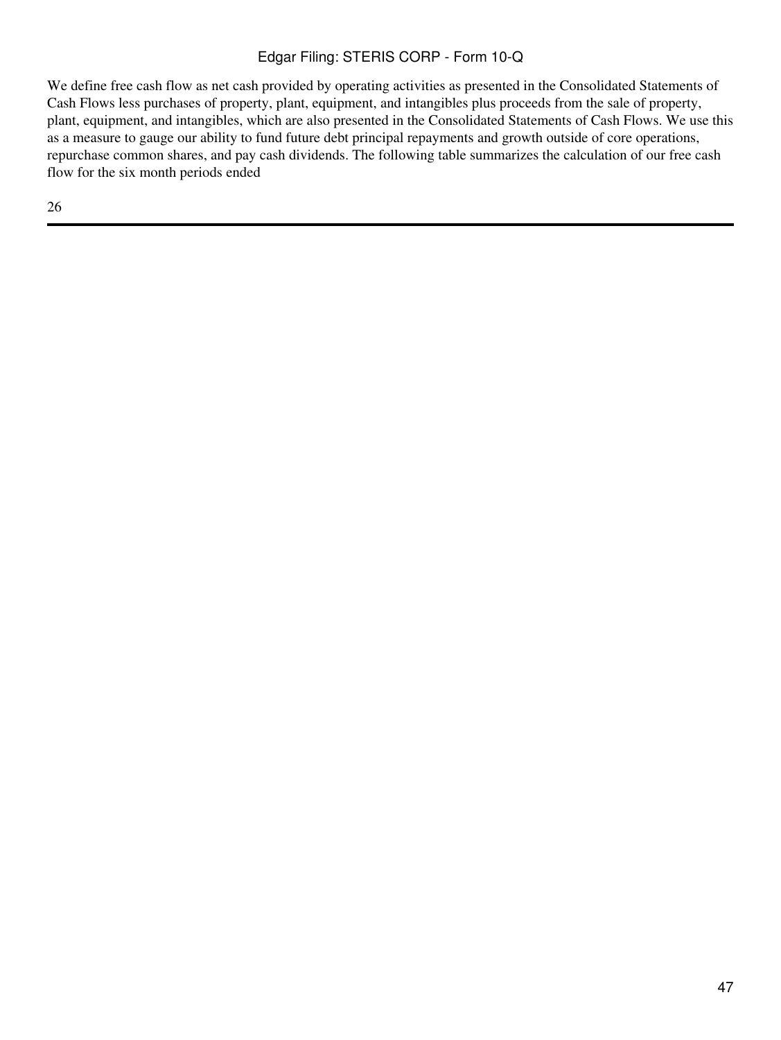We define free cash flow as net cash provided by operating activities as presented in the Consolidated Statements of Cash Flows less purchases of property, plant, equipment, and intangibles plus proceeds from the sale of property, plant, equipment, and intangibles, which are also presented in the Consolidated Statements of Cash Flows. We use this as a measure to gauge our ability to fund future debt principal repayments and growth outside of core operations, repurchase common shares, and pay cash dividends. The following table summarizes the calculation of our free cash flow for the six month periods ended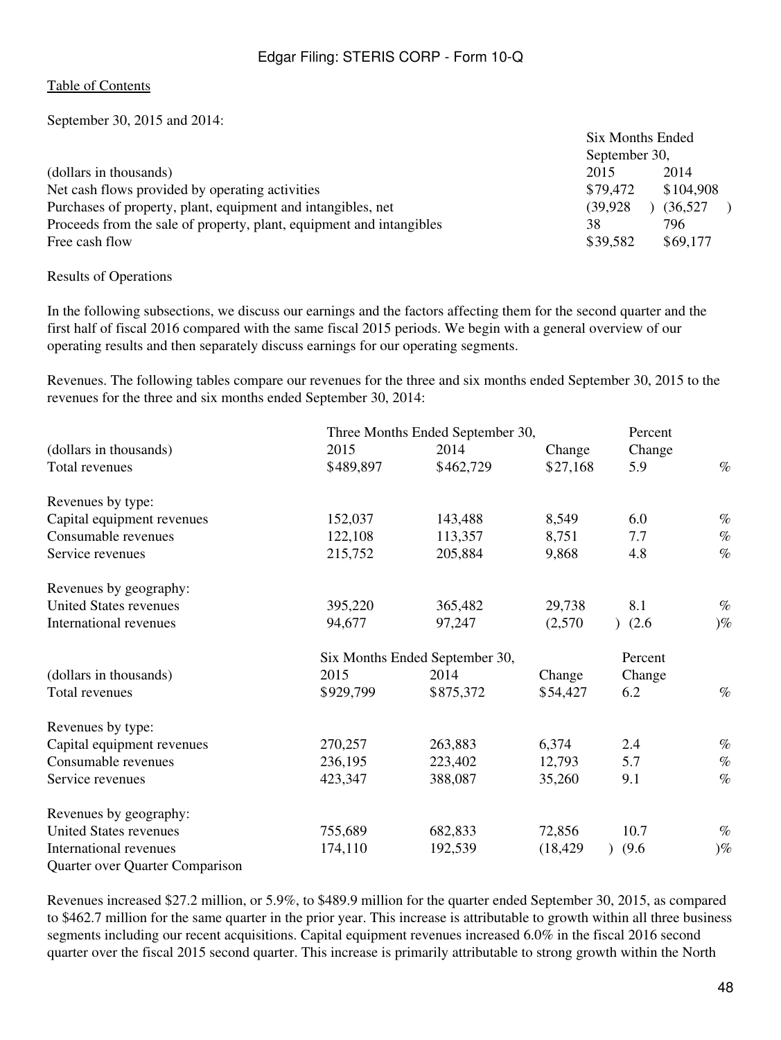September 30, 2015 and 2014:

| September 30, |                  |  |  |
|---------------|------------------|--|--|
| 2015          | 2014             |  |  |
| \$79,472      | \$104,908        |  |  |
| (39.928)      | (36,527)         |  |  |
| 38            | 796              |  |  |
| \$39,582      | \$69,177         |  |  |
|               | Six Months Ended |  |  |

#### Results of Operations

In the following subsections, we discuss our earnings and the factors affecting them for the second quarter and the first half of fiscal 2016 compared with the same fiscal 2015 periods. We begin with a general overview of our operating results and then separately discuss earnings for our operating segments.

Revenues. The following tables compare our revenues for the three and six months ended September 30, 2015 to the revenues for the three and six months ended September 30, 2014:

|                                 |           | Three Months Ended September 30, |           | Percent |       |
|---------------------------------|-----------|----------------------------------|-----------|---------|-------|
| (dollars in thousands)          | 2015      | 2014                             | Change    | Change  |       |
| Total revenues                  | \$489,897 | \$462,729                        | \$27,168  | 5.9     | $\%$  |
| Revenues by type:               |           |                                  |           |         |       |
| Capital equipment revenues      | 152,037   | 143,488                          | 8,549     | 6.0     | $\%$  |
| Consumable revenues             | 122,108   | 113,357                          | 8,751     | 7.7     | $\%$  |
| Service revenues                | 215,752   | 205,884                          | 9,868     | 4.8     | $\%$  |
| Revenues by geography:          |           |                                  |           |         |       |
| United States revenues          | 395,220   | 365,482                          | 29,738    | 8.1     | $\%$  |
| International revenues          | 94,677    | 97,247                           | (2,570)   | (2.6)   | $)\%$ |
|                                 |           | Six Months Ended September 30,   |           | Percent |       |
| (dollars in thousands)          | 2015      | 2014                             | Change    | Change  |       |
| Total revenues                  | \$929,799 | \$875,372                        | \$54,427  | 6.2     | $\%$  |
| Revenues by type:               |           |                                  |           |         |       |
| Capital equipment revenues      | 270,257   | 263,883                          | 6,374     | 2.4     | $\%$  |
| Consumable revenues             | 236,195   | 223,402                          | 12,793    | 5.7     | $\%$  |
| Service revenues                | 423,347   | 388,087                          | 35,260    | 9.1     | $\%$  |
| Revenues by geography:          |           |                                  |           |         |       |
| United States revenues          | 755,689   | 682,833                          | 72,856    | 10.7    | $\%$  |
| International revenues          | 174,110   | 192,539                          | (18, 429) | (9.6)   | $)\%$ |
| Quarter over Quarter Comparison |           |                                  |           |         |       |

Revenues increased \$27.2 million, or 5.9%, to \$489.9 million for the quarter ended September 30, 2015, as compared to \$462.7 million for the same quarter in the prior year. This increase is attributable to growth within all three business segments including our recent acquisitions. Capital equipment revenues increased 6.0% in the fiscal 2016 second quarter over the fiscal 2015 second quarter. This increase is primarily attributable to strong growth within the North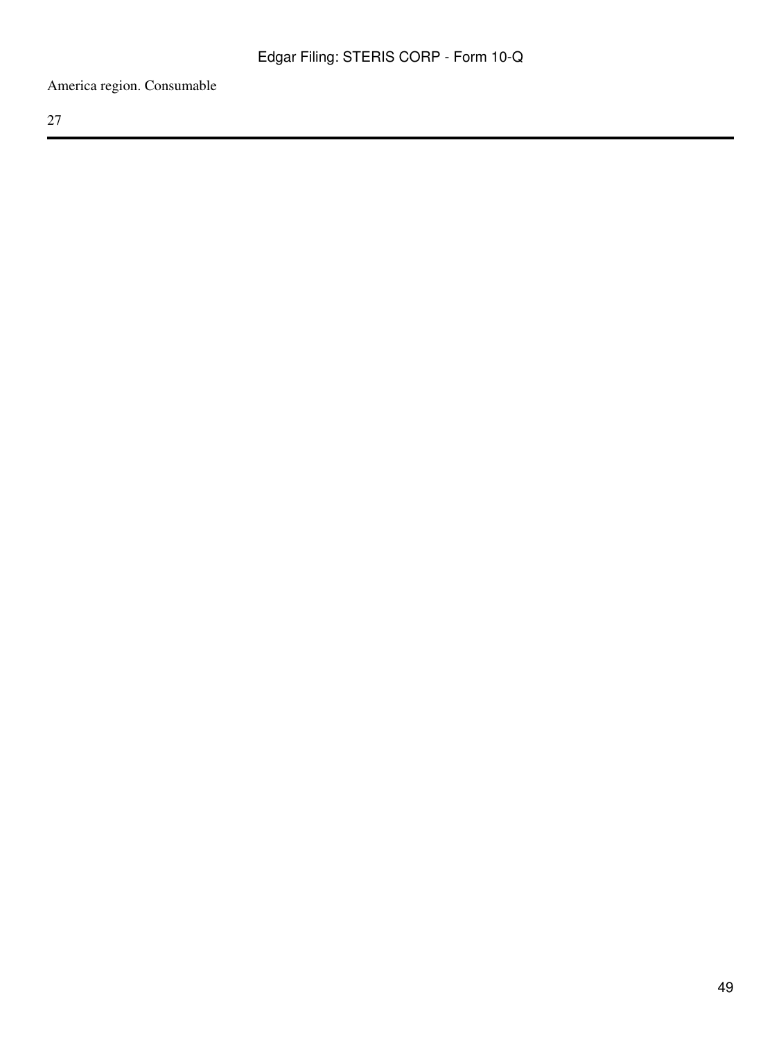America region. Consumable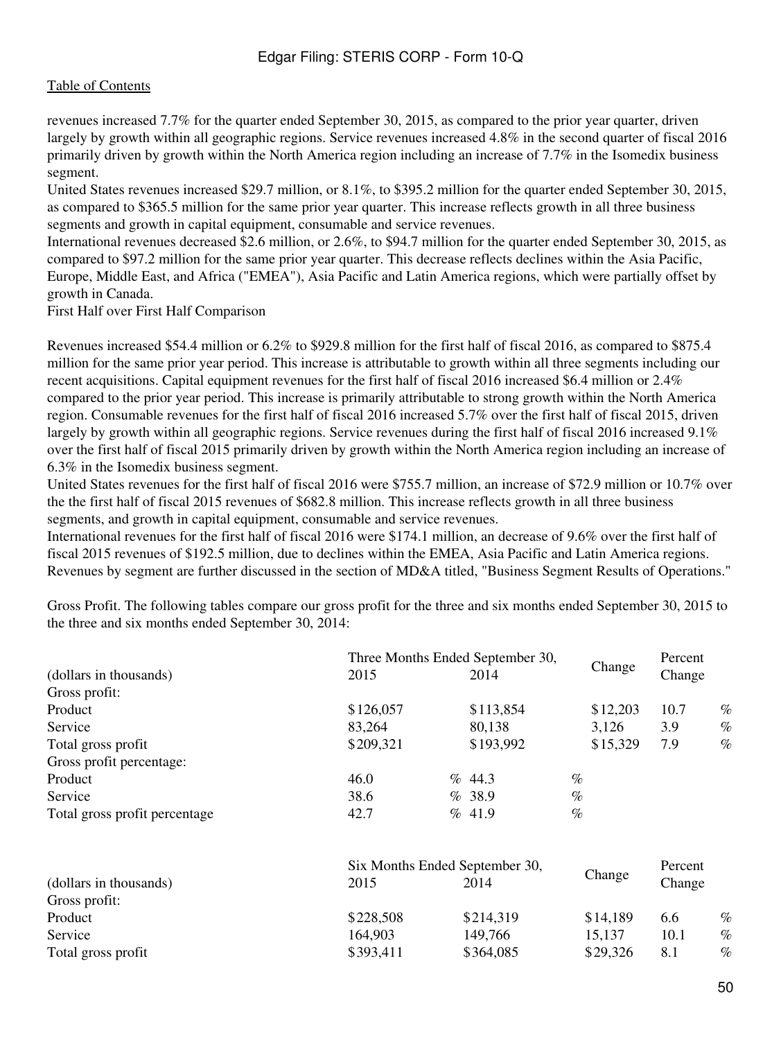revenues increased 7.7% for the quarter ended September 30, 2015, as compared to the prior year quarter, driven largely by growth within all geographic regions. Service revenues increased 4.8% in the second quarter of fiscal 2016 primarily driven by growth within the North America region including an increase of 7.7% in the Isomedix business segment.

United States revenues increased \$29.7 million, or 8.1%, to \$395.2 million for the quarter ended September 30, 2015, as compared to \$365.5 million for the same prior year quarter. This increase reflects growth in all three business segments and growth in capital equipment, consumable and service revenues.

International revenues decreased \$2.6 million, or 2.6%, to \$94.7 million for the quarter ended September 30, 2015, as compared to \$97.2 million for the same prior year quarter. This decrease reflects declines within the Asia Pacific, Europe, Middle East, and Africa ("EMEA"), Asia Pacific and Latin America regions, which were partially offset by growth in Canada.

First Half over First Half Comparison

Revenues increased \$54.4 million or 6.2% to \$929.8 million for the first half of fiscal 2016, as compared to \$875.4 million for the same prior year period. This increase is attributable to growth within all three segments including our recent acquisitions. Capital equipment revenues for the first half of fiscal 2016 increased \$6.4 million or 2.4% compared to the prior year period. This increase is primarily attributable to strong growth within the North America region. Consumable revenues for the first half of fiscal 2016 increased 5.7% over the first half of fiscal 2015, driven largely by growth within all geographic regions. Service revenues during the first half of fiscal 2016 increased 9.1% over the first half of fiscal 2015 primarily driven by growth within the North America region including an increase of 6.3% in the Isomedix business segment.

United States revenues for the first half of fiscal 2016 were \$755.7 million, an increase of \$72.9 million or 10.7% over the the first half of fiscal 2015 revenues of \$682.8 million. This increase reflects growth in all three business segments, and growth in capital equipment, consumable and service revenues.

International revenues for the first half of fiscal 2016 were \$174.1 million, an decrease of 9.6% over the first half of fiscal 2015 revenues of \$192.5 million, due to declines within the EMEA, Asia Pacific and Latin America regions. Revenues by segment are further discussed in the section of MD&A titled, "Business Segment Results of Operations."

Gross Profit. The following tables compare our gross profit for the three and six months ended September 30, 2015 to the three and six months ended September 30, 2014:

|                               | Three Months Ended September 30, |           |          | Percent |      |
|-------------------------------|----------------------------------|-----------|----------|---------|------|
| (dollars in thousands)        | 2015                             | 2014      | Change   | Change  |      |
| Gross profit:                 |                                  |           |          |         |      |
| Product                       | \$126,057                        | \$113,854 | \$12,203 | 10.7    | $\%$ |
| Service                       | 83,264                           | 80,138    | 3,126    | 3.9     | $\%$ |
| Total gross profit            | \$209,321                        | \$193,992 | \$15,329 | 7.9     | $\%$ |
| Gross profit percentage:      |                                  |           |          |         |      |
| Product                       | 46.0                             | $\%$ 44.3 | $\%$     |         |      |
| Service                       | 38.6                             | %38.9     | $\%$     |         |      |
| Total gross profit percentage | 42.7                             | % 41.9    | $\%$     |         |      |

|                        | Six Months Ended September 30, |           | Percent  |        |      |
|------------------------|--------------------------------|-----------|----------|--------|------|
| (dollars in thousands) | 2015                           | 2014      | Change   | Change |      |
| Gross profit:          |                                |           |          |        |      |
| Product                | \$228,508                      | \$214,319 | \$14,189 | 6.6    | $\%$ |
| Service                | 164,903                        | 149,766   | 15,137   | 10.1   | $\%$ |
| Total gross profit     | \$393,411                      | \$364,085 | \$29,326 | 8.1    | $\%$ |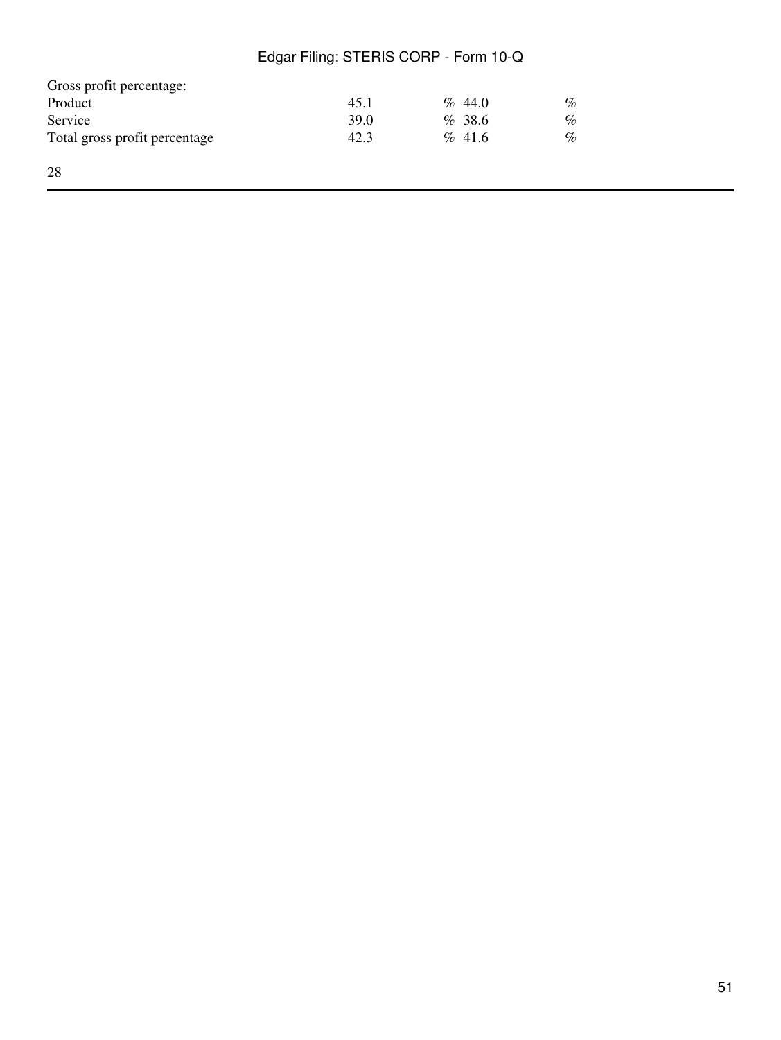| Gross profit percentage:      |      |           |      |
|-------------------------------|------|-----------|------|
| Product                       | 45.1 | $\%$ 44.0 | $\%$ |
| Service                       | 39.0 | %38.6     | $\%$ |
| Total gross profit percentage | 42.3 | % 41.6    | $\%$ |
| 28                            |      |           |      |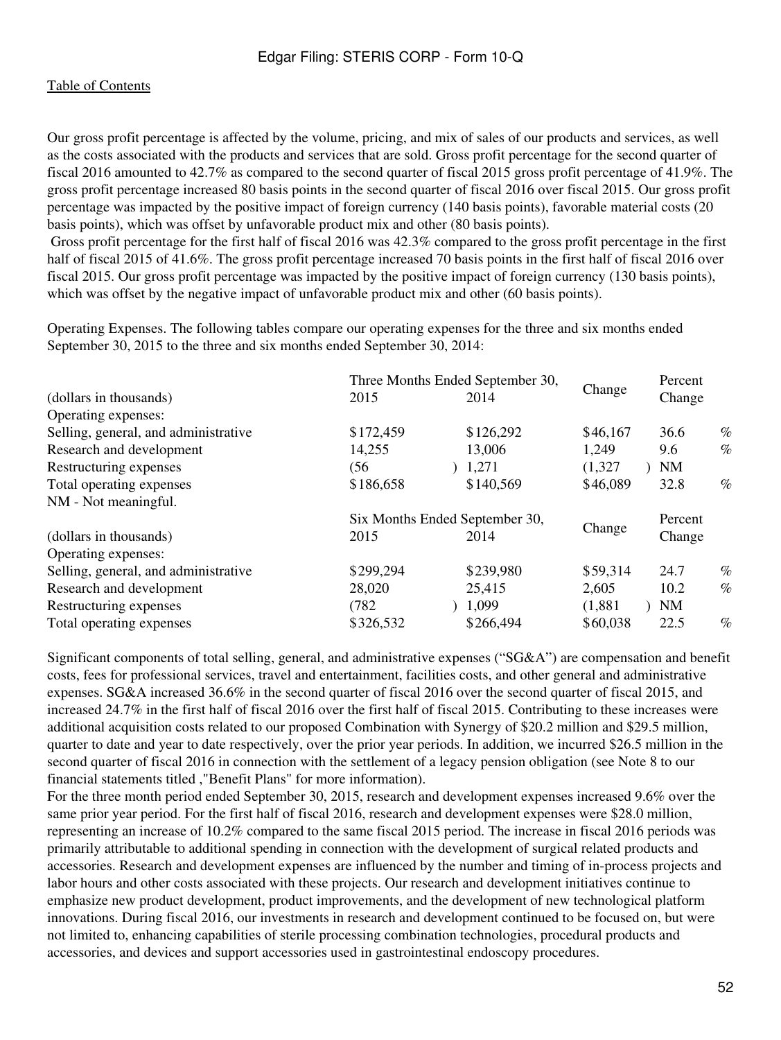Our gross profit percentage is affected by the volume, pricing, and mix of sales of our products and services, as well as the costs associated with the products and services that are sold. Gross profit percentage for the second quarter of fiscal 2016 amounted to 42.7% as compared to the second quarter of fiscal 2015 gross profit percentage of 41.9%. The gross profit percentage increased 80 basis points in the second quarter of fiscal 2016 over fiscal 2015. Our gross profit percentage was impacted by the positive impact of foreign currency (140 basis points), favorable material costs (20 basis points), which was offset by unfavorable product mix and other (80 basis points).

 Gross profit percentage for the first half of fiscal 2016 was 42.3% compared to the gross profit percentage in the first half of fiscal 2015 of 41.6%. The gross profit percentage increased 70 basis points in the first half of fiscal 2016 over fiscal 2015. Our gross profit percentage was impacted by the positive impact of foreign currency (130 basis points), which was offset by the negative impact of unfavorable product mix and other (60 basis points).

Operating Expenses. The following tables compare our operating expenses for the three and six months ended September 30, 2015 to the three and six months ended September 30, 2014:

|                                      |           | Three Months Ended September 30, |          | Percent   |      |
|--------------------------------------|-----------|----------------------------------|----------|-----------|------|
| (dollars in thousands)               | 2015      | 2014                             | Change   | Change    |      |
| Operating expenses:                  |           |                                  |          |           |      |
| Selling, general, and administrative | \$172,459 | \$126,292                        | \$46,167 | 36.6      | $\%$ |
| Research and development             | 14,255    | 13,006                           | 1,249    | 9.6       | $\%$ |
| Restructuring expenses               | (56       | 1,271                            | (1,327)  | <b>NM</b> |      |
| Total operating expenses             | \$186,658 | \$140,569                        | \$46,089 | 32.8      | $\%$ |
| NM - Not meaningful.                 |           |                                  |          |           |      |
|                                      |           | Six Months Ended September 30,   |          | Percent   |      |
| (dollars in thousands)               | 2015      | 2014                             | Change   | Change    |      |
| Operating expenses:                  |           |                                  |          |           |      |
| Selling, general, and administrative | \$299,294 | \$239,980                        | \$59,314 | 24.7      | $\%$ |
| Research and development             | 28,020    | 25,415                           | 2,605    | 10.2      | $\%$ |
| Restructuring expenses               | (782)     | 1,099                            | (1,881)  | <b>NM</b> |      |
| Total operating expenses             | \$326,532 | \$266,494                        | \$60,038 | 22.5      | $\%$ |
|                                      |           |                                  |          |           |      |

Significant components of total selling, general, and administrative expenses ("SG&A") are compensation and benefit costs, fees for professional services, travel and entertainment, facilities costs, and other general and administrative expenses. SG&A increased 36.6% in the second quarter of fiscal 2016 over the second quarter of fiscal 2015, and increased 24.7% in the first half of fiscal 2016 over the first half of fiscal 2015. Contributing to these increases were additional acquisition costs related to our proposed Combination with Synergy of \$20.2 million and \$29.5 million, quarter to date and year to date respectively, over the prior year periods. In addition, we incurred \$26.5 million in the second quarter of fiscal 2016 in connection with the settlement of a legacy pension obligation (see Note 8 to our financial statements titled ,"Benefit Plans" for more information).

For the three month period ended September 30, 2015, research and development expenses increased 9.6% over the same prior year period. For the first half of fiscal 2016, research and development expenses were \$28.0 million, representing an increase of 10.2% compared to the same fiscal 2015 period. The increase in fiscal 2016 periods was primarily attributable to additional spending in connection with the development of surgical related products and accessories. Research and development expenses are influenced by the number and timing of in-process projects and labor hours and other costs associated with these projects. Our research and development initiatives continue to emphasize new product development, product improvements, and the development of new technological platform innovations. During fiscal 2016, our investments in research and development continued to be focused on, but were not limited to, enhancing capabilities of sterile processing combination technologies, procedural products and accessories, and devices and support accessories used in gastrointestinal endoscopy procedures.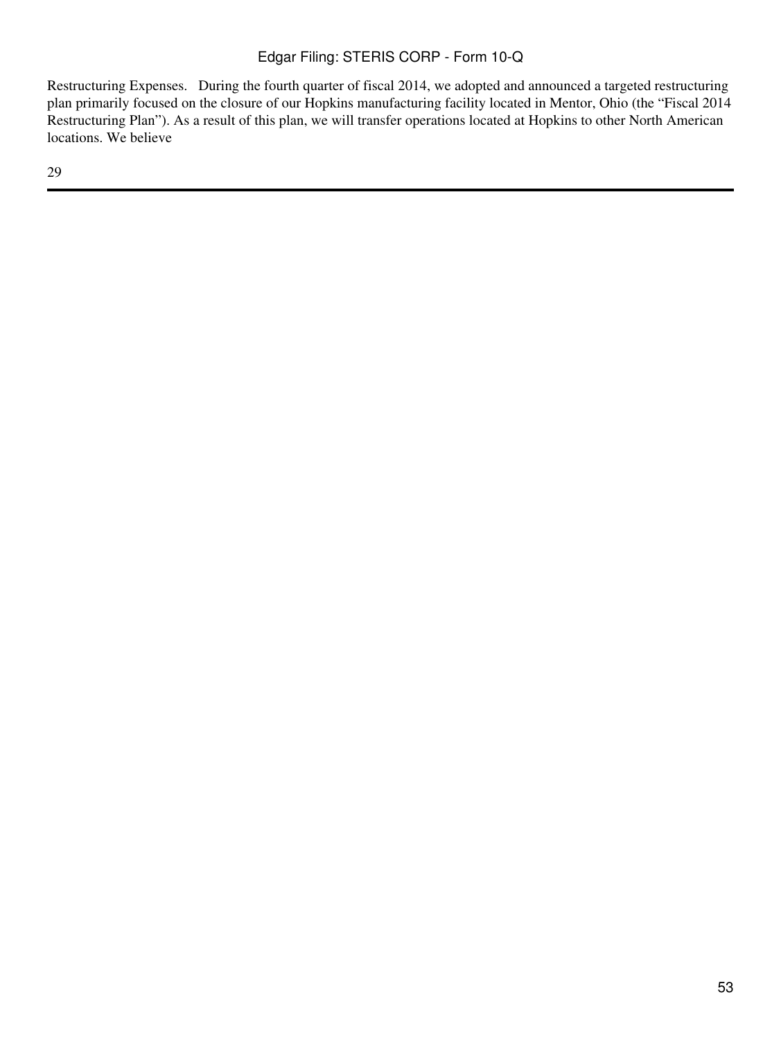Restructuring Expenses. During the fourth quarter of fiscal 2014, we adopted and announced a targeted restructuring plan primarily focused on the closure of our Hopkins manufacturing facility located in Mentor, Ohio (the "Fiscal 2014 Restructuring Plan"). As a result of this plan, we will transfer operations located at Hopkins to other North American locations. We believe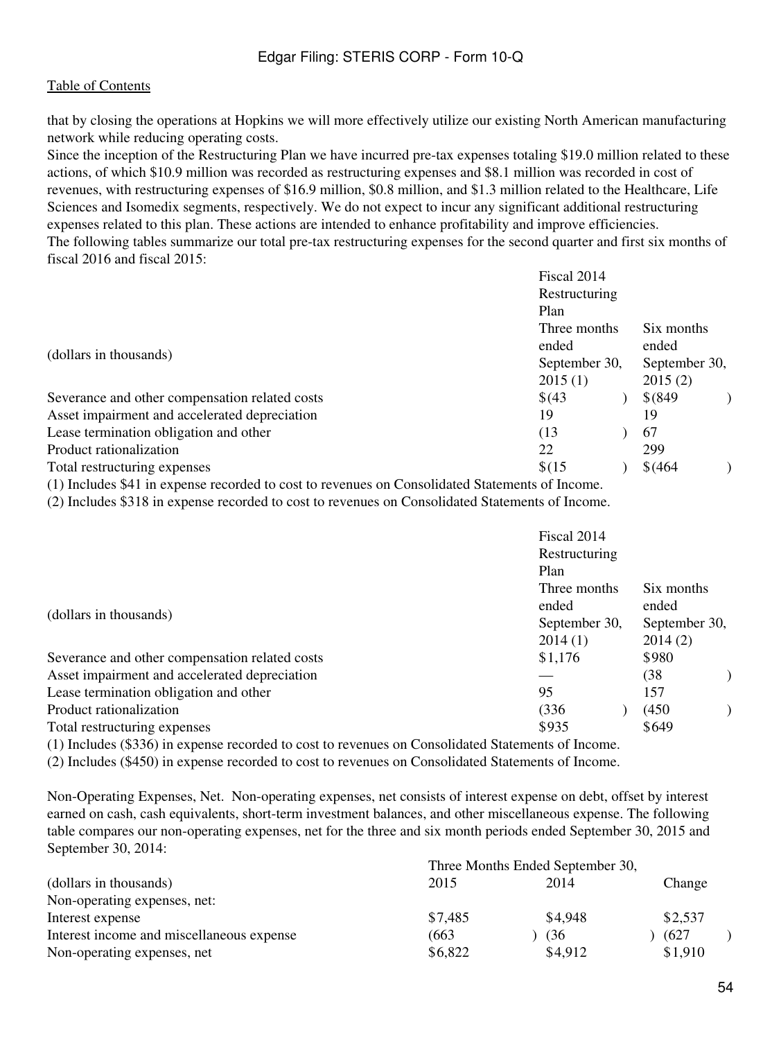that by closing the operations at Hopkins we will more effectively utilize our existing North American manufacturing network while reducing operating costs.

Since the inception of the Restructuring Plan we have incurred pre-tax expenses totaling \$19.0 million related to these actions, of which \$10.9 million was recorded as restructuring expenses and \$8.1 million was recorded in cost of revenues, with restructuring expenses of \$16.9 million, \$0.8 million, and \$1.3 million related to the Healthcare, Life Sciences and Isomedix segments, respectively. We do not expect to incur any significant additional restructuring expenses related to this plan. These actions are intended to enhance profitability and improve efficiencies. The following tables summarize our total pre-tax restructuring expenses for the second quarter and first six months of fiscal 2016 and fiscal 2015:

|                                                | Fiscal 2014   |               |  |
|------------------------------------------------|---------------|---------------|--|
|                                                | Restructuring |               |  |
|                                                | Plan          |               |  |
|                                                | Three months  | Six months    |  |
| (dollars in thousands)                         | ended         | ended         |  |
|                                                | September 30, | September 30, |  |
|                                                | 2015(1)       | 2015(2)       |  |
| Severance and other compensation related costs | \$(43)        | $$^{(849)}$   |  |
| Asset impairment and accelerated depreciation  | 19            | 19            |  |
| Lease termination obligation and other         | (13)          | 67            |  |
| Product rationalization                        | 22            | 299           |  |
| Total restructuring expenses                   | \$(15)        | \$ (464)      |  |

(1) Includes \$41 in expense recorded to cost to revenues on Consolidated Statements of Income.

(2) Includes \$318 in expense recorded to cost to revenues on Consolidated Statements of Income.

|                                                                                           |                | Fiscal 2014<br>Restructuring      |                                   |  |
|-------------------------------------------------------------------------------------------|----------------|-----------------------------------|-----------------------------------|--|
|                                                                                           |                | Plan<br>Three months              | Six months                        |  |
| (dollars in thousands)                                                                    |                | ended<br>September 30,<br>2014(1) | ended<br>September 30,<br>2014(2) |  |
| Severance and other compensation related costs                                            |                | \$1,176                           | \$980                             |  |
| Asset impairment and accelerated depreciation                                             |                |                                   | (38                               |  |
| Lease termination obligation and other                                                    |                | 95                                | 157                               |  |
| Product rationalization                                                                   |                | (336)                             | (450)                             |  |
| Total restructuring expenses                                                              |                | \$935                             | \$649                             |  |
| $(1)$ $\mathbf{r}$ $1$ $1$ $(0)$ $(0)$ $(0)$ $(1)$<br>$\mathbf 1$ $\mathbf 1$ $\mathbf 1$ | $111.1$ $12.1$ |                                   |                                   |  |

(1) Includes (\$336) in expense recorded to cost to revenues on Consolidated Statements of Income.

(2) Includes (\$450) in expense recorded to cost to revenues on Consolidated Statements of Income.

Non-Operating Expenses, Net. Non-operating expenses, net consists of interest expense on debt, offset by interest earned on cash, cash equivalents, short-term investment balances, and other miscellaneous expense. The following table compares our non-operating expenses, net for the three and six month periods ended September 30, 2015 and September 30, 2014:

|                                           | Three Months Ended September 30, |         |         |  |
|-------------------------------------------|----------------------------------|---------|---------|--|
| (dollars in thousands)                    | 2015                             | 2014    | Change  |  |
| Non-operating expenses, net:              |                                  |         |         |  |
| Interest expense                          | \$7,485                          | \$4.948 | \$2,537 |  |
| Interest income and miscellaneous expense | (663)                            | (36)    | (627)   |  |
| Non-operating expenses, net               | \$6,822                          | \$4,912 | \$1,910 |  |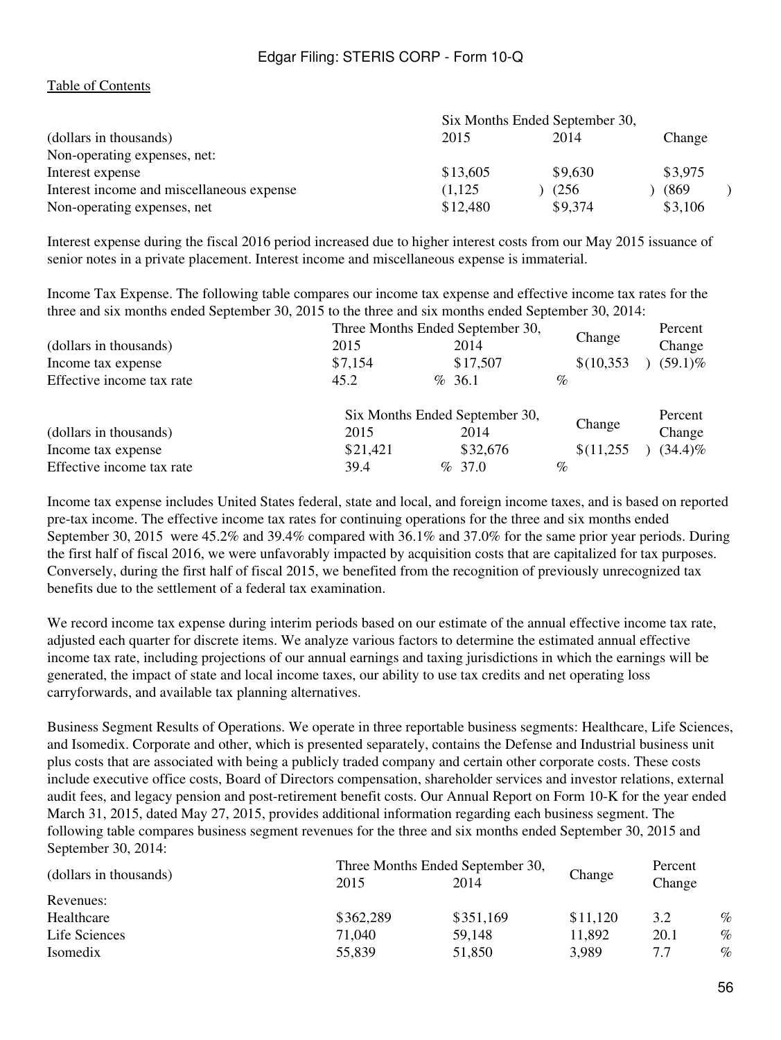#### [Table of Contents](#page-2-0)

|                                           | Six Months Ended September 30, |         |         |  |
|-------------------------------------------|--------------------------------|---------|---------|--|
| (dollars in thousands)                    | 2015                           | 2014    | Change  |  |
| Non-operating expenses, net:              |                                |         |         |  |
| Interest expense                          | \$13,605                       | \$9,630 | \$3,975 |  |
| Interest income and miscellaneous expense | (1,125)                        | (256)   | (869)   |  |
| Non-operating expenses, net               | \$12,480                       | \$9,374 | \$3,106 |  |

Interest expense during the fiscal 2016 period increased due to higher interest costs from our May 2015 issuance of senior notes in a private placement. Interest income and miscellaneous expense is immaterial.

Income Tax Expense. The following table compares our income tax expense and effective income tax rates for the three and six months ended September 30, 2015 to the three and six months ended September 30, 2014:

|                           |          | Three Months Ended September 30, | Change     | Percent    |
|---------------------------|----------|----------------------------------|------------|------------|
| (dollars in thousands)    | 2015     | 2014                             |            | Change     |
| Income tax expense        | \$7,154  | \$17,507                         | \$(10,353) | $(59.1)\%$ |
| Effective income tax rate | 45.2     | % 36.1                           | $\%$       |            |
|                           |          | Six Months Ended September 30,   | Change     | Percent    |
| (dollars in thousands)    | 2015     | 2014                             |            | Change     |
| Income tax expense        | \$21,421 | \$32,676                         | \$(11,255) | $(34.4)\%$ |
| Effective income tax rate | 39.4     | $\%$ 37.0                        | $\%$       |            |

Income tax expense includes United States federal, state and local, and foreign income taxes, and is based on reported pre-tax income. The effective income tax rates for continuing operations for the three and six months ended September 30, 2015 were 45.2% and 39.4% compared with 36.1% and 37.0% for the same prior year periods. During the first half of fiscal 2016, we were unfavorably impacted by acquisition costs that are capitalized for tax purposes. Conversely, during the first half of fiscal 2015, we benefited from the recognition of previously unrecognized tax benefits due to the settlement of a federal tax examination.

We record income tax expense during interim periods based on our estimate of the annual effective income tax rate, adjusted each quarter for discrete items. We analyze various factors to determine the estimated annual effective income tax rate, including projections of our annual earnings and taxing jurisdictions in which the earnings will be generated, the impact of state and local income taxes, our ability to use tax credits and net operating loss carryforwards, and available tax planning alternatives.

Business Segment Results of Operations. We operate in three reportable business segments: Healthcare, Life Sciences, and Isomedix. Corporate and other, which is presented separately, contains the Defense and Industrial business unit plus costs that are associated with being a publicly traded company and certain other corporate costs. These costs include executive office costs, Board of Directors compensation, shareholder services and investor relations, external audit fees, and legacy pension and post-retirement benefit costs. Our Annual Report on Form 10-K for the year ended March 31, 2015, dated May 27, 2015, provides additional information regarding each business segment. The following table compares business segment revenues for the three and six months ended September 30, 2015 and September 30, 2014:

|                        | Three Months Ended September 30, |           |          | Percent |      |
|------------------------|----------------------------------|-----------|----------|---------|------|
| (dollars in thousands) | 2015                             | 2014      | Change   | Change  |      |
| Revenues:              |                                  |           |          |         |      |
| Healthcare             | \$362,289                        | \$351,169 | \$11,120 | 3.2     | $\%$ |
| Life Sciences          | 71,040                           | 59,148    | 11,892   | 20.1    | $\%$ |
| Isomedix               | 55,839                           | 51,850    | 3,989    | 7.7     | $\%$ |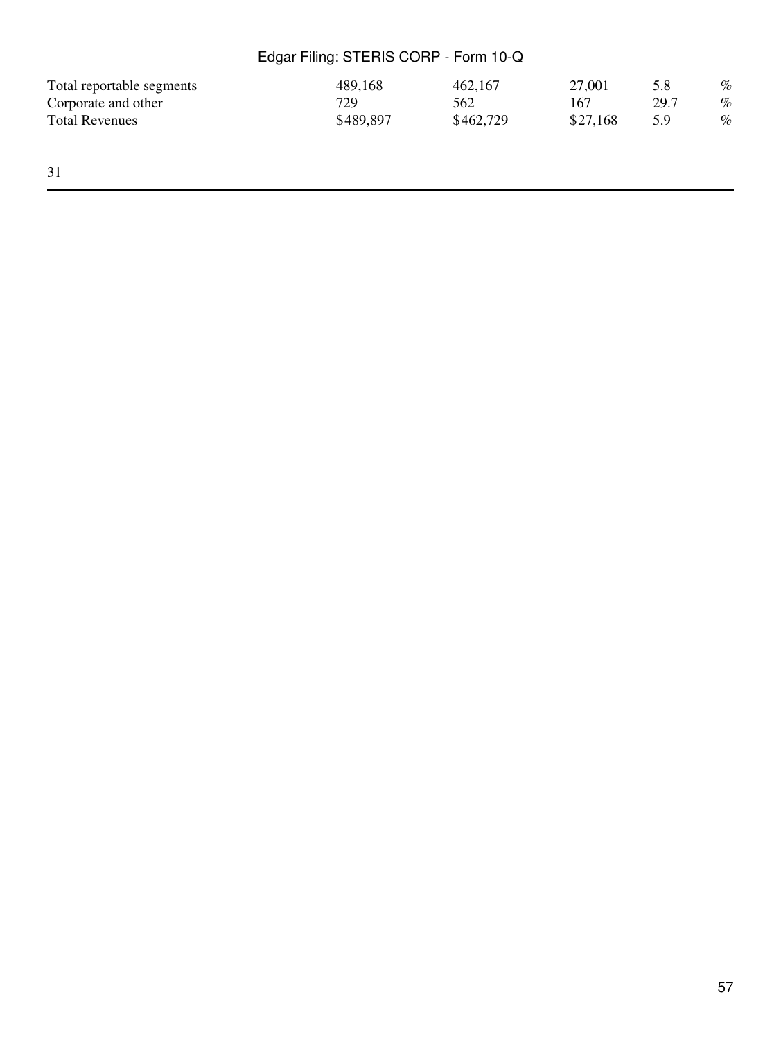| Total reportable segments | 489,168   | 462,167   | 27,001   | 5.8  | $\%$ |
|---------------------------|-----------|-----------|----------|------|------|
| Corporate and other       | 729       | 562       | 167      | 29.7 | $\%$ |
| <b>Total Revenues</b>     | \$489,897 | \$462,729 | \$27.168 | 5.9  | $\%$ |
|                           |           |           |          |      |      |

31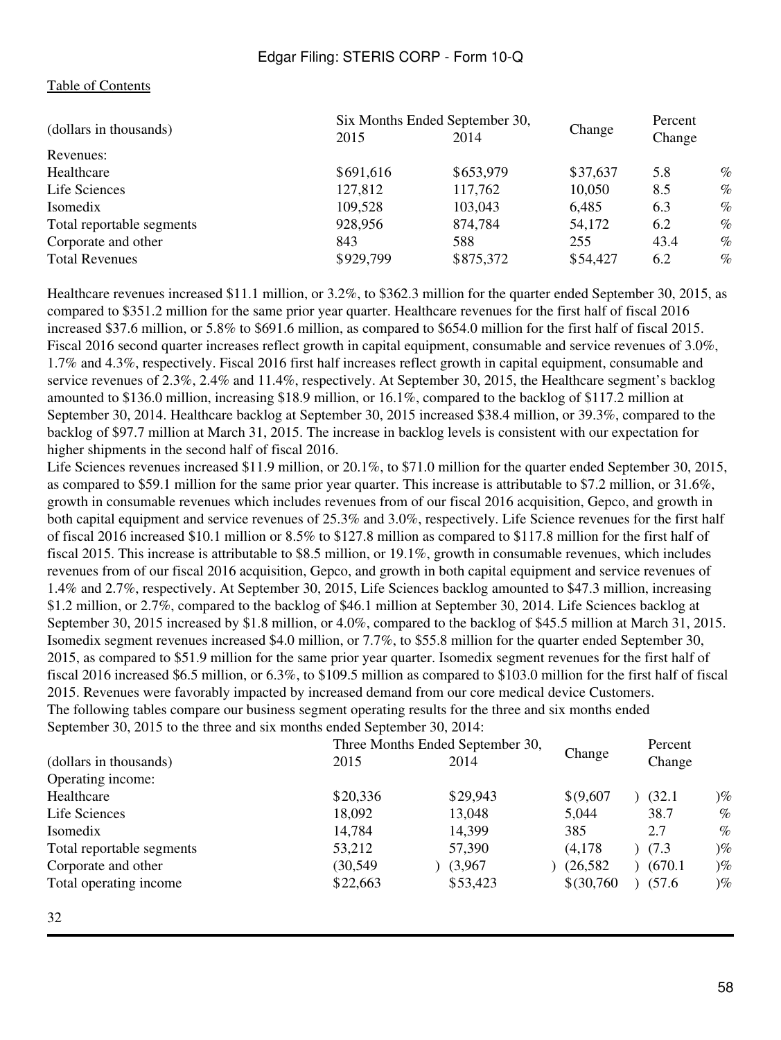#### [Table of Contents](#page-2-0)

| Six Months Ended September 30, |           |          | Percent |      |
|--------------------------------|-----------|----------|---------|------|
| 2015                           | 2014      |          | Change  |      |
|                                |           |          |         |      |
| \$691,616                      | \$653,979 | \$37,637 | 5.8     | $\%$ |
| 127,812                        | 117,762   | 10,050   | 8.5     | $\%$ |
| 109,528                        | 103,043   | 6,485    | 6.3     | $\%$ |
| 928,956                        | 874,784   | 54,172   | 6.2     | $\%$ |
| 843                            | 588       | 255      | 43.4    | $\%$ |
| \$929,799                      | \$875,372 | \$54,427 | 6.2     | $\%$ |
|                                |           |          | Change  |      |

Healthcare revenues increased \$11.1 million, or 3.2%, to \$362.3 million for the quarter ended September 30, 2015, as compared to \$351.2 million for the same prior year quarter. Healthcare revenues for the first half of fiscal 2016 increased \$37.6 million, or 5.8% to \$691.6 million, as compared to \$654.0 million for the first half of fiscal 2015. Fiscal 2016 second quarter increases reflect growth in capital equipment, consumable and service revenues of 3.0%, 1.7% and 4.3%, respectively. Fiscal 2016 first half increases reflect growth in capital equipment, consumable and service revenues of 2.3%, 2.4% and 11.4%, respectively. At September 30, 2015, the Healthcare segment's backlog amounted to \$136.0 million, increasing \$18.9 million, or 16.1%, compared to the backlog of \$117.2 million at September 30, 2014. Healthcare backlog at September 30, 2015 increased \$38.4 million, or 39.3%, compared to the backlog of \$97.7 million at March 31, 2015. The increase in backlog levels is consistent with our expectation for higher shipments in the second half of fiscal 2016.

Life Sciences revenues increased \$11.9 million, or 20.1%, to \$71.0 million for the quarter ended September 30, 2015, as compared to \$59.1 million for the same prior year quarter. This increase is attributable to \$7.2 million, or 31.6%, growth in consumable revenues which includes revenues from of our fiscal 2016 acquisition, Gepco, and growth in both capital equipment and service revenues of 25.3% and 3.0%, respectively. Life Science revenues for the first half of fiscal 2016 increased \$10.1 million or 8.5% to \$127.8 million as compared to \$117.8 million for the first half of fiscal 2015. This increase is attributable to \$8.5 million, or 19.1%, growth in consumable revenues, which includes revenues from of our fiscal 2016 acquisition, Gepco, and growth in both capital equipment and service revenues of 1.4% and 2.7%, respectively. At September 30, 2015, Life Sciences backlog amounted to \$47.3 million, increasing \$1.2 million, or 2.7%, compared to the backlog of \$46.1 million at September 30, 2014. Life Sciences backlog at September 30, 2015 increased by \$1.8 million, or 4.0%, compared to the backlog of \$45.5 million at March 31, 2015. Isomedix segment revenues increased \$4.0 million, or 7.7%, to \$55.8 million for the quarter ended September 30, 2015, as compared to \$51.9 million for the same prior year quarter. Isomedix segment revenues for the first half of fiscal 2016 increased \$6.5 million, or 6.3%, to \$109.5 million as compared to \$103.0 million for the first half of fiscal 2015. Revenues were favorably impacted by increased demand from our core medical device Customers. The following tables compare our business segment operating results for the three and six months ended September 30, 2015 to the three and six months ended September 30, 2014:

|                           |           | Three Months Ended September 30, |            | Percent |                   |
|---------------------------|-----------|----------------------------------|------------|---------|-------------------|
| (dollars in thousands)    | 2015      | 2014                             | Change     | Change  |                   |
| Operating income:         |           |                                  |            |         |                   |
| Healthcare                | \$20,336  | \$29,943                         | \$(9,607   | (32.1)  | $)\%$             |
| Life Sciences             | 18,092    | 13,048                           | 5,044      | 38.7    | $\%$              |
| Isomedix                  | 14,784    | 14,399                           | 385        | 2.7     | $\%$              |
| Total reportable segments | 53,212    | 57,390                           | (4,178)    | (7.3)   | $)\%$             |
| Corporate and other       | (30, 549) | (3,967)                          | (26, 582)  | (670.1) | $\mathcal{C}_{0}$ |
| Total operating income    | \$22,663  | \$53,423                         | \$(30,760) | (57.6)  | $)\%$             |
|                           |           |                                  |            |         |                   |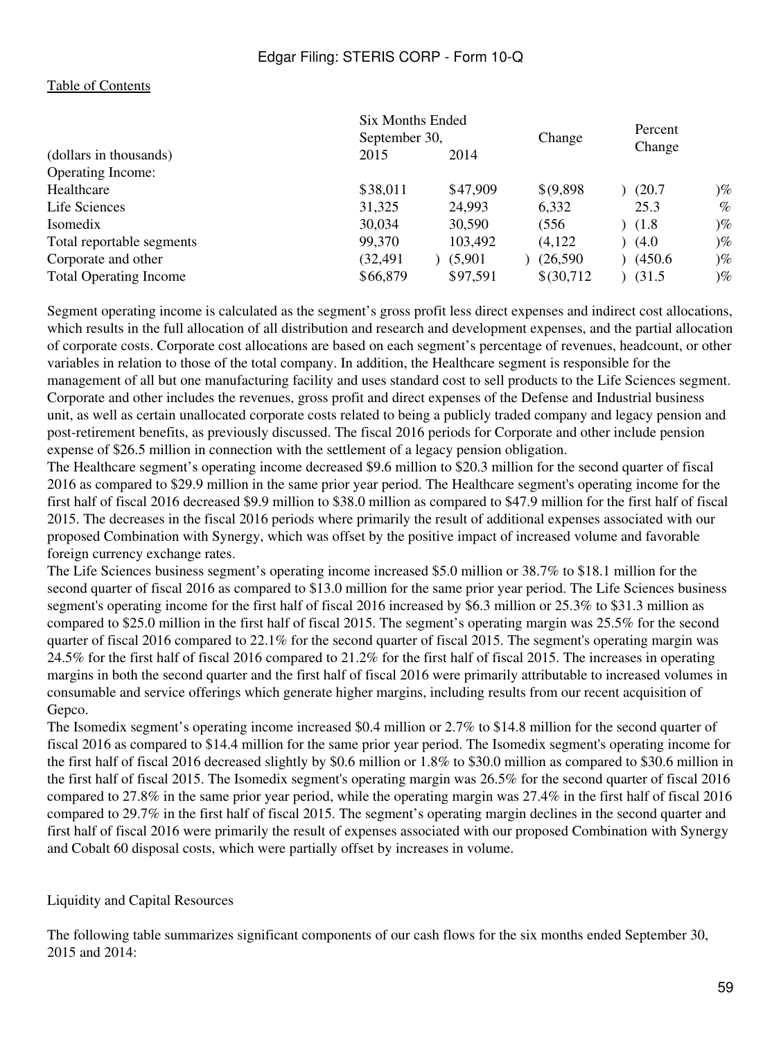#### [Table of Contents](#page-2-0)

| Six Months Ended                                                    | Percent                          |
|---------------------------------------------------------------------|----------------------------------|
| September 30,<br>Change                                             | Change                           |
| (dollars in thousands)<br>2015<br>2014                              |                                  |
| <b>Operating Income:</b>                                            |                                  |
| \$47,909<br>\$38,011<br>\$(9,898)<br>Healthcare                     | $\mathcal{C}_{\infty}$<br>(20.7) |
| 31,325<br>24,993<br>Life Sciences<br>6,332                          | $\%$<br>25.3                     |
| 30,034<br>30,590<br>(556)<br>Isomedix                               | $\mathcal{C}_{\infty}$<br>(1.8)  |
| 99,370<br>103,492<br>(4,122)<br>Total reportable segments           | $\mathcal{C}_{\infty}$<br>(4.0)  |
| Corporate and other<br>(32, 491)<br>(5,901)<br>(26,590)             | (450.6)<br>$)\%$                 |
| \$66,879<br>\$97,591<br>\$(30,712)<br><b>Total Operating Income</b> | $\mathcal{C}_{\infty}$<br>(31.5) |

Segment operating income is calculated as the segment's gross profit less direct expenses and indirect cost allocations, which results in the full allocation of all distribution and research and development expenses, and the partial allocation of corporate costs. Corporate cost allocations are based on each segment's percentage of revenues, headcount, or other variables in relation to those of the total company. In addition, the Healthcare segment is responsible for the management of all but one manufacturing facility and uses standard cost to sell products to the Life Sciences segment. Corporate and other includes the revenues, gross profit and direct expenses of the Defense and Industrial business unit, as well as certain unallocated corporate costs related to being a publicly traded company and legacy pension and post-retirement benefits, as previously discussed. The fiscal 2016 periods for Corporate and other include pension expense of \$26.5 million in connection with the settlement of a legacy pension obligation.

The Healthcare segment's operating income decreased \$9.6 million to \$20.3 million for the second quarter of fiscal 2016 as compared to \$29.9 million in the same prior year period. The Healthcare segment's operating income for the first half of fiscal 2016 decreased \$9.9 million to \$38.0 million as compared to \$47.9 million for the first half of fiscal 2015. The decreases in the fiscal 2016 periods where primarily the result of additional expenses associated with our proposed Combination with Synergy, which was offset by the positive impact of increased volume and favorable foreign currency exchange rates.

The Life Sciences business segment's operating income increased \$5.0 million or 38.7% to \$18.1 million for the second quarter of fiscal 2016 as compared to \$13.0 million for the same prior year period. The Life Sciences business segment's operating income for the first half of fiscal 2016 increased by \$6.3 million or 25.3% to \$31.3 million as compared to \$25.0 million in the first half of fiscal 2015. The segment's operating margin was 25.5% for the second quarter of fiscal 2016 compared to 22.1% for the second quarter of fiscal 2015. The segment's operating margin was 24.5% for the first half of fiscal 2016 compared to 21.2% for the first half of fiscal 2015. The increases in operating margins in both the second quarter and the first half of fiscal 2016 were primarily attributable to increased volumes in consumable and service offerings which generate higher margins, including results from our recent acquisition of Gepco.

The Isomedix segment's operating income increased \$0.4 million or 2.7% to \$14.8 million for the second quarter of fiscal 2016 as compared to \$14.4 million for the same prior year period. The Isomedix segment's operating income for the first half of fiscal 2016 decreased slightly by \$0.6 million or 1.8% to \$30.0 million as compared to \$30.6 million in the first half of fiscal 2015. The Isomedix segment's operating margin was 26.5% for the second quarter of fiscal 2016 compared to 27.8% in the same prior year period, while the operating margin was 27.4% in the first half of fiscal 2016 compared to 29.7% in the first half of fiscal 2015. The segment's operating margin declines in the second quarter and first half of fiscal 2016 were primarily the result of expenses associated with our proposed Combination with Synergy and Cobalt 60 disposal costs, which were partially offset by increases in volume.

#### Liquidity and Capital Resources

The following table summarizes significant components of our cash flows for the six months ended September 30, 2015 and 2014: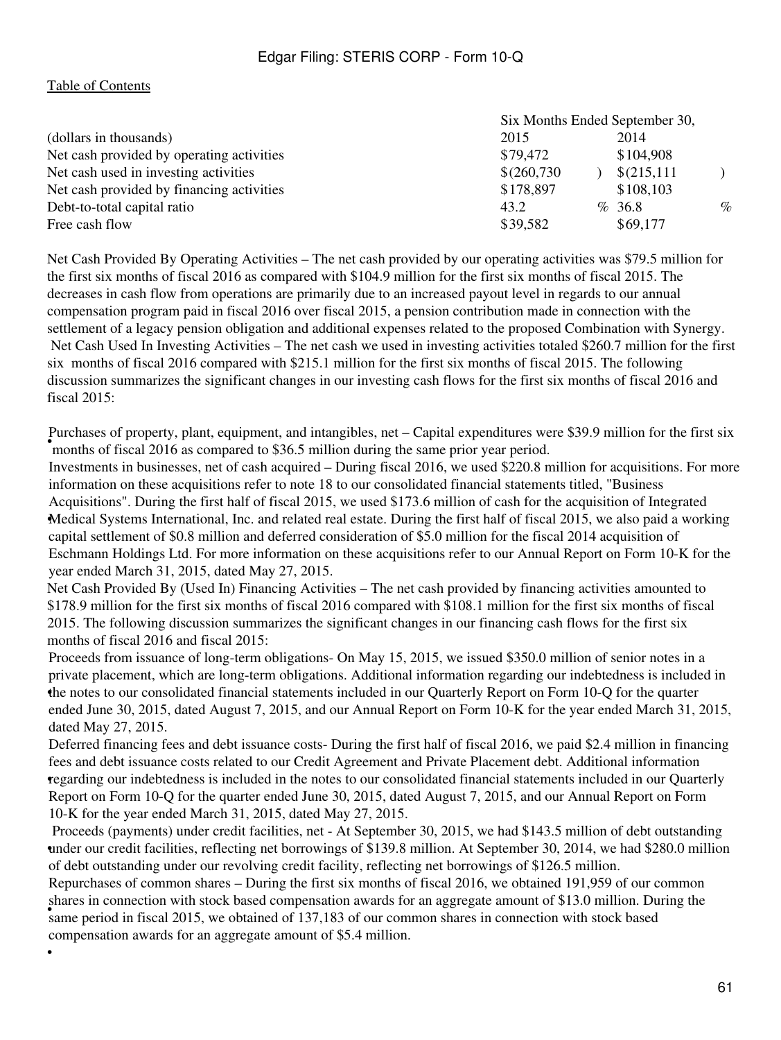#### [Table of Contents](#page-2-0)

•

|                                           | Six Months Ended September 30, |             |      |
|-------------------------------------------|--------------------------------|-------------|------|
| (dollars in thousands)                    | 2015                           | 2014        |      |
| Net cash provided by operating activities | \$79,472                       | \$104,908   |      |
| Net cash used in investing activities     | \$(260,730)                    | \$(215,111) |      |
| Net cash provided by financing activities | \$178,897                      | \$108,103   |      |
| Debt-to-total capital ratio               | 43.2                           | %36.8       | $\%$ |
| Free cash flow                            | \$39,582                       | \$69,177    |      |

Net Cash Provided By Operating Activities – The net cash provided by our operating activities was \$79.5 million for the first six months of fiscal 2016 as compared with \$104.9 million for the first six months of fiscal 2015. The decreases in cash flow from operations are primarily due to an increased payout level in regards to our annual compensation program paid in fiscal 2016 over fiscal 2015, a pension contribution made in connection with the settlement of a legacy pension obligation and additional expenses related to the proposed Combination with Synergy. Net Cash Used In Investing Activities – The net cash we used in investing activities totaled \$260.7 million for the first six months of fiscal 2016 compared with \$215.1 million for the first six months of fiscal 2015. The following discussion summarizes the significant changes in our investing cash flows for the first six months of fiscal 2016 and fiscal 2015:

**•** months of fiscal 2016 as compared to \$36.5 million during the same prior year period. Purchases of property, plant, equipment, and intangibles, net – Capital expenditures were \$39.9 million for the first six

• Medical Systems International, Inc. and related real estate. During the first half of fiscal 2015, we also paid a working Investments in businesses, net of cash acquired – During fiscal 2016, we used \$220.8 million for acquisitions. For more information on these acquisitions refer to note 18 to our consolidated financial statements titled, "Business Acquisitions". During the first half of fiscal 2015, we used \$173.6 million of cash for the acquisition of Integrated capital settlement of \$0.8 million and deferred consideration of \$5.0 million for the fiscal 2014 acquisition of Eschmann Holdings Ltd. For more information on these acquisitions refer to our Annual Report on Form 10-K for the year ended March 31, 2015, dated May 27, 2015.

Net Cash Provided By (Used In) Financing Activities – The net cash provided by financing activities amounted to \$178.9 million for the first six months of fiscal 2016 compared with \$108.1 million for the first six months of fiscal 2015. The following discussion summarizes the significant changes in our financing cash flows for the first six months of fiscal 2016 and fiscal 2015:

• the notes to our consolidated financial statements included in our Quarterly Report on Form 10-Q for the quarter Proceeds from issuance of long-term obligations- On May 15, 2015, we issued \$350.0 million of senior notes in a private placement, which are long-term obligations. Additional information regarding our indebtedness is included in ended June 30, 2015, dated August 7, 2015, and our Annual Report on Form 10-K for the year ended March 31, 2015, dated May 27, 2015.

• regarding our indebtedness is included in the notes to our consolidated financial statements included in our Quarterly Deferred financing fees and debt issuance costs- During the first half of fiscal 2016, we paid \$2.4 million in financing fees and debt issuance costs related to our Credit Agreement and Private Placement debt. Additional information Report on Form 10-Q for the quarter ended June 30, 2015, dated August 7, 2015, and our Annual Report on Form 10-K for the year ended March 31, 2015, dated May 27, 2015.

• under our credit facilities, reflecting net borrowings of \$139.8 million. At September 30, 2014, we had \$280.0 million Proceeds (payments) under credit facilities, net - At September 30, 2015, we had \$143.5 million of debt outstanding of debt outstanding under our revolving credit facility, reflecting net borrowings of \$126.5 million.

same period in fiscal 2015, we obtained of 137,183 of our common shares in connection with stock based Repurchases of common shares – During the first six months of fiscal 2016, we obtained 191,959 of our common shares in connection with stock based compensation awards for an aggregate amount of \$13.0 million. During the compensation awards for an aggregate amount of \$5.4 million.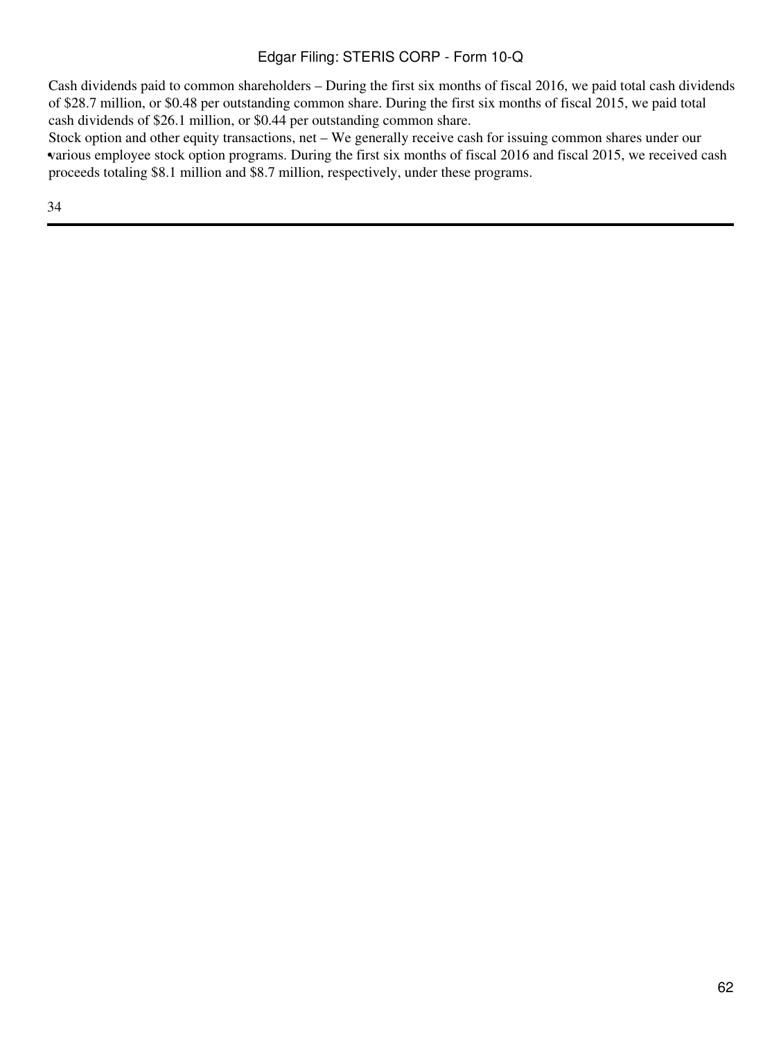Cash dividends paid to common shareholders – During the first six months of fiscal 2016, we paid total cash dividends of \$28.7 million, or \$0.48 per outstanding common share. During the first six months of fiscal 2015, we paid total cash dividends of \$26.1 million, or \$0.44 per outstanding common share.

• various employee stock option programs. During the first six months of fiscal 2016 and fiscal 2015, we received cash Stock option and other equity transactions, net – We generally receive cash for issuing common shares under our proceeds totaling \$8.1 million and \$8.7 million, respectively, under these programs.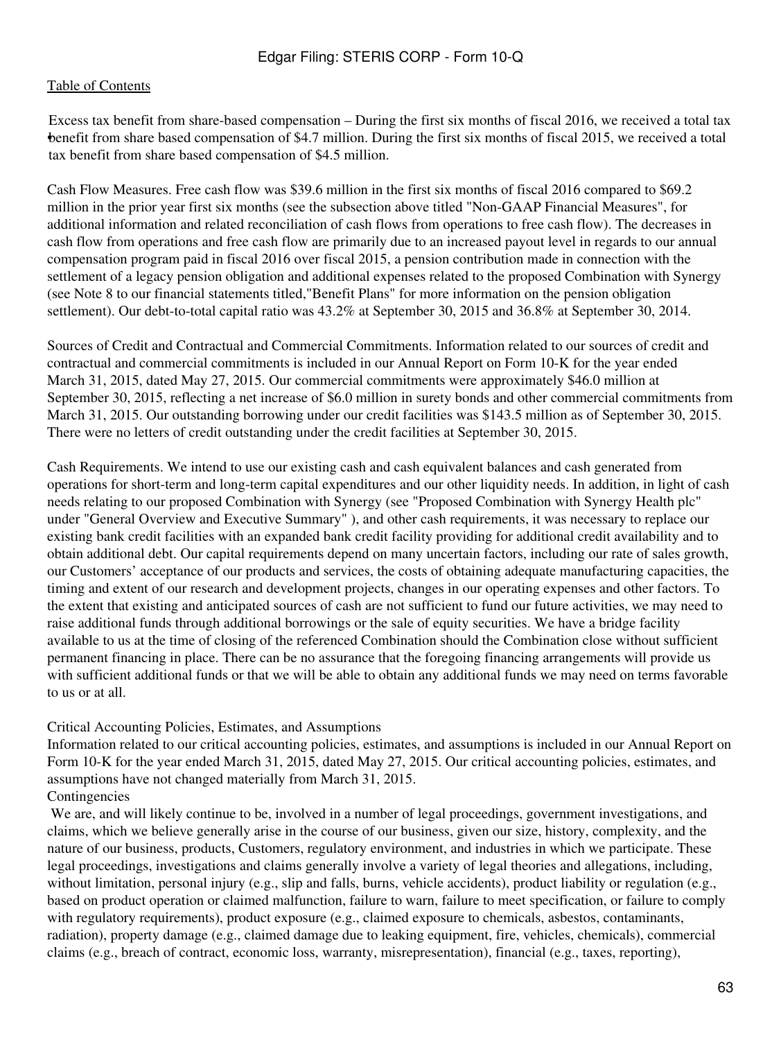• benefit from share based compensation of \$4.7 million. During the first six months of fiscal 2015, we received a total Excess tax benefit from share-based compensation – During the first six months of fiscal 2016, we received a total tax tax benefit from share based compensation of \$4.5 million.

Cash Flow Measures. Free cash flow was \$39.6 million in the first six months of fiscal 2016 compared to \$69.2 million in the prior year first six months (see the subsection above titled "Non-GAAP Financial Measures", for additional information and related reconciliation of cash flows from operations to free cash flow). The decreases in cash flow from operations and free cash flow are primarily due to an increased payout level in regards to our annual compensation program paid in fiscal 2016 over fiscal 2015, a pension contribution made in connection with the settlement of a legacy pension obligation and additional expenses related to the proposed Combination with Synergy (see Note 8 to our financial statements titled,"Benefit Plans" for more information on the pension obligation settlement). Our debt-to-total capital ratio was 43.2% at September 30, 2015 and 36.8% at September 30, 2014.

Sources of Credit and Contractual and Commercial Commitments. Information related to our sources of credit and contractual and commercial commitments is included in our Annual Report on Form 10-K for the year ended March 31, 2015, dated May 27, 2015. Our commercial commitments were approximately \$46.0 million at September 30, 2015, reflecting a net increase of \$6.0 million in surety bonds and other commercial commitments from March 31, 2015. Our outstanding borrowing under our credit facilities was \$143.5 million as of September 30, 2015. There were no letters of credit outstanding under the credit facilities at September 30, 2015.

Cash Requirements. We intend to use our existing cash and cash equivalent balances and cash generated from operations for short-term and long-term capital expenditures and our other liquidity needs. In addition, in light of cash needs relating to our proposed Combination with Synergy (see "Proposed Combination with Synergy Health plc" under "General Overview and Executive Summary" ), and other cash requirements, it was necessary to replace our existing bank credit facilities with an expanded bank credit facility providing for additional credit availability and to obtain additional debt. Our capital requirements depend on many uncertain factors, including our rate of sales growth, our Customers' acceptance of our products and services, the costs of obtaining adequate manufacturing capacities, the timing and extent of our research and development projects, changes in our operating expenses and other factors. To the extent that existing and anticipated sources of cash are not sufficient to fund our future activities, we may need to raise additional funds through additional borrowings or the sale of equity securities. We have a bridge facility available to us at the time of closing of the referenced Combination should the Combination close without sufficient permanent financing in place. There can be no assurance that the foregoing financing arrangements will provide us with sufficient additional funds or that we will be able to obtain any additional funds we may need on terms favorable to us or at all.

#### Critical Accounting Policies, Estimates, and Assumptions

Information related to our critical accounting policies, estimates, and assumptions is included in our Annual Report on Form 10-K for the year ended March 31, 2015, dated May 27, 2015. Our critical accounting policies, estimates, and assumptions have not changed materially from March 31, 2015.

## Contingencies

 We are, and will likely continue to be, involved in a number of legal proceedings, government investigations, and claims, which we believe generally arise in the course of our business, given our size, history, complexity, and the nature of our business, products, Customers, regulatory environment, and industries in which we participate. These legal proceedings, investigations and claims generally involve a variety of legal theories and allegations, including, without limitation, personal injury (e.g., slip and falls, burns, vehicle accidents), product liability or regulation (e.g., based on product operation or claimed malfunction, failure to warn, failure to meet specification, or failure to comply with regulatory requirements), product exposure (e.g., claimed exposure to chemicals, asbestos, contaminants, radiation), property damage (e.g., claimed damage due to leaking equipment, fire, vehicles, chemicals), commercial claims (e.g., breach of contract, economic loss, warranty, misrepresentation), financial (e.g., taxes, reporting),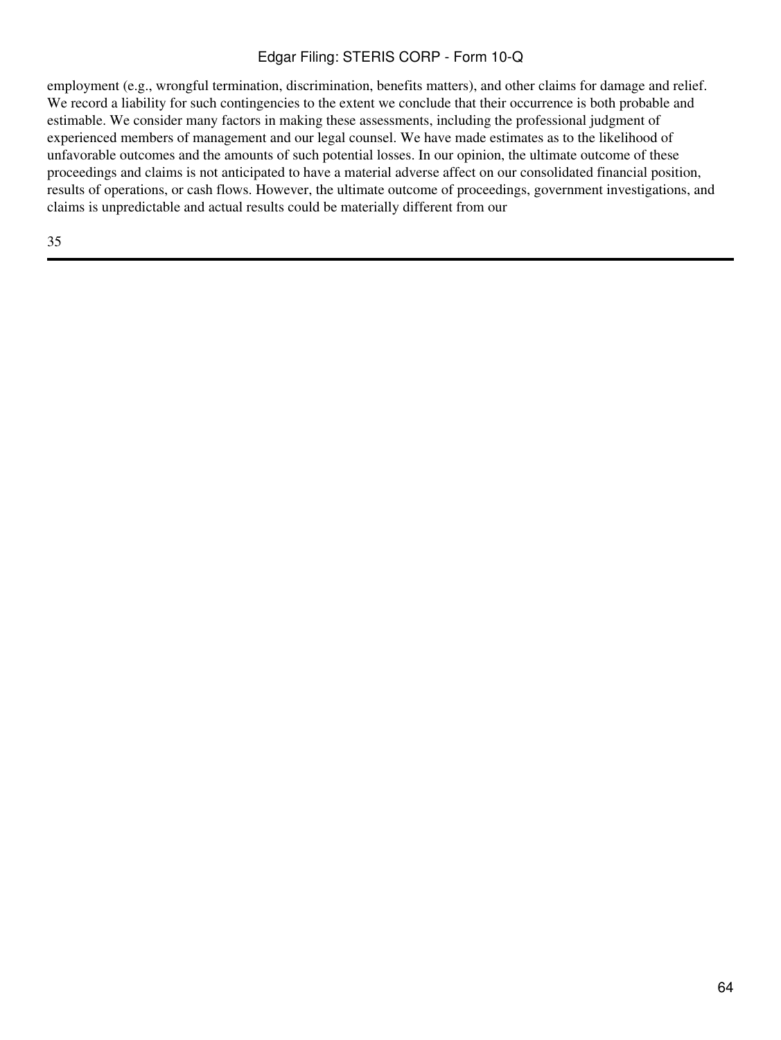employment (e.g., wrongful termination, discrimination, benefits matters), and other claims for damage and relief. We record a liability for such contingencies to the extent we conclude that their occurrence is both probable and estimable. We consider many factors in making these assessments, including the professional judgment of experienced members of management and our legal counsel. We have made estimates as to the likelihood of unfavorable outcomes and the amounts of such potential losses. In our opinion, the ultimate outcome of these proceedings and claims is not anticipated to have a material adverse affect on our consolidated financial position, results of operations, or cash flows. However, the ultimate outcome of proceedings, government investigations, and claims is unpredictable and actual results could be materially different from our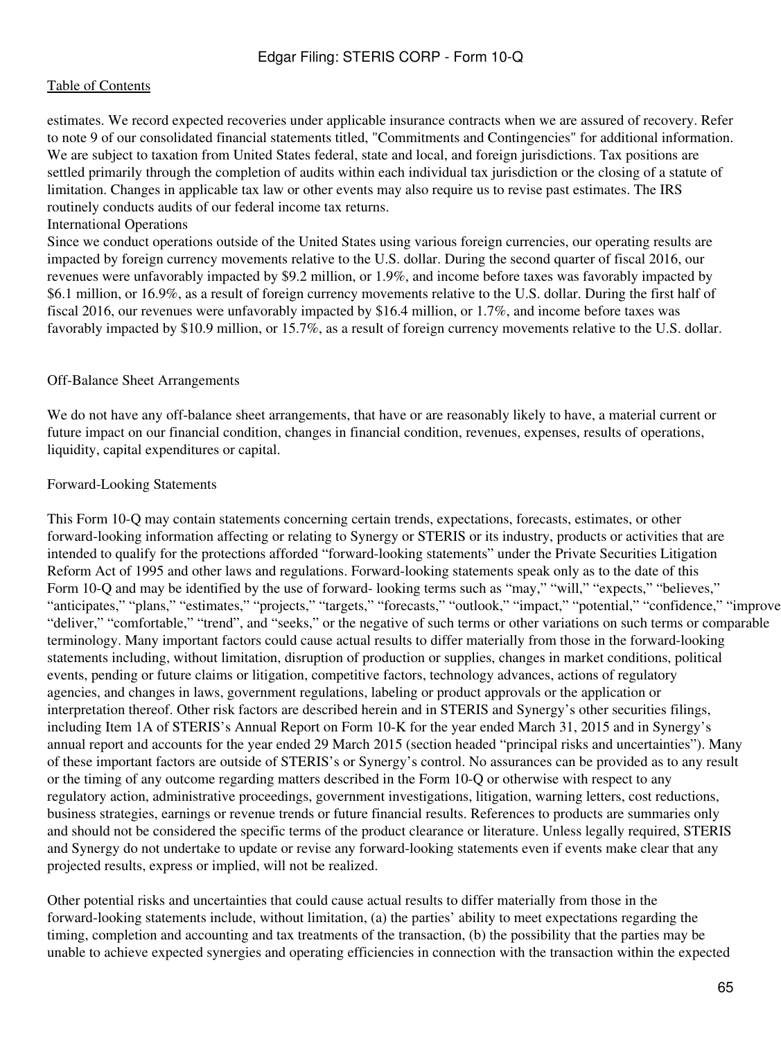estimates. We record expected recoveries under applicable insurance contracts when we are assured of recovery. Refer to note 9 of our consolidated financial statements titled, "Commitments and Contingencies" for additional information. We are subject to taxation from United States federal, state and local, and foreign jurisdictions. Tax positions are settled primarily through the completion of audits within each individual tax jurisdiction or the closing of a statute of limitation. Changes in applicable tax law or other events may also require us to revise past estimates. The IRS routinely conducts audits of our federal income tax returns.

#### International Operations

Since we conduct operations outside of the United States using various foreign currencies, our operating results are impacted by foreign currency movements relative to the U.S. dollar. During the second quarter of fiscal 2016, our revenues were unfavorably impacted by \$9.2 million, or 1.9%, and income before taxes was favorably impacted by \$6.1 million, or 16.9%, as a result of foreign currency movements relative to the U.S. dollar. During the first half of fiscal 2016, our revenues were unfavorably impacted by \$16.4 million, or 1.7%, and income before taxes was favorably impacted by \$10.9 million, or 15.7%, as a result of foreign currency movements relative to the U.S. dollar.

#### Off-Balance Sheet Arrangements

We do not have any off-balance sheet arrangements, that have or are reasonably likely to have, a material current or future impact on our financial condition, changes in financial condition, revenues, expenses, results of operations, liquidity, capital expenditures or capital.

#### Forward-Looking Statements

This Form 10-Q may contain statements concerning certain trends, expectations, forecasts, estimates, or other forward-looking information affecting or relating to Synergy or STERIS or its industry, products or activities that are intended to qualify for the protections afforded "forward-looking statements" under the Private Securities Litigation Reform Act of 1995 and other laws and regulations. Forward-looking statements speak only as to the date of this Form 10-Q and may be identified by the use of forward-looking terms such as "may," "will," "expects," "believes," "anticipates," "plans," "estimates," "projects," "targets," "forecasts," "outlook," "impact," "potential," "confidence," "improve "deliver," "comfortable," "trend", and "seeks," or the negative of such terms or other variations on such terms or comparable terminology. Many important factors could cause actual results to differ materially from those in the forward-looking statements including, without limitation, disruption of production or supplies, changes in market conditions, political events, pending or future claims or litigation, competitive factors, technology advances, actions of regulatory agencies, and changes in laws, government regulations, labeling or product approvals or the application or interpretation thereof. Other risk factors are described herein and in STERIS and Synergy's other securities filings, including Item 1A of STERIS's Annual Report on Form 10-K for the year ended March 31, 2015 and in Synergy's annual report and accounts for the year ended 29 March 2015 (section headed "principal risks and uncertainties"). Many of these important factors are outside of STERIS's or Synergy's control. No assurances can be provided as to any result or the timing of any outcome regarding matters described in the Form 10-Q or otherwise with respect to any regulatory action, administrative proceedings, government investigations, litigation, warning letters, cost reductions, business strategies, earnings or revenue trends or future financial results. References to products are summaries only and should not be considered the specific terms of the product clearance or literature. Unless legally required, STERIS and Synergy do not undertake to update or revise any forward-looking statements even if events make clear that any projected results, express or implied, will not be realized.

Other potential risks and uncertainties that could cause actual results to differ materially from those in the forward-looking statements include, without limitation, (a) the parties' ability to meet expectations regarding the timing, completion and accounting and tax treatments of the transaction, (b) the possibility that the parties may be unable to achieve expected synergies and operating efficiencies in connection with the transaction within the expected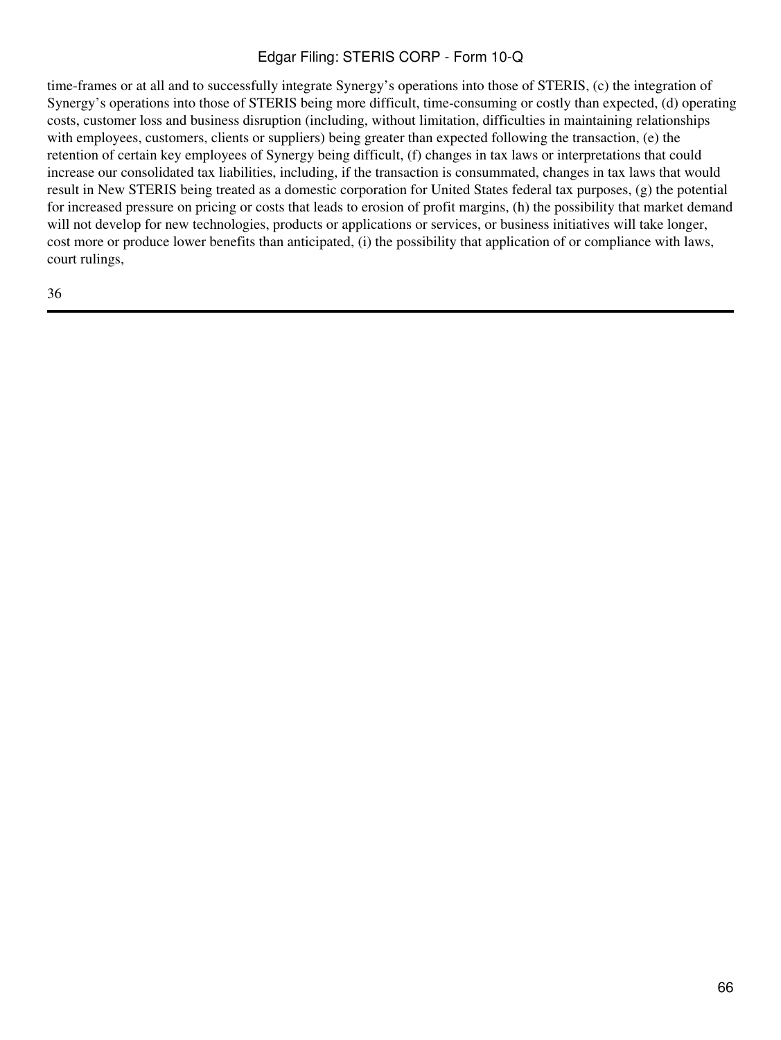time-frames or at all and to successfully integrate Synergy's operations into those of STERIS, (c) the integration of Synergy's operations into those of STERIS being more difficult, time-consuming or costly than expected, (d) operating costs, customer loss and business disruption (including, without limitation, difficulties in maintaining relationships with employees, customers, clients or suppliers) being greater than expected following the transaction, (e) the retention of certain key employees of Synergy being difficult, (f) changes in tax laws or interpretations that could increase our consolidated tax liabilities, including, if the transaction is consummated, changes in tax laws that would result in New STERIS being treated as a domestic corporation for United States federal tax purposes, (g) the potential for increased pressure on pricing or costs that leads to erosion of profit margins, (h) the possibility that market demand will not develop for new technologies, products or applications or services, or business initiatives will take longer, cost more or produce lower benefits than anticipated, (i) the possibility that application of or compliance with laws, court rulings,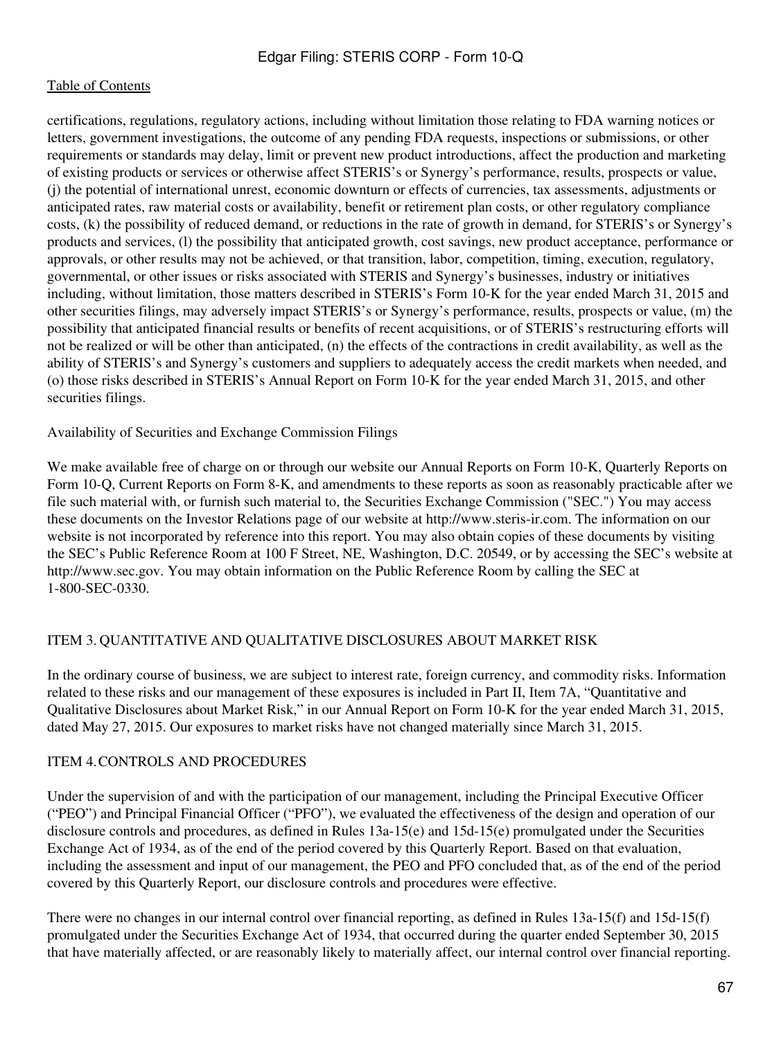certifications, regulations, regulatory actions, including without limitation those relating to FDA warning notices or letters, government investigations, the outcome of any pending FDA requests, inspections or submissions, or other requirements or standards may delay, limit or prevent new product introductions, affect the production and marketing of existing products or services or otherwise affect STERIS's or Synergy's performance, results, prospects or value, (j) the potential of international unrest, economic downturn or effects of currencies, tax assessments, adjustments or anticipated rates, raw material costs or availability, benefit or retirement plan costs, or other regulatory compliance costs, (k) the possibility of reduced demand, or reductions in the rate of growth in demand, for STERIS's or Synergy's products and services, (l) the possibility that anticipated growth, cost savings, new product acceptance, performance or approvals, or other results may not be achieved, or that transition, labor, competition, timing, execution, regulatory, governmental, or other issues or risks associated with STERIS and Synergy's businesses, industry or initiatives including, without limitation, those matters described in STERIS's Form 10-K for the year ended March 31, 2015 and other securities filings, may adversely impact STERIS's or Synergy's performance, results, prospects or value, (m) the possibility that anticipated financial results or benefits of recent acquisitions, or of STERIS's restructuring efforts will not be realized or will be other than anticipated, (n) the effects of the contractions in credit availability, as well as the ability of STERIS's and Synergy's customers and suppliers to adequately access the credit markets when needed, and (o) those risks described in STERIS's Annual Report on Form 10-K for the year ended March 31, 2015, and other securities filings.

Availability of Securities and Exchange Commission Filings

We make available free of charge on or through our website our Annual Reports on Form 10-K, Quarterly Reports on Form 10-Q, Current Reports on Form 8-K, and amendments to these reports as soon as reasonably practicable after we file such material with, or furnish such material to, the Securities Exchange Commission ("SEC.") You may access these documents on the Investor Relations page of our website at http://www.steris-ir.com. The information on our website is not incorporated by reference into this report. You may also obtain copies of these documents by visiting the SEC's Public Reference Room at 100 F Street, NE, Washington, D.C. 20549, or by accessing the SEC's website at http://www.sec.gov. You may obtain information on the Public Reference Room by calling the SEC at 1-800-SEC-0330.

#### ITEM 3. QUANTITATIVE AND QUALITATIVE DISCLOSURES ABOUT MARKET RISK

In the ordinary course of business, we are subject to interest rate, foreign currency, and commodity risks. Information related to these risks and our management of these exposures is included in Part II, Item 7A, "Quantitative and Qualitative Disclosures about Market Risk," in our Annual Report on Form 10-K for the year ended March 31, 2015, dated May 27, 2015. Our exposures to market risks have not changed materially since March 31, 2015.

#### ITEM 4.CONTROLS AND PROCEDURES

Under the supervision of and with the participation of our management, including the Principal Executive Officer ("PEO") and Principal Financial Officer ("PFO"), we evaluated the effectiveness of the design and operation of our disclosure controls and procedures, as defined in Rules 13a-15(e) and 15d-15(e) promulgated under the Securities Exchange Act of 1934, as of the end of the period covered by this Quarterly Report. Based on that evaluation, including the assessment and input of our management, the PEO and PFO concluded that, as of the end of the period covered by this Quarterly Report, our disclosure controls and procedures were effective.

There were no changes in our internal control over financial reporting, as defined in Rules 13a-15(f) and 15d-15(f) promulgated under the Securities Exchange Act of 1934, that occurred during the quarter ended September 30, 2015 that have materially affected, or are reasonably likely to materially affect, our internal control over financial reporting.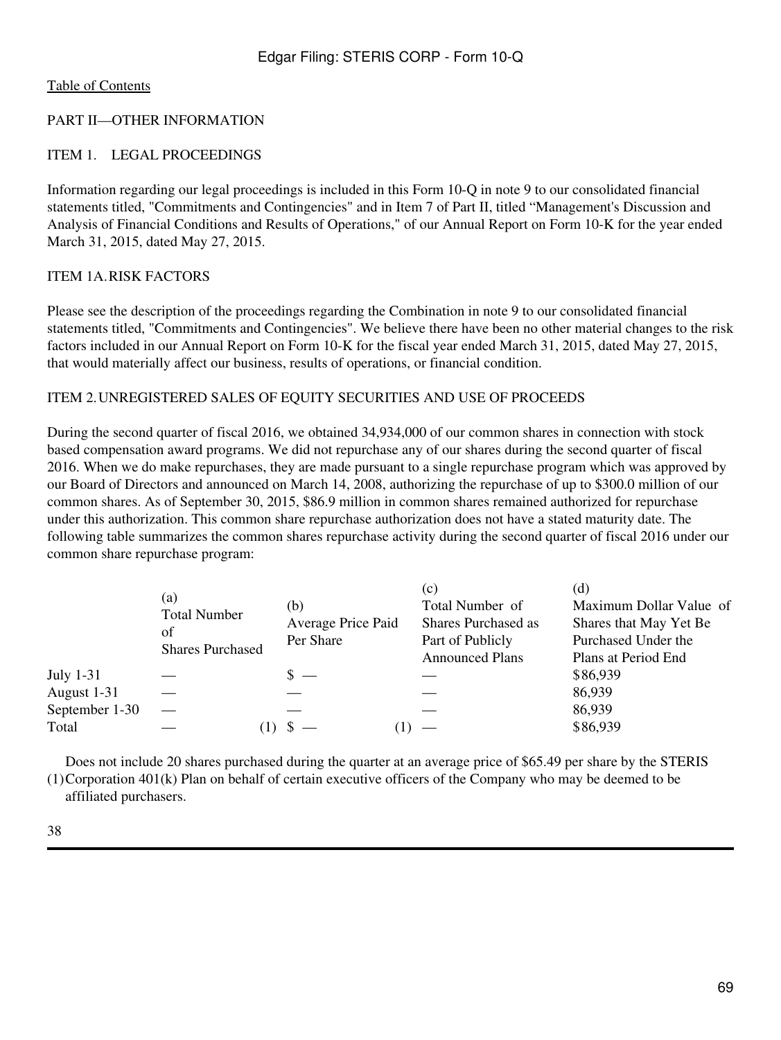#### PART II—OTHER INFORMATION

#### ITEM 1. LEGAL PROCEEDINGS

Information regarding our legal proceedings is included in this Form 10-Q in note 9 to our consolidated financial statements titled, "Commitments and Contingencies" and in Item 7 of Part II, titled "Management's Discussion and Analysis of Financial Conditions and Results of Operations," of our Annual Report on Form 10-K for the year ended March 31, 2015, dated May 27, 2015.

#### ITEM 1A.RISK FACTORS

Please see the description of the proceedings regarding the Combination in note 9 to our consolidated financial statements titled, "Commitments and Contingencies". We believe there have been no other material changes to the risk factors included in our Annual Report on Form 10-K for the fiscal year ended March 31, 2015, dated May 27, 2015, that would materially affect our business, results of operations, or financial condition.

#### ITEM 2.UNREGISTERED SALES OF EQUITY SECURITIES AND USE OF PROCEEDS

During the second quarter of fiscal 2016, we obtained 34,934,000 of our common shares in connection with stock based compensation award programs. We did not repurchase any of our shares during the second quarter of fiscal 2016. When we do make repurchases, they are made pursuant to a single repurchase program which was approved by our Board of Directors and announced on March 14, 2008, authorizing the repurchase of up to \$300.0 million of our common shares. As of September 30, 2015, \$86.9 million in common shares remained authorized for repurchase under this authorization. This common share repurchase authorization does not have a stated maturity date. The following table summarizes the common shares repurchase activity during the second quarter of fiscal 2016 under our common share repurchase program:

|                  | (a)<br><b>Total Number</b><br>of<br><b>Shares Purchased</b> | (b)<br>Average Price Paid<br>Per Share | (c)<br>Total Number of<br><b>Shares Purchased as</b><br>Part of Publicly<br><b>Announced Plans</b> | (d)<br>Maximum Dollar Value of<br>Shares that May Yet Be<br>Purchased Under the<br>Plans at Period End |
|------------------|-------------------------------------------------------------|----------------------------------------|----------------------------------------------------------------------------------------------------|--------------------------------------------------------------------------------------------------------|
| <b>July 1-31</b> |                                                             |                                        |                                                                                                    | \$86,939                                                                                               |
| August 1-31      |                                                             |                                        |                                                                                                    | 86,939                                                                                                 |
| September 1-30   |                                                             |                                        |                                                                                                    | 86,939                                                                                                 |
| Total            |                                                             |                                        |                                                                                                    | \$86,939                                                                                               |

(1) Corporation 401(k) Plan on behalf of certain executive officers of the Company who may be deemed to be Does not include 20 shares purchased during the quarter at an average price of \$65.49 per share by the STERIS

affiliated purchasers.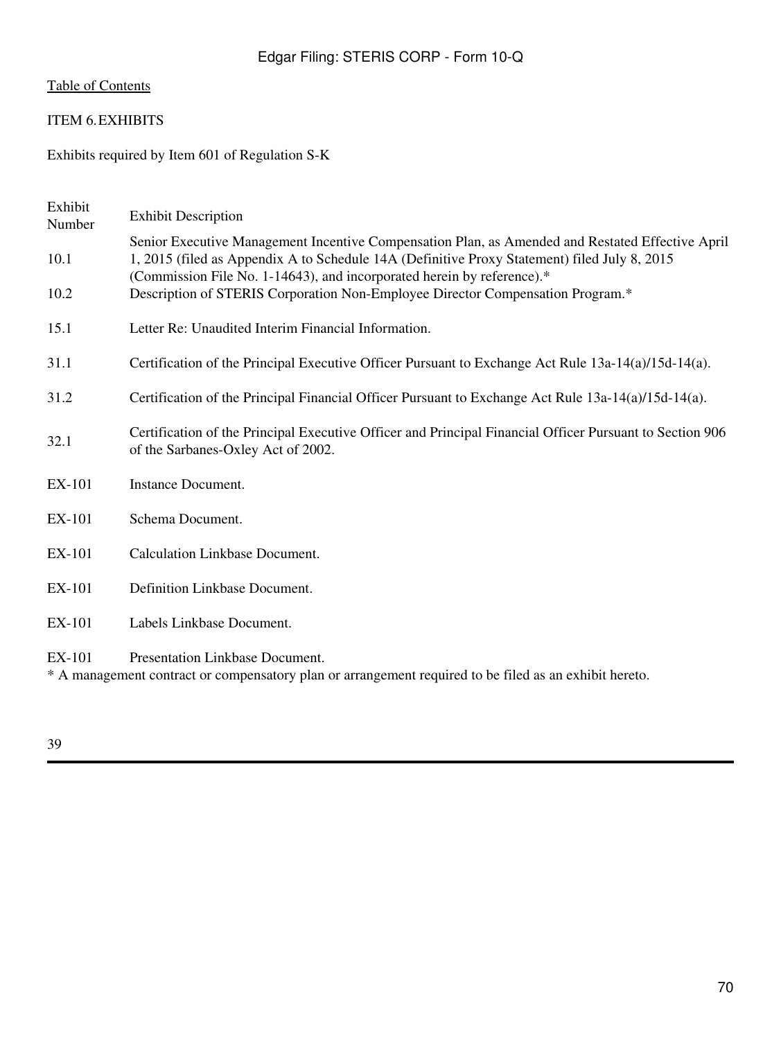#### ITEM 6.EXHIBITS

Exhibits required by Item 601 of Regulation S-K

| Exhibit<br>Number | <b>Exhibit Description</b>                                                                                                                                                                                                                                                 |
|-------------------|----------------------------------------------------------------------------------------------------------------------------------------------------------------------------------------------------------------------------------------------------------------------------|
| 10.1              | Senior Executive Management Incentive Compensation Plan, as Amended and Restated Effective April<br>1, 2015 (filed as Appendix A to Schedule 14A (Definitive Proxy Statement) filed July 8, 2015<br>(Commission File No. 1-14643), and incorporated herein by reference).* |
| 10.2              | Description of STERIS Corporation Non-Employee Director Compensation Program.*                                                                                                                                                                                             |
| 15.1              | Letter Re: Unaudited Interim Financial Information.                                                                                                                                                                                                                        |
| 31.1              | Certification of the Principal Executive Officer Pursuant to Exchange Act Rule 13a-14(a)/15d-14(a).                                                                                                                                                                        |
| 31.2              | Certification of the Principal Financial Officer Pursuant to Exchange Act Rule 13a-14(a)/15d-14(a).                                                                                                                                                                        |
| 32.1              | Certification of the Principal Executive Officer and Principal Financial Officer Pursuant to Section 906<br>of the Sarbanes-Oxley Act of 2002.                                                                                                                             |
| <b>EX-101</b>     | Instance Document.                                                                                                                                                                                                                                                         |
| EX-101            | Schema Document.                                                                                                                                                                                                                                                           |
| <b>EX-101</b>     | <b>Calculation Linkbase Document.</b>                                                                                                                                                                                                                                      |
| <b>EX-101</b>     | Definition Linkbase Document.                                                                                                                                                                                                                                              |
| EX-101            | Labels Linkbase Document.                                                                                                                                                                                                                                                  |
| EX-101            | <b>Presentation Linkbase Document.</b><br>* A management contract or compensatory plan or arrangement required to be filed as an exhibit hereto.                                                                                                                           |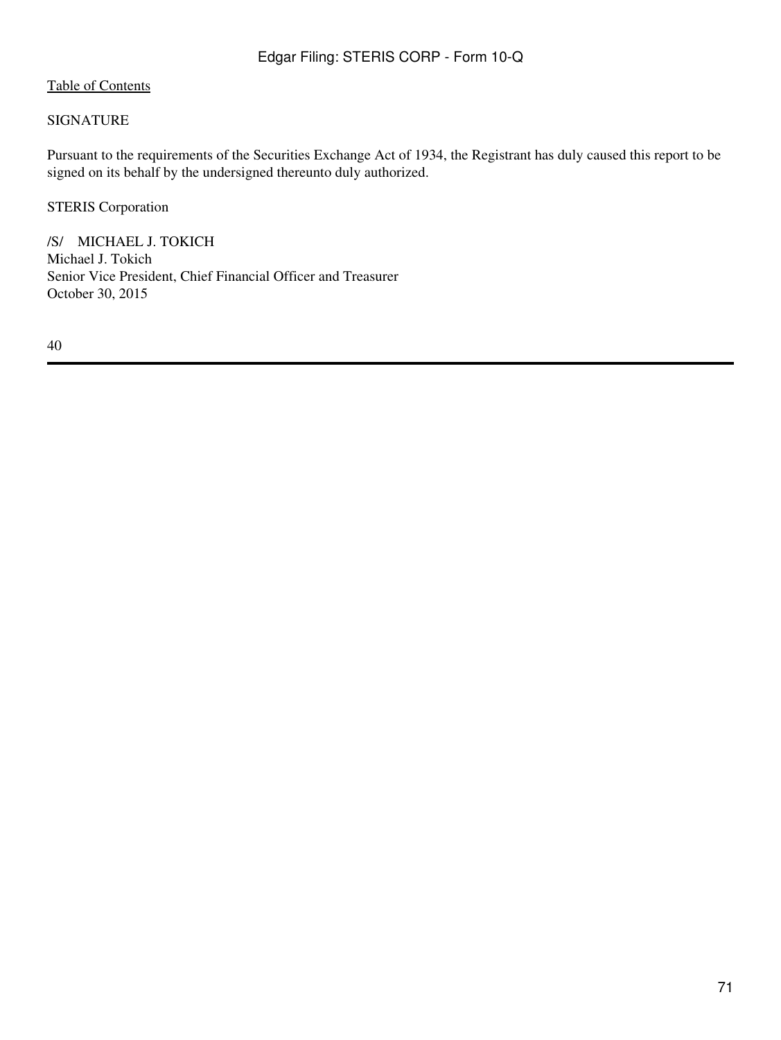#### SIGNATURE

Pursuant to the requirements of the Securities Exchange Act of 1934, the Registrant has duly caused this report to be signed on its behalf by the undersigned thereunto duly authorized.

STERIS Corporation

/S/ MICHAEL J. TOKICH Michael J. Tokich Senior Vice President, Chief Financial Officer and Treasurer October 30, 2015